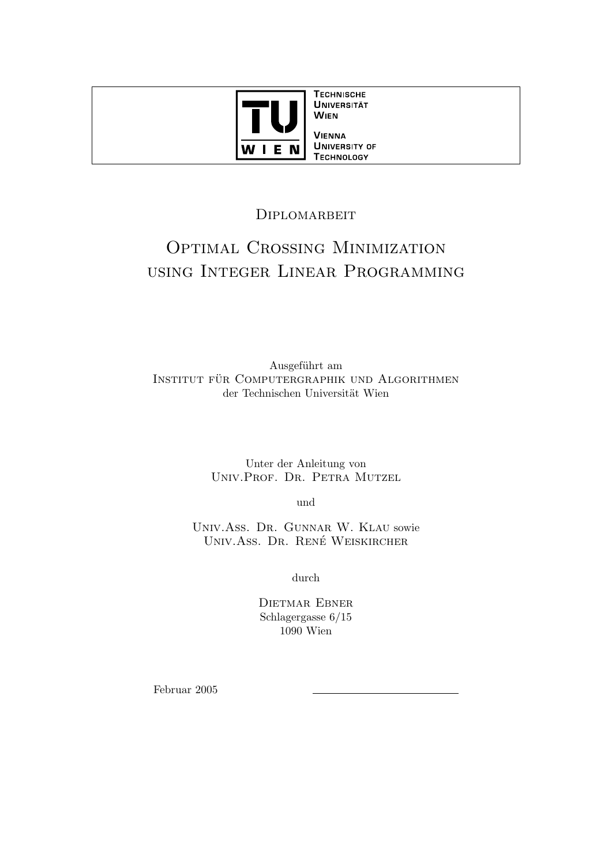

**TECHNISCHE UNIVERSITÄT WIEN VIENNA** 

**UNIVERSITY OF TECHNOLOGY** 

# **DIPLOMARBEIT**

# Optimal Crossing Minimization using Integer Linear Programming

Ausgeführt am INSTITUT FÜR COMPUTERGRAPHIK UND ALGORITHMEN der Technischen Universität Wien

> Unter der Anleitung von Univ.Prof. Dr. Petra Mutzel

> > und

Univ.Ass. Dr. Gunnar W. Klau sowie UNIV.ASS. DR. RENÉ WEISKIRCHER

durch

Dietmar Ebner Schlagergasse 6/15 1090 Wien

Februar 2005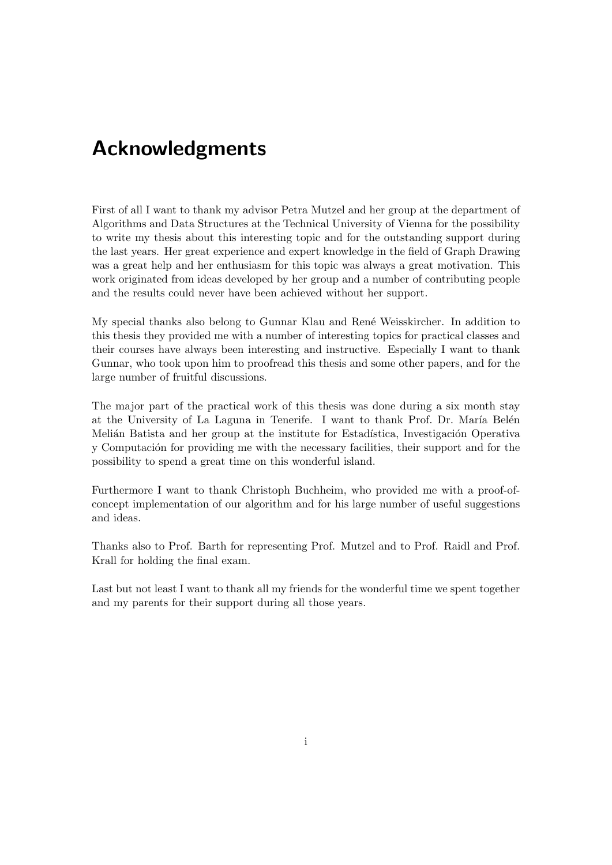# Acknowledgments

First of all I want to thank my advisor Petra Mutzel and her group at the department of Algorithms and Data Structures at the Technical University of Vienna for the possibility to write my thesis about this interesting topic and for the outstanding support during the last years. Her great experience and expert knowledge in the field of Graph Drawing was a great help and her enthusiasm for this topic was always a great motivation. This work originated from ideas developed by her group and a number of contributing people and the results could never have been achieved without her support.

My special thanks also belong to Gunnar Klau and Ren´e Weisskircher. In addition to this thesis they provided me with a number of interesting topics for practical classes and their courses have always been interesting and instructive. Especially I want to thank Gunnar, who took upon him to proofread this thesis and some other papers, and for the large number of fruitful discussions.

The major part of the practical work of this thesis was done during a six month stay at the University of La Laguna in Tenerife. I want to thank Prof. Dr. María Belén Melián Batista and her group at the institute for Estadística, Investigación Operativa y Computación for providing me with the necessary facilities, their support and for the possibility to spend a great time on this wonderful island.

Furthermore I want to thank Christoph Buchheim, who provided me with a proof-ofconcept implementation of our algorithm and for his large number of useful suggestions and ideas.

Thanks also to Prof. Barth for representing Prof. Mutzel and to Prof. Raidl and Prof. Krall for holding the final exam.

Last but not least I want to thank all my friends for the wonderful time we spent together and my parents for their support during all those years.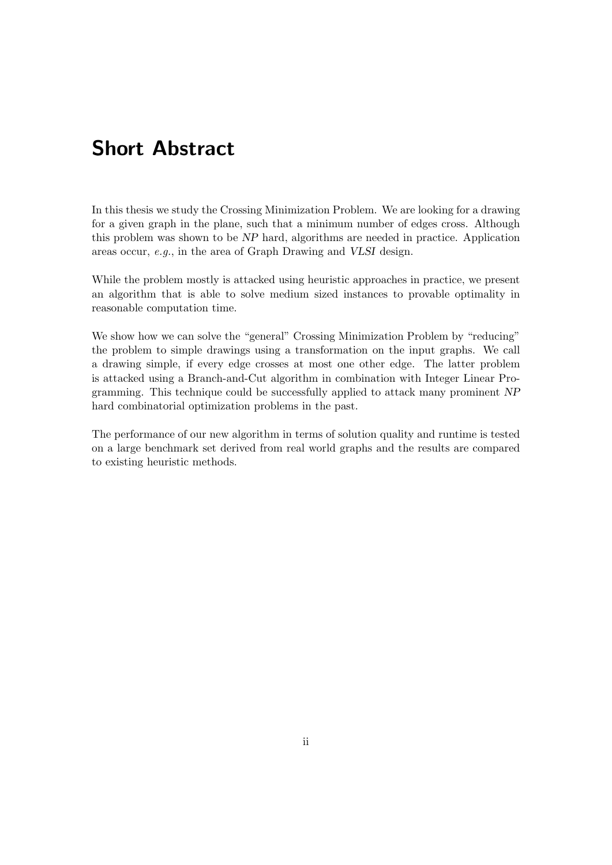# Short Abstract

In this thesis we study the Crossing Minimization Problem. We are looking for a drawing for a given graph in the plane, such that a minimum number of edges cross. Although this problem was shown to be NP hard, algorithms are needed in practice. Application areas occur, e.g., in the area of Graph Drawing and VLSI design.

While the problem mostly is attacked using heuristic approaches in practice, we present an algorithm that is able to solve medium sized instances to provable optimality in reasonable computation time.

We show how we can solve the "general" Crossing Minimization Problem by "reducing" the problem to simple drawings using a transformation on the input graphs. We call a drawing simple, if every edge crosses at most one other edge. The latter problem is attacked using a Branch-and-Cut algorithm in combination with Integer Linear Programming. This technique could be successfully applied to attack many prominent NP hard combinatorial optimization problems in the past.

The performance of our new algorithm in terms of solution quality and runtime is tested on a large benchmark set derived from real world graphs and the results are compared to existing heuristic methods.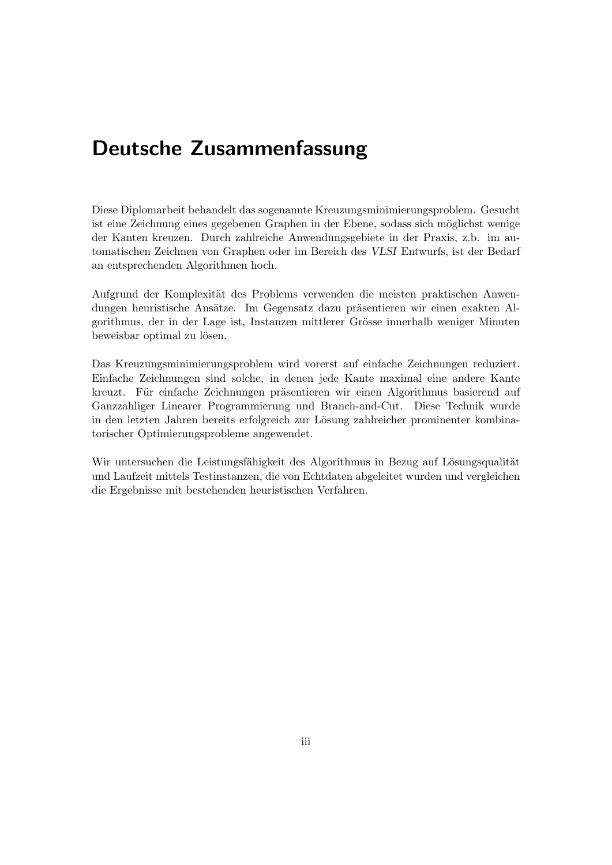# Deutsche Zusammenfassung

Diese Diplomarbeit behandelt das sogenannte Kreuzungsminimierungsproblem. Gesucht ist eine Zeichnung eines gegebenen Graphen in der Ebene, sodass sich möglichst wenige der Kanten kreuzen. Durch zahlreiche Anwendungsgebiete in der Praxis, z.b. im automatischen Zeichnen von Graphen oder im Bereich des VLSI Entwurfs, ist der Bedarf an entsprechenden Algorithmen hoch.

Aufgrund der Komplexität des Problems verwenden die meisten praktischen Anwendungen heuristische Ansätze. Im Gegensatz dazu präsentieren wir einen exakten Algorithmus, der in der Lage ist, Instanzen mittlerer Grösse innerhalb weniger Minuten beweisbar optimal zu lösen.

Das Kreuzungsminimierungsproblem wird vorerst auf einfache Zeichnungen reduziert. Einfache Zeichnungen sind solche, in denen jede Kante maximal eine andere Kante kreuzt. Für einfache Zeichnungen präsentieren wir einen Algorithmus basierend auf Ganzzahliger Linearer Programmierung und Branch-and-Cut. Diese Technik wurde in den letzten Jahren bereits erfolgreich zur Lösung zahlreicher prominenter kombinatorischer Optimierungsprobleme angewendet.

Wir untersuchen die Leistungsfähigkeit des Algorithmus in Bezug auf Lösungsqualität und Laufzeit mittels Testinstanzen, die von Echtdaten abgeleitet wurden und vergleichen die Ergebnisse mit bestehenden heuristischen Verfahren.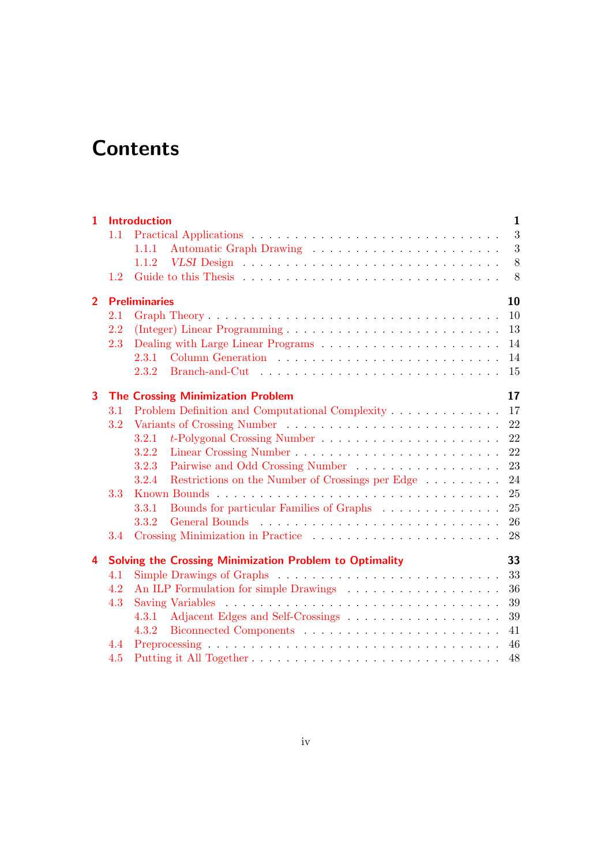# **Contents**

| 1              |     | <b>Introduction</b>                                       | $\mathbf{1}$ |
|----------------|-----|-----------------------------------------------------------|--------------|
|                | 1.1 |                                                           | 3            |
|                |     | 1.1.1                                                     | $\sqrt{3}$   |
|                |     | 1.1.2                                                     | $8\,$        |
|                | 1.2 |                                                           | 8            |
| $\overline{2}$ |     | <b>Preliminaries</b>                                      | 10           |
|                | 2.1 |                                                           | 10           |
|                | 2.2 |                                                           | 13           |
|                | 2.3 |                                                           | 14           |
|                |     | 2.3.1                                                     | 14           |
|                |     | 2.3.2                                                     | 15           |
| 3              |     | <b>The Crossing Minimization Problem</b>                  | 17           |
|                | 3.1 |                                                           | 17           |
|                | 3.2 |                                                           | 22           |
|                |     | 3.2.1                                                     | 22           |
|                |     | 3.2.2                                                     | 22           |
|                |     | 3.2.3                                                     | 23           |
|                |     | Restrictions on the Number of Crossings per Edge<br>3.2.4 | 24           |
|                | 3.3 |                                                           | 25           |
|                |     | Bounds for particular Families of Graphs<br>3.3.1         | 25           |
|                |     | 3.3.2                                                     | 26           |
|                | 3.4 |                                                           | 28           |
| 4              |     | Solving the Crossing Minimization Problem to Optimality   | 33           |
|                | 4.1 |                                                           | 33           |
|                | 4.2 |                                                           | 36           |
|                | 4.3 |                                                           | 39           |
|                |     | 4.3.1                                                     | 39           |
|                |     | 4.3.2                                                     | 41           |
|                | 4.4 |                                                           | 46           |
|                | 4.5 |                                                           | 48           |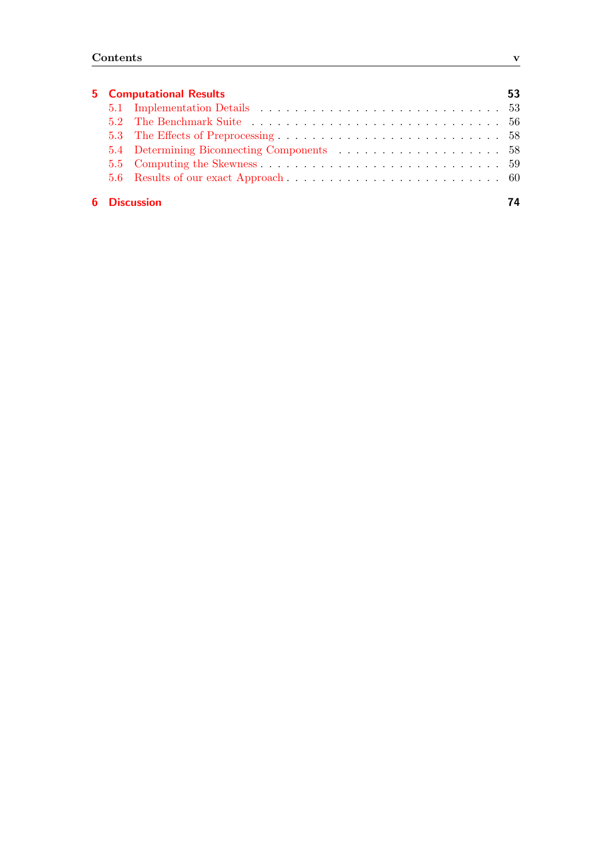|  |  | <b>5</b> Computational Results |  |  |
|--|--|--------------------------------|--|--|

# [6 Discussion](#page-81-0) 74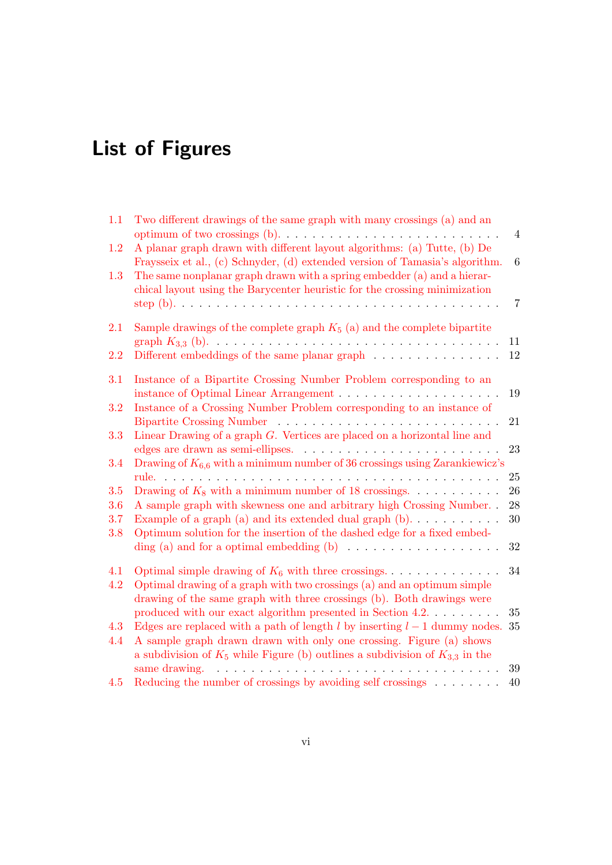# List of Figures

| 1.1 | Two different drawings of the same graph with many crossings (a) and an                                                                                   | $\overline{4}$ |
|-----|-----------------------------------------------------------------------------------------------------------------------------------------------------------|----------------|
| 1.2 | A planar graph drawn with different layout algorithms: (a) Tutte, (b) De                                                                                  |                |
|     | Fraysseix et al., (c) Schnyder, (d) extended version of Tamasia's algorithm.                                                                              | 6              |
| 1.3 | The same nonplanar graph drawn with a spring embedder (a) and a hierar-                                                                                   |                |
|     | chical layout using the Barycenter heuristic for the crossing minimization                                                                                | $\overline{7}$ |
| 2.1 | Sample drawings of the complete graph $K_5$ (a) and the complete bipartite                                                                                | 11             |
| 2.2 | Different embeddings of the same planar graph                                                                                                             | 12             |
| 3.1 | Instance of a Bipartite Crossing Number Problem corresponding to an                                                                                       |                |
|     |                                                                                                                                                           | 19             |
| 3.2 | Instance of a Crossing Number Problem corresponding to an instance of                                                                                     |                |
|     |                                                                                                                                                           | 21             |
| 3.3 | Linear Drawing of a graph $G$ . Vertices are placed on a horizontal line and                                                                              |                |
|     |                                                                                                                                                           | 23             |
| 3.4 | Drawing of $K_{6,6}$ with a minimum number of 36 crossings using Zarankiewicz's                                                                           |                |
|     | rule.                                                                                                                                                     | 25             |
| 3.5 | Drawing of $K_8$ with a minimum number of 18 crossings.                                                                                                   | $26\,$         |
| 3.6 | A sample graph with skewness one and arbitrary high Crossing Number. .                                                                                    | 28             |
| 3.7 | Example of a graph (a) and its extended dual graph $(b)$                                                                                                  | 30             |
| 3.8 | Optimum solution for the insertion of the dashed edge for a fixed embed-                                                                                  |                |
|     |                                                                                                                                                           | 32             |
| 4.1 | Optimal simple drawing of $K_6$ with three crossings                                                                                                      | 34             |
| 4.2 | Optimal drawing of a graph with two crossings (a) and an optimum simple                                                                                   |                |
|     | drawing of the same graph with three crossings (b). Both drawings were                                                                                    |                |
|     | produced with our exact algorithm presented in Section 4.2. $\dots \dots$                                                                                 | $35\,$         |
| 4.3 | Edges are replaced with a path of length $l$ by inserting $l-1$ dummy nodes.                                                                              | 35             |
| 4.4 | A sample graph drawn drawn with only one crossing. Figure (a) shows<br>a subdivision of $K_5$ while Figure (b) outlines a subdivision of $K_{3,3}$ in the |                |
|     | same drawing.                                                                                                                                             | 39             |
| 4.5 | Reducing the number of crossings by avoiding self crossings $\dots \dots$                                                                                 | 40             |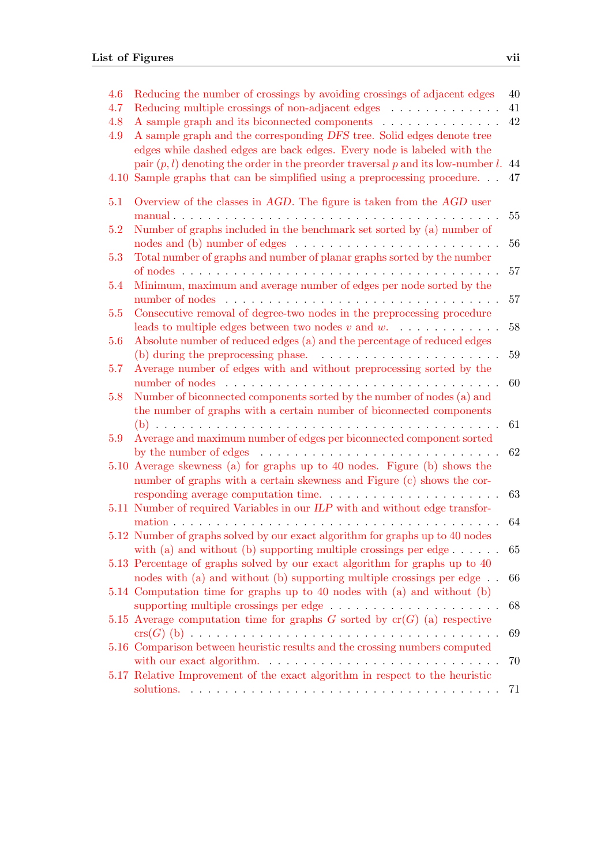| 4.6<br>4.7<br>4.8<br>4.9<br>4.10 | Reducing the number of crossings by avoiding crossings of adjacent edges<br>Reducing multiple crossings of non-adjacent edges<br>A sample graph and its biconnected components<br>A sample graph and the corresponding DFS tree. Solid edges denote tree<br>edges while dashed edges are back edges. Every node is labeled with the<br>pair $(p, l)$ denoting the order in the preorder traversal p and its low-number l.<br>Sample graphs that can be simplified using a preprocessing procedure | 40<br>41<br>42<br>44<br>47 |
|----------------------------------|---------------------------------------------------------------------------------------------------------------------------------------------------------------------------------------------------------------------------------------------------------------------------------------------------------------------------------------------------------------------------------------------------------------------------------------------------------------------------------------------------|----------------------------|
| 5.1                              | Overview of the classes in $AGD$ . The figure is taken from the $AGD$ user<br>manual                                                                                                                                                                                                                                                                                                                                                                                                              | 55                         |
| 5.2                              | Number of graphs included in the benchmark set sorted by (a) number of<br>nodes and (b) number of edges $\dots \dots \dots \dots \dots \dots \dots \dots \dots$                                                                                                                                                                                                                                                                                                                                   | 56                         |
| 5.3                              | Total number of graphs and number of planar graphs sorted by the number                                                                                                                                                                                                                                                                                                                                                                                                                           | 57                         |
| 5.4                              | Minimum, maximum and average number of edges per node sorted by the                                                                                                                                                                                                                                                                                                                                                                                                                               | 57                         |
| 5.5                              | Consecutive removal of degree-two nodes in the preprocessing procedure<br>leads to multiple edges between two nodes $v$ and $w$ .                                                                                                                                                                                                                                                                                                                                                                 | 58                         |
| 5.6                              | Absolute number of reduced edges (a) and the percentage of reduced edges<br>(b) during the preprocessing phase. $\ldots \ldots \ldots \ldots \ldots \ldots \ldots$                                                                                                                                                                                                                                                                                                                                | 59                         |
| 5.7                              | Average number of edges with and without preprocessing sorted by the                                                                                                                                                                                                                                                                                                                                                                                                                              | 60                         |
| 5.8                              | Number of biconnected components sorted by the number of nodes (a) and<br>the number of graphs with a certain number of biconnected components                                                                                                                                                                                                                                                                                                                                                    | 61                         |
| 5.9                              | Average and maximum number of edges per biconnected component sorted<br>by the number of edges $\dots \dots \dots \dots \dots \dots \dots \dots \dots \dots \dots$                                                                                                                                                                                                                                                                                                                                | 62                         |
| 5.10                             | Average skewness (a) for graphs up to 40 nodes. Figure (b) shows the<br>number of graphs with a certain skewness and Figure (c) shows the cor-                                                                                                                                                                                                                                                                                                                                                    | 63                         |
|                                  | 5.11 Number of required Variables in our ILP with and without edge transfor-<br>mation<br>.                                                                                                                                                                                                                                                                                                                                                                                                       | 64                         |
|                                  | 5.12 Number of graphs solved by our exact algorithm for graphs up to 40 nodes<br>with (a) and without (b) supporting multiple crossings per edge                                                                                                                                                                                                                                                                                                                                                  | 65                         |
|                                  | 5.13 Percentage of graphs solved by our exact algorithm for graphs up to 40<br>nodes with (a) and without (b) supporting multiple crossings per edge $\ldots$                                                                                                                                                                                                                                                                                                                                     | 66                         |
|                                  | 5.14 Computation time for graphs up to 40 nodes with (a) and without (b)                                                                                                                                                                                                                                                                                                                                                                                                                          | 68                         |
|                                  | 5.15 Average computation time for graphs G sorted by $cr(G)$ (a) respective                                                                                                                                                                                                                                                                                                                                                                                                                       | 69                         |
|                                  | 5.16 Comparison between heuristic results and the crossing numbers computed<br>with our exact algorithm. $\ldots \ldots \ldots \ldots \ldots \ldots \ldots \ldots$                                                                                                                                                                                                                                                                                                                                | 70                         |
|                                  | 5.17 Relative Improvement of the exact algorithm in respect to the heuristic                                                                                                                                                                                                                                                                                                                                                                                                                      | 71                         |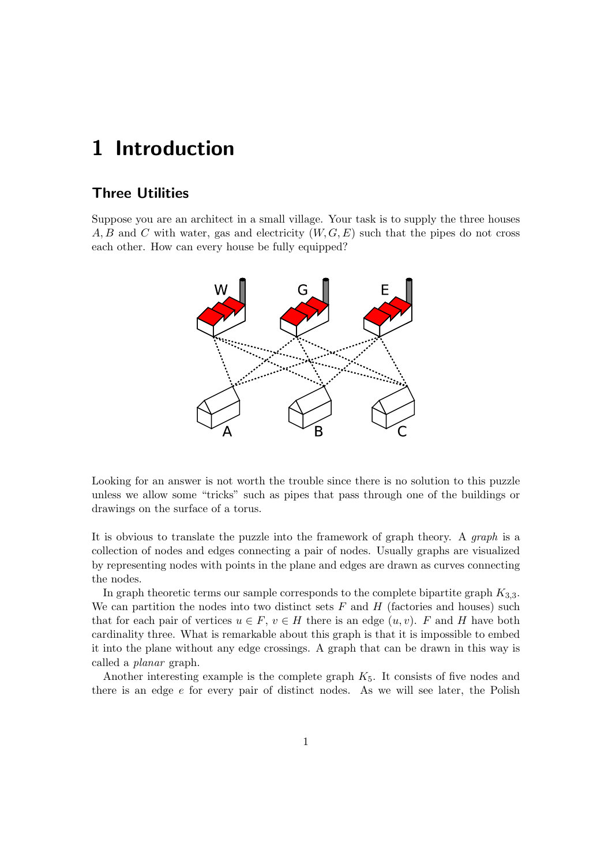# <span id="page-8-0"></span>1 Introduction

## Three Utilities

Suppose you are an architect in a small village. Your task is to supply the three houses A, B and C with water, gas and electricity  $(W, G, E)$  such that the pipes do not cross each other. How can every house be fully equipped?



Looking for an answer is not worth the trouble since there is no solution to this puzzle unless we allow some "tricks" such as pipes that pass through one of the buildings or drawings on the surface of a torus.

It is obvious to translate the puzzle into the framework of graph theory. A graph is a collection of nodes and edges connecting a pair of nodes. Usually graphs are visualized by representing nodes with points in the plane and edges are drawn as curves connecting the nodes.

In graph theoretic terms our sample corresponds to the complete bipartite graph  $K_{3,3}$ . We can partition the nodes into two distinct sets  $F$  and  $H$  (factories and houses) such that for each pair of vertices  $u \in F$ ,  $v \in H$  there is an edge  $(u, v)$ . F and H have both cardinality three. What is remarkable about this graph is that it is impossible to embed it into the plane without any edge crossings. A graph that can be drawn in this way is called a planar graph.

Another interesting example is the complete graph  $K_5$ . It consists of five nodes and there is an edge  $e$  for every pair of distinct nodes. As we will see later, the Polish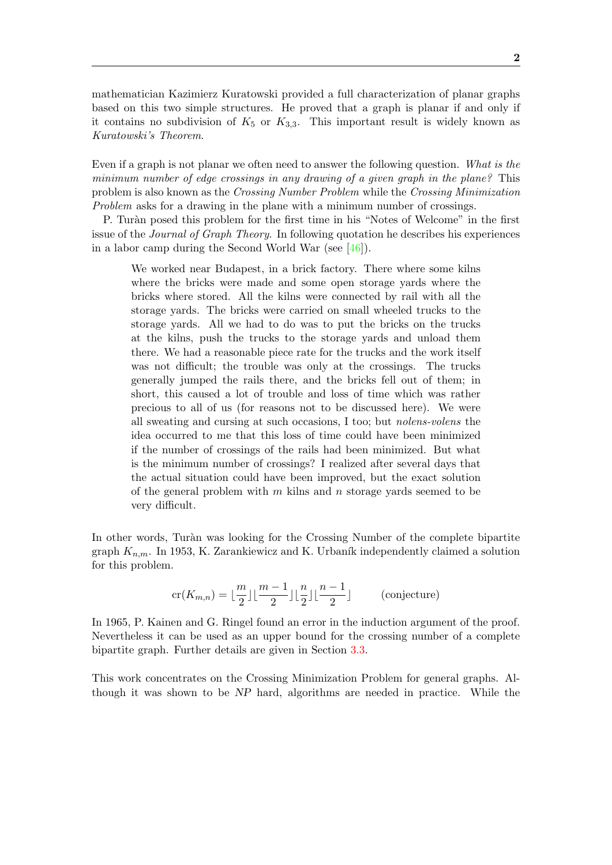mathematician Kazimierz Kuratowski provided a full characterization of planar graphs based on this two simple structures. He proved that a graph is planar if and only if it contains no subdivision of  $K_5$  or  $K_{3,3}$ . This important result is widely known as Kuratowski's Theorem.

Even if a graph is not planar we often need to answer the following question. What is the minimum number of edge crossings in any drawing of a given graph in the plane? This problem is also known as the Crossing Number Problem while the Crossing Minimization Problem asks for a drawing in the plane with a minimum number of crossings.

P. Tur`an posed this problem for the first time in his "Notes of Welcome" in the first issue of the Journal of Graph Theory. In following quotation he describes his experiences in a labor camp during the Second World War (see [\[46\]](#page-86-0)).

We worked near Budapest, in a brick factory. There where some kilns where the bricks were made and some open storage yards where the bricks where stored. All the kilns were connected by rail with all the storage yards. The bricks were carried on small wheeled trucks to the storage yards. All we had to do was to put the bricks on the trucks at the kilns, push the trucks to the storage yards and unload them there. We had a reasonable piece rate for the trucks and the work itself was not difficult; the trouble was only at the crossings. The trucks generally jumped the rails there, and the bricks fell out of them; in short, this caused a lot of trouble and loss of time which was rather precious to all of us (for reasons not to be discussed here). We were all sweating and cursing at such occasions, I too; but nolens-volens the idea occurred to me that this loss of time could have been minimized if the number of crossings of the rails had been minimized. But what is the minimum number of crossings? I realized after several days that the actual situation could have been improved, but the exact solution of the general problem with  $m$  kilns and  $n$  storage yards seemed to be very difficult.

In other words, Turàn was looking for the Crossing Number of the complete bipartite graph  $K_{n,m}$ . In 1953, K. Zarankiewicz and K. Urbaník independently claimed a solution for this problem.

$$
\operatorname{cr}(K_{m,n}) = \lfloor \frac{m}{2} \rfloor \lfloor \frac{m-1}{2} \rfloor \lfloor \frac{n}{2} \rfloor \lfloor \frac{n-1}{2} \rfloor \qquad \text{(conjecture)}
$$

In 1965, P. Kainen and G. Ringel found an error in the induction argument of the proof. Nevertheless it can be used as an upper bound for the crossing number of a complete bipartite graph. Further details are given in Section [3.3.](#page-32-0)

This work concentrates on the Crossing Minimization Problem for general graphs. Although it was shown to be NP hard, algorithms are needed in practice. While the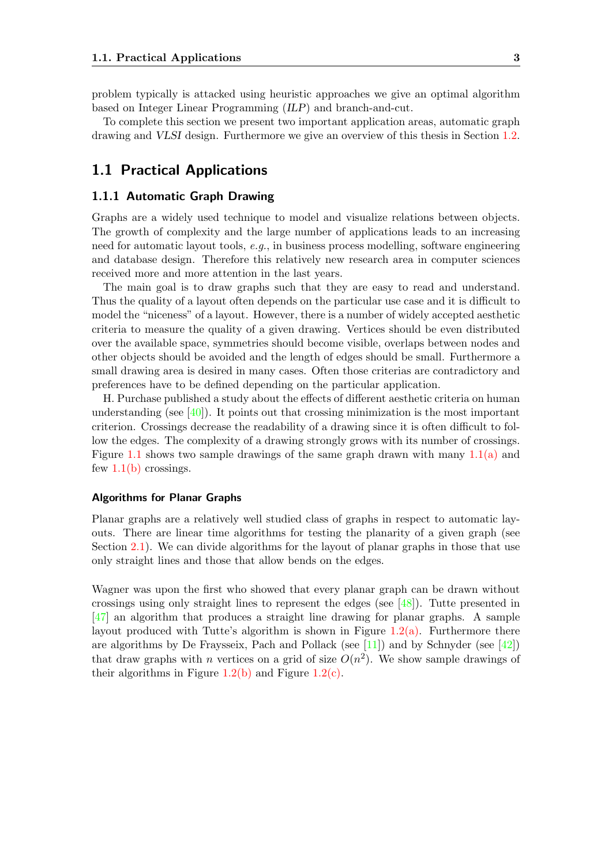problem typically is attacked using heuristic approaches we give an optimal algorithm based on Integer Linear Programming (ILP) and branch-and-cut.

To complete this section we present two important application areas, automatic graph drawing and VLSI design. Furthermore we give an overview of this thesis in Section [1.2.](#page-15-1)

## <span id="page-10-0"></span>1.1 Practical Applications

#### <span id="page-10-1"></span>1.1.1 Automatic Graph Drawing

Graphs are a widely used technique to model and visualize relations between objects. The growth of complexity and the large number of applications leads to an increasing need for automatic layout tools, e.g., in business process modelling, software engineering and database design. Therefore this relatively new research area in computer sciences received more and more attention in the last years.

The main goal is to draw graphs such that they are easy to read and understand. Thus the quality of a layout often depends on the particular use case and it is difficult to model the "niceness" of a layout. However, there is a number of widely accepted aesthetic criteria to measure the quality of a given drawing. Vertices should be even distributed over the available space, symmetries should become visible, overlaps between nodes and other objects should be avoided and the length of edges should be small. Furthermore a small drawing area is desired in many cases. Often those criterias are contradictory and preferences have to be defined depending on the particular application.

H. Purchase published a study about the effects of different aesthetic criteria on human understanding (see  $[40]$ ). It points out that crossing minimization is the most important criterion. Crossings decrease the readability of a drawing since it is often difficult to follow the edges. The complexity of a drawing strongly grows with its number of crossings. Figure [1.1](#page-11-0) shows two sample drawings of the same graph drawn with many  $1.1(a)$  and few  $1.1(b)$  crossings.

#### Algorithms for Planar Graphs

Planar graphs are a relatively well studied class of graphs in respect to automatic layouts. There are linear time algorithms for testing the planarity of a given graph (see Section [2.1\)](#page-17-1). We can divide algorithms for the layout of planar graphs in those that use only straight lines and those that allow bends on the edges.

Wagner was upon the first who showed that every planar graph can be drawn without crossings using only straight lines to represent the edges (see [\[48\]](#page-86-1)). Tutte presented in [\[47\]](#page-86-2) an algorithm that produces a straight line drawing for planar graphs. A sample layout produced with Tutte's algorithm is shown in Figure  $1.2(a)$ . Furthermore there are algorithms by De Fraysseix, Pach and Pollack (see  $[11]$ ) and by Schnyder (see  $[42]$ ) that draw graphs with *n* vertices on a grid of size  $O(n^2)$ . We show sample drawings of their algorithms in Figure  $1.2(b)$  and Figure  $1.2(c)$ .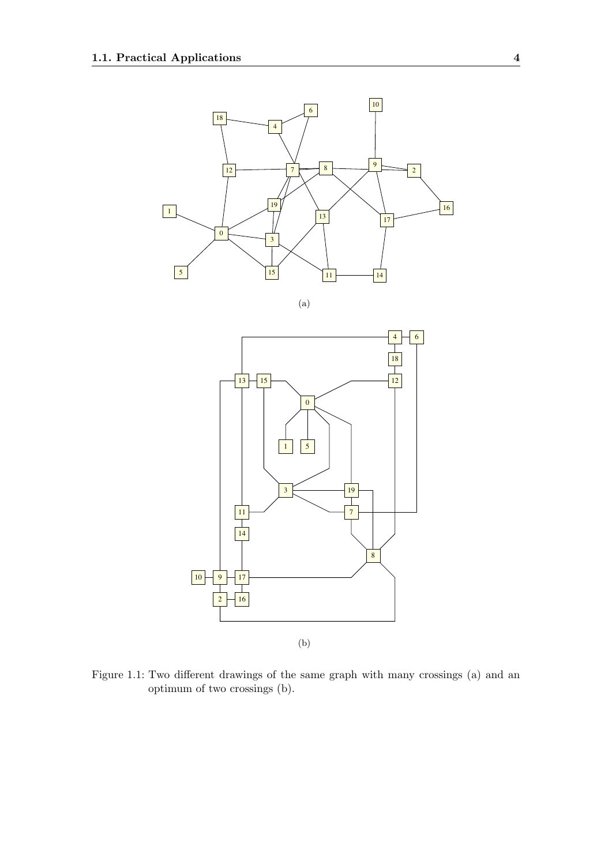<span id="page-11-1"></span>

(a)



<span id="page-11-2"></span><span id="page-11-0"></span>Figure 1.1: Two different drawings of the same graph with many crossings (a) and an optimum of two crossings (b).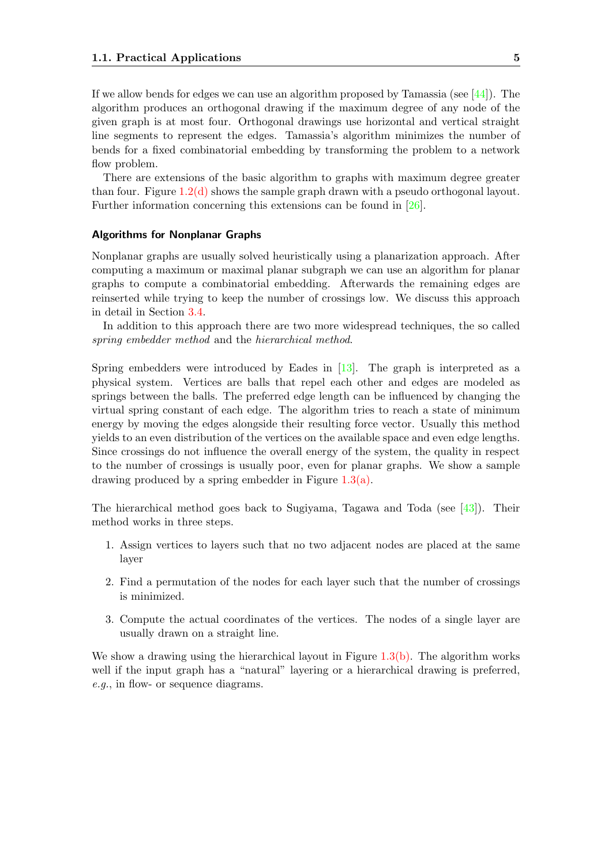If we allow bends for edges we can use an algorithm proposed by Tamassia (see  $[44]$ ). The algorithm produces an orthogonal drawing if the maximum degree of any node of the given graph is at most four. Orthogonal drawings use horizontal and vertical straight line segments to represent the edges. Tamassia's algorithm minimizes the number of bends for a fixed combinatorial embedding by transforming the problem to a network flow problem.

There are extensions of the basic algorithm to graphs with maximum degree greater than four. Figure [1.2\(d\)](#page-13-2) shows the sample graph drawn with a pseudo orthogonal layout. Further information concerning this extensions can be found in [\[26\]](#page-84-0).

#### Algorithms for Nonplanar Graphs

Nonplanar graphs are usually solved heuristically using a planarization approach. After computing a maximum or maximal planar subgraph we can use an algorithm for planar graphs to compute a combinatorial embedding. Afterwards the remaining edges are reinserted while trying to keep the number of crossings low. We discuss this approach in detail in Section [3.4.](#page-35-0)

In addition to this approach there are two more widespread techniques, the so called spring embedder method and the hierarchical method.

Spring embedders were introduced by Eades in [\[13\]](#page-84-1). The graph is interpreted as a physical system. Vertices are balls that repel each other and edges are modeled as springs between the balls. The preferred edge length can be influenced by changing the virtual spring constant of each edge. The algorithm tries to reach a state of minimum energy by moving the edges alongside their resulting force vector. Usually this method yields to an even distribution of the vertices on the available space and even edge lengths. Since crossings do not influence the overall energy of the system, the quality in respect to the number of crossings is usually poor, even for planar graphs. We show a sample drawing produced by a spring embedder in Figure [1.3\(a\).](#page-11-1)

The hierarchical method goes back to Sugiyama, Tagawa and Toda (see [\[43\]](#page-85-2)). Their method works in three steps.

- 1. Assign vertices to layers such that no two adjacent nodes are placed at the same layer
- 2. Find a permutation of the nodes for each layer such that the number of crossings is minimized.
- 3. Compute the actual coordinates of the vertices. The nodes of a single layer are usually drawn on a straight line.

We show a drawing using the hierarchical layout in Figure  $1.3(b)$ . The algorithm works well if the input graph has a "natural" layering or a hierarchical drawing is preferred, e.g., in flow- or sequence diagrams.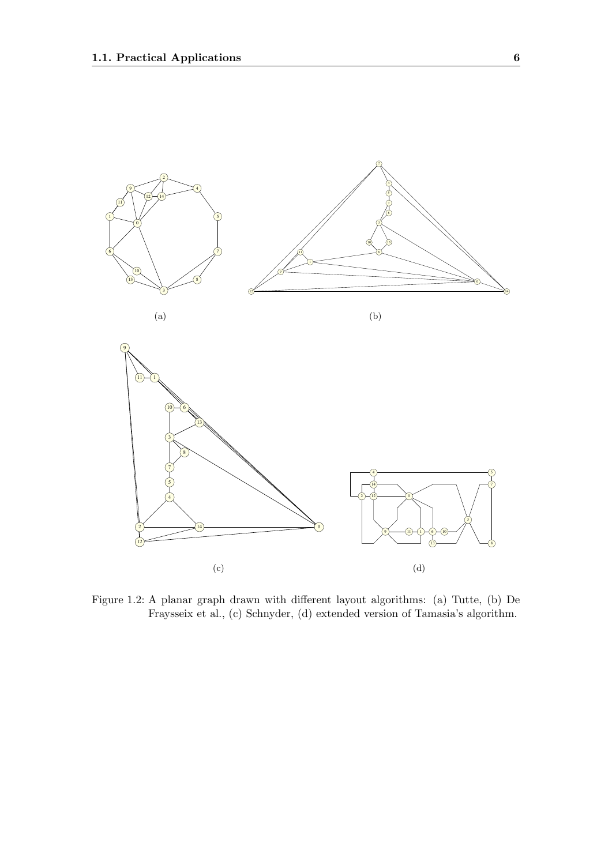<span id="page-13-1"></span>

<span id="page-13-2"></span><span id="page-13-0"></span>Figure 1.2: A planar graph drawn with different layout algorithms: (a) Tutte, (b) De Fraysseix et al., (c) Schnyder, (d) extended version of Tamasia's algorithm.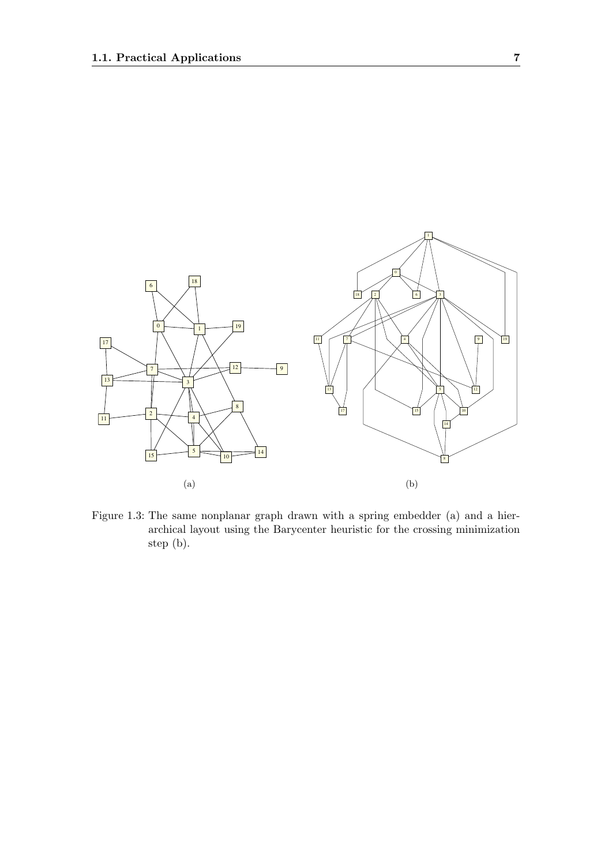

<span id="page-14-0"></span>Figure 1.3: The same nonplanar graph drawn with a spring embedder (a) and a hierarchical layout using the Barycenter heuristic for the crossing minimization step (b).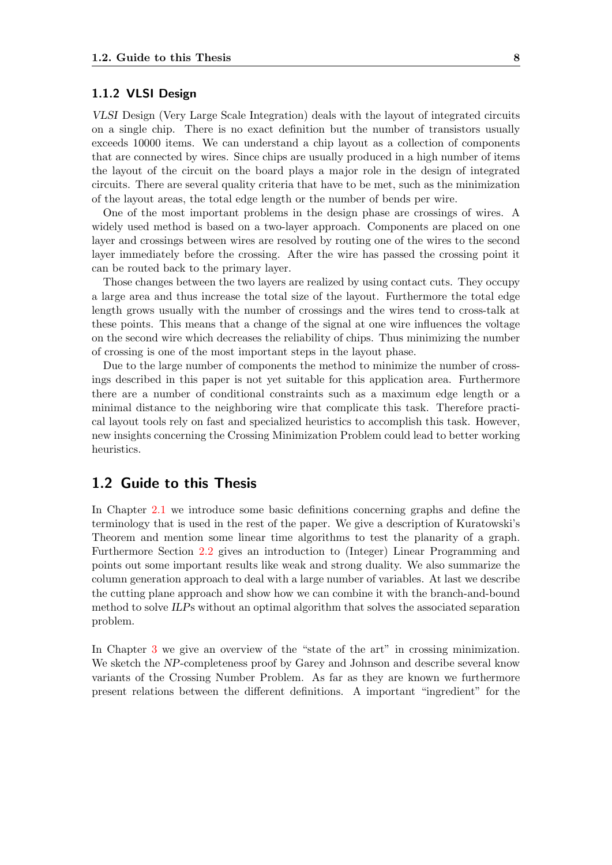#### <span id="page-15-0"></span>1.1.2 VLSI Design

VLSI Design (Very Large Scale Integration) deals with the layout of integrated circuits on a single chip. There is no exact definition but the number of transistors usually exceeds 10000 items. We can understand a chip layout as a collection of components that are connected by wires. Since chips are usually produced in a high number of items the layout of the circuit on the board plays a major role in the design of integrated circuits. There are several quality criteria that have to be met, such as the minimization of the layout areas, the total edge length or the number of bends per wire.

One of the most important problems in the design phase are crossings of wires. A widely used method is based on a two-layer approach. Components are placed on one layer and crossings between wires are resolved by routing one of the wires to the second layer immediately before the crossing. After the wire has passed the crossing point it can be routed back to the primary layer.

Those changes between the two layers are realized by using contact cuts. They occupy a large area and thus increase the total size of the layout. Furthermore the total edge length grows usually with the number of crossings and the wires tend to cross-talk at these points. This means that a change of the signal at one wire influences the voltage on the second wire which decreases the reliability of chips. Thus minimizing the number of crossing is one of the most important steps in the layout phase.

Due to the large number of components the method to minimize the number of crossings described in this paper is not yet suitable for this application area. Furthermore there are a number of conditional constraints such as a maximum edge length or a minimal distance to the neighboring wire that complicate this task. Therefore practical layout tools rely on fast and specialized heuristics to accomplish this task. However, new insights concerning the Crossing Minimization Problem could lead to better working heuristics.

## <span id="page-15-1"></span>1.2 Guide to this Thesis

In Chapter [2.1](#page-17-1) we introduce some basic definitions concerning graphs and define the terminology that is used in the rest of the paper. We give a description of Kuratowski's Theorem and mention some linear time algorithms to test the planarity of a graph. Furthermore Section [2.2](#page-20-0) gives an introduction to (Integer) Linear Programming and points out some important results like weak and strong duality. We also summarize the column generation approach to deal with a large number of variables. At last we describe the cutting plane approach and show how we can combine it with the branch-and-bound method to solve ILPs without an optimal algorithm that solves the associated separation problem.

In Chapter [3](#page-24-0) we give an overview of the "state of the art" in crossing minimization. We sketch the NP-completeness proof by Garey and Johnson and describe several know variants of the Crossing Number Problem. As far as they are known we furthermore present relations between the different definitions. A important "ingredient" for the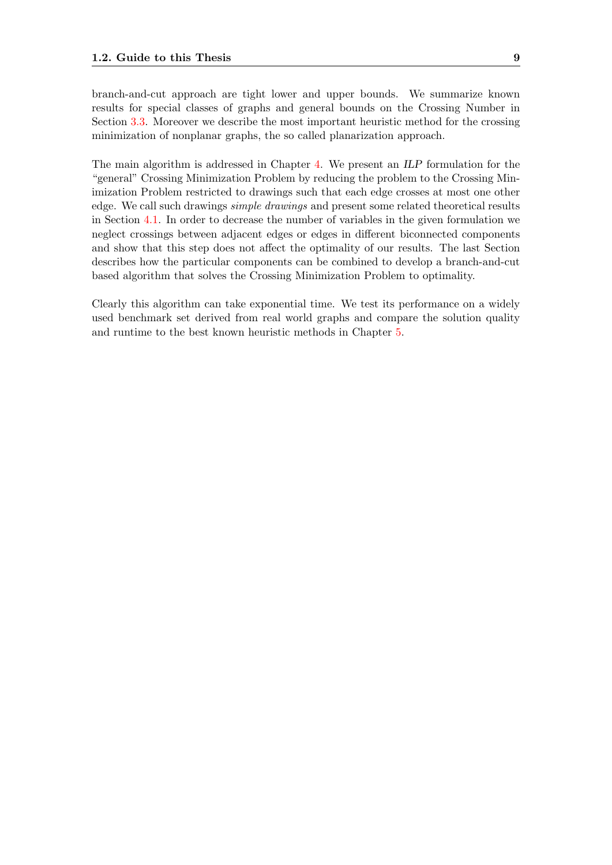branch-and-cut approach are tight lower and upper bounds. We summarize known results for special classes of graphs and general bounds on the Crossing Number in Section [3.3.](#page-32-0) Moreover we describe the most important heuristic method for the crossing minimization of nonplanar graphs, the so called planarization approach.

The main algorithm is addressed in Chapter [4.](#page-40-0) We present an ILP formulation for the "general" Crossing Minimization Problem by reducing the problem to the Crossing Minimization Problem restricted to drawings such that each edge crosses at most one other edge. We call such drawings simple drawings and present some related theoretical results in Section [4.1.](#page-40-1) In order to decrease the number of variables in the given formulation we neglect crossings between adjacent edges or edges in different biconnected components and show that this step does not affect the optimality of our results. The last Section describes how the particular components can be combined to develop a branch-and-cut based algorithm that solves the Crossing Minimization Problem to optimality.

Clearly this algorithm can take exponential time. We test its performance on a widely used benchmark set derived from real world graphs and compare the solution quality and runtime to the best known heuristic methods in Chapter [5.](#page-60-0)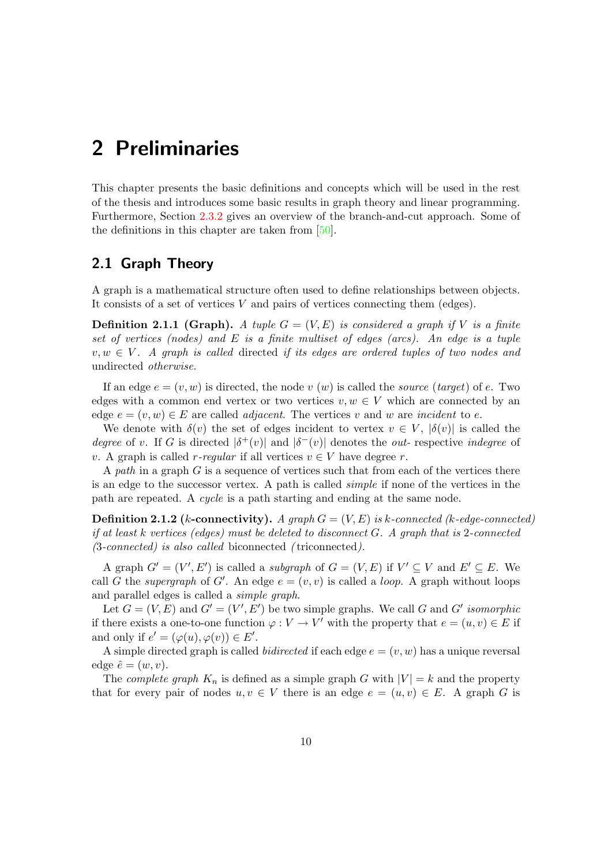# <span id="page-17-0"></span>2 Preliminaries

This chapter presents the basic definitions and concepts which will be used in the rest of the thesis and introduces some basic results in graph theory and linear programming. Furthermore, Section [2.3.2](#page-22-0) gives an overview of the branch-and-cut approach. Some of the definitions in this chapter are taken from [\[50\]](#page-86-4).

## <span id="page-17-1"></span>2.1 Graph Theory

A graph is a mathematical structure often used to define relationships between objects. It consists of a set of vertices  $V$  and pairs of vertices connecting them (edges).

**Definition 2.1.1 (Graph).** A tuple  $G = (V, E)$  is considered a graph if V is a finite set of vertices (nodes) and  $E$  is a finite multiset of edges (arcs). An edge is a tuple  $v, w \in V$ . A graph is called directed if its edges are ordered tuples of two nodes and undirected otherwise.

If an edge  $e = (v, w)$  is directed, the node v  $(w)$  is called the *source* (target) of e. Two edges with a common end vertex or two vertices  $v, w \in V$  which are connected by an edge  $e = (v, w) \in E$  are called *adjacent*. The vertices v and w are *incident* to e.

We denote with  $\delta(v)$  the set of edges incident to vertex  $v \in V$ ,  $|\delta(v)|$  is called the degree of v. If G is directed  $|\delta^+(v)|$  and  $|\delta^-(v)|$  denotes the *out*- respective *indegree* of v. A graph is called r-regular if all vertices  $v \in V$  have degree r.

A path in a graph  $G$  is a sequence of vertices such that from each of the vertices there is an edge to the successor vertex. A path is called simple if none of the vertices in the path are repeated. A cycle is a path starting and ending at the same node.

**Definition 2.1.2** (k-connectivity). A graph  $G = (V, E)$  is k-connected (k-edge-connected) if at least k vertices (edges) must be deleted to disconnect  $G$ . A graph that is 2-connected (3-connected) is also called biconnected ( triconnected).

A graph  $G' = (V', E')$  is called a *subgraph* of  $G = (V, E)$  if  $V' \subseteq V$  and  $E' \subseteq E$ . We call G the supergraph of G'. An edge  $e = (v, v)$  is called a *loop*. A graph without loops and parallel edges is called a simple graph.

Let  $G = (V, E)$  and  $G' = (V', E')$  be two simple graphs. We call G and G' isomorphic if there exists a one-to-one function  $\varphi: V \to V'$  with the property that  $e = (u, v) \in E$  if and only if  $e' = (\varphi(u), \varphi(v)) \in E'.$ 

A simple directed graph is called *bidirected* if each edge  $e = (v, w)$  has a unique reversal edge  $\hat{e} = (w, v)$ .

The *complete graph*  $K_n$  is defined as a simple graph G with  $|V| = k$  and the property that for every pair of nodes  $u, v \in V$  there is an edge  $e = (u, v) \in E$ . A graph G is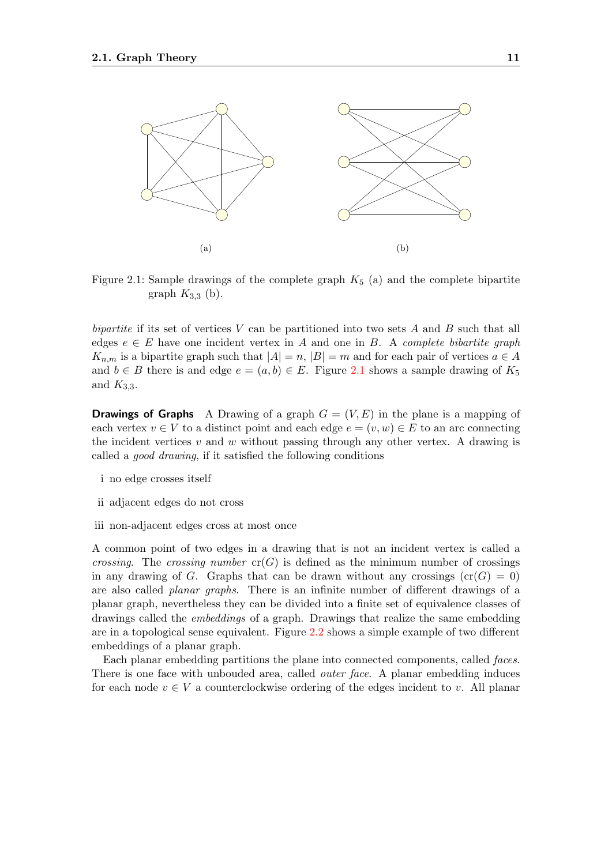

<span id="page-18-0"></span>Figure 2.1: Sample drawings of the complete graph  $K_5$  (a) and the complete bipartite graph  $K_{3,3}$  (b).

bipartite if its set of vertices  $V$  can be partitioned into two sets  $A$  and  $B$  such that all edges  $e \in E$  have one incident vertex in A and one in B. A *complete bibartite graph*  $K_{n,m}$  is a bipartite graph such that  $|A|=n, |B|=m$  and for each pair of vertices  $a \in A$ and  $b \in B$  there is and edge  $e = (a, b) \in E$ . Figure [2.1](#page-18-0) shows a sample drawing of  $K_5$ and  $K_{3,3}$ .

**Drawings of Graphs** A Drawing of a graph  $G = (V, E)$  in the plane is a mapping of each vertex  $v \in V$  to a distinct point and each edge  $e = (v, w) \in E$  to an arc connecting the incident vertices  $v$  and  $w$  without passing through any other vertex. A drawing is called a good drawing, if it satisfied the following conditions

- i no edge crosses itself
- ii adjacent edges do not cross
- iii non-adjacent edges cross at most once

A common point of two edges in a drawing that is not an incident vertex is called a crossing. The crossing number  $cr(G)$  is defined as the minimum number of crossings in any drawing of G. Graphs that can be drawn without any crossings  $\text{cr}(G) = 0$ ) are also called planar graphs. There is an infinite number of different drawings of a planar graph, nevertheless they can be divided into a finite set of equivalence classes of drawings called the embeddings of a graph. Drawings that realize the same embedding are in a topological sense equivalent. Figure [2.2](#page-19-0) shows a simple example of two different embeddings of a planar graph.

Each planar embedding partitions the plane into connected components, called faces. There is one face with unbouded area, called *outer face*. A planar embedding induces for each node  $v \in V$  a counterclockwise ordering of the edges incident to v. All planar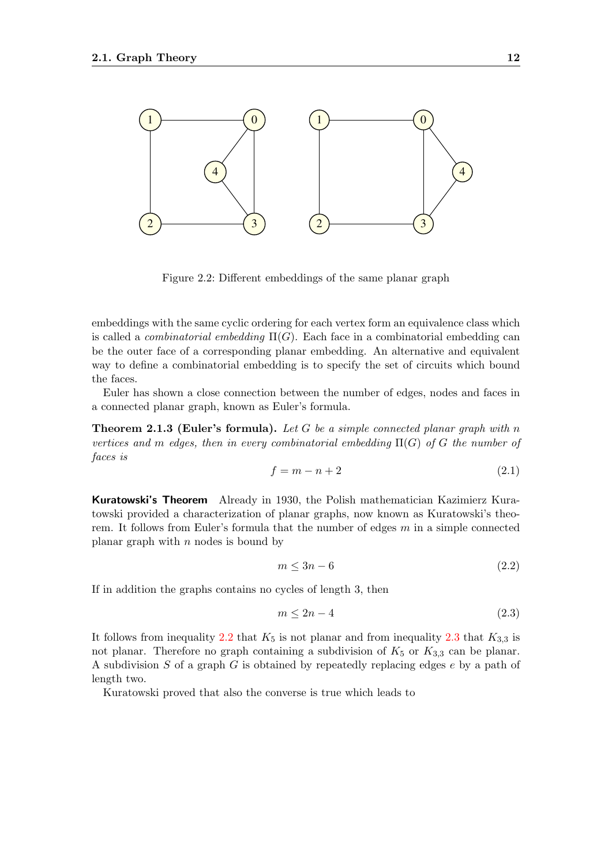

<span id="page-19-0"></span>Figure 2.2: Different embeddings of the same planar graph

embeddings with the same cyclic ordering for each vertex form an equivalence class which is called a *combinatorial embedding*  $\Pi(G)$ . Each face in a combinatorial embedding can be the outer face of a corresponding planar embedding. An alternative and equivalent way to define a combinatorial embedding is to specify the set of circuits which bound the faces.

Euler has shown a close connection between the number of edges, nodes and faces in a connected planar graph, known as Euler's formula.

**Theorem 2.1.3 (Euler's formula).** Let G be a simple connected planar graph with n vertices and m edges, then in every combinatorial embedding  $\Pi(G)$  of G the number of faces is

$$
f = m - n + 2 \tag{2.1}
$$

Kuratowski's Theorem Already in 1930, the Polish mathematician Kazimierz Kuratowski provided a characterization of planar graphs, now known as Kuratowski's theorem. It follows from Euler's formula that the number of edges  $m$  in a simple connected planar graph with  $n$  nodes is bound by

<span id="page-19-2"></span><span id="page-19-1"></span>
$$
m \le 3n - 6 \tag{2.2}
$$

If in addition the graphs contains no cycles of length 3, then

$$
m \le 2n - 4\tag{2.3}
$$

It follows from inequality [2.2](#page-19-1) that  $K_5$  is not planar and from inequality [2.3](#page-19-2) that  $K_{3,3}$  is not planar. Therefore no graph containing a subdivision of  $K_5$  or  $K_{3,3}$  can be planar. A subdivision S of a graph G is obtained by repeatedly replacing edges  $e$  by a path of length two.

Kuratowski proved that also the converse is true which leads to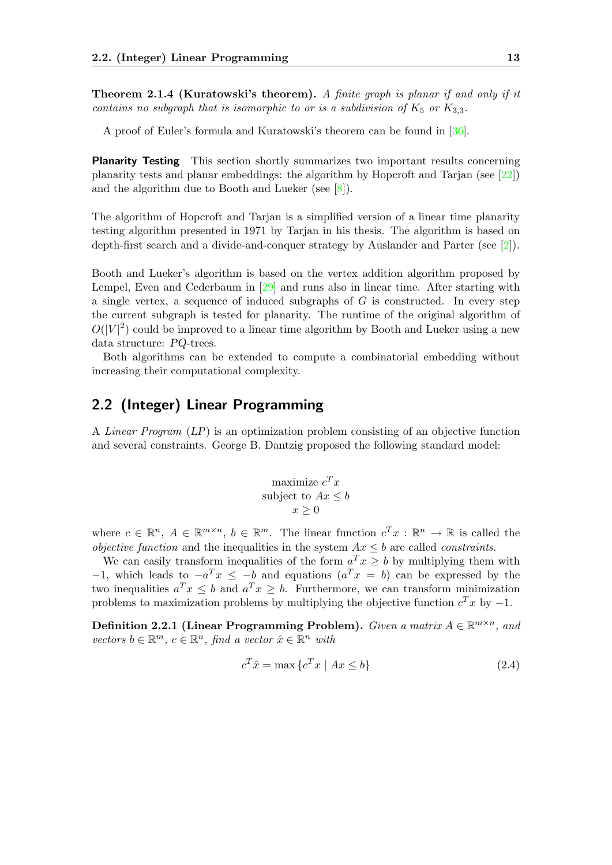**Theorem 2.1.4 (Kuratowski's theorem).** A finite graph is planar if and only if it contains no subgraph that is isomorphic to or is a subdivision of  $K_5$  or  $K_{3,3}$ .

A proof of Euler's formula and Kuratowski's theorem can be found in [\[36\]](#page-85-3).

**Planarity Testing** This section shortly summarizes two important results concerning planarity tests and planar embeddings: the algorithm by Hopcroft and Tarjan (see [\[22\]](#page-84-2)) and the algorithm due to Booth and Lueker (see [\[8\]](#page-83-1)).

The algorithm of Hopcroft and Tarjan is a simplified version of a linear time planarity testing algorithm presented in 1971 by Tarjan in his thesis. The algorithm is based on depth-first search and a divide-and-conquer strategy by Auslander and Parter (see [\[2\]](#page-83-2)).

Booth and Lueker's algorithm is based on the vertex addition algorithm proposed by Lempel, Even and Cederbaum in [\[29\]](#page-85-4) and runs also in linear time. After starting with a single vertex, a sequence of induced subgraphs of  $G$  is constructed. In every step the current subgraph is tested for planarity. The runtime of the original algorithm of  $O(|V|^2)$  could be improved to a linear time algorithm by Booth and Lueker using a new data structure: PQ-trees.

Both algorithms can be extended to compute a combinatorial embedding without increasing their computational complexity.

# <span id="page-20-0"></span>2.2 (Integer) Linear Programming

A Linear Program (LP) is an optimization problem consisting of an objective function and several constraints. George B. Dantzig proposed the following standard model:

$$
\begin{array}{c}\n\text{maximize } c^T x\\ \n\text{subject to } Ax \leq b\\ \n\end{array}
$$

where  $c \in \mathbb{R}^n$ ,  $A \in \mathbb{R}^{m \times n}$ ,  $b \in \mathbb{R}^m$ . The linear function  $c^T x : \mathbb{R}^n \to \mathbb{R}$  is called the *objective function* and the inequalities in the system  $Ax \leq b$  are called *constraints*.

We can easily transform inequalities of the form  $a^T x \geq b$  by multiplying them with  $-1$ , which leads to  $-a^T x \leq -b$  and equations  $(a^T x = b)$  can be expressed by the two inequalities  $a^T x \leq b$  and  $a^T x \geq b$ . Furthermore, we can transform minimization problems to maximization problems by multiplying the objective function  $c^T x$  by  $-1$ .

Definition 2.2.1 (Linear Programming Problem). Given a matrix  $A \in \mathbb{R}^{m \times n}$ , and vectors  $b \in \mathbb{R}^m$ ,  $c \in \mathbb{R}^n$ , find a vector  $\hat{x} \in \mathbb{R}^n$  with

$$
c^T \hat{x} = \max \left\{ c^T x \mid Ax \le b \right\} \tag{2.4}
$$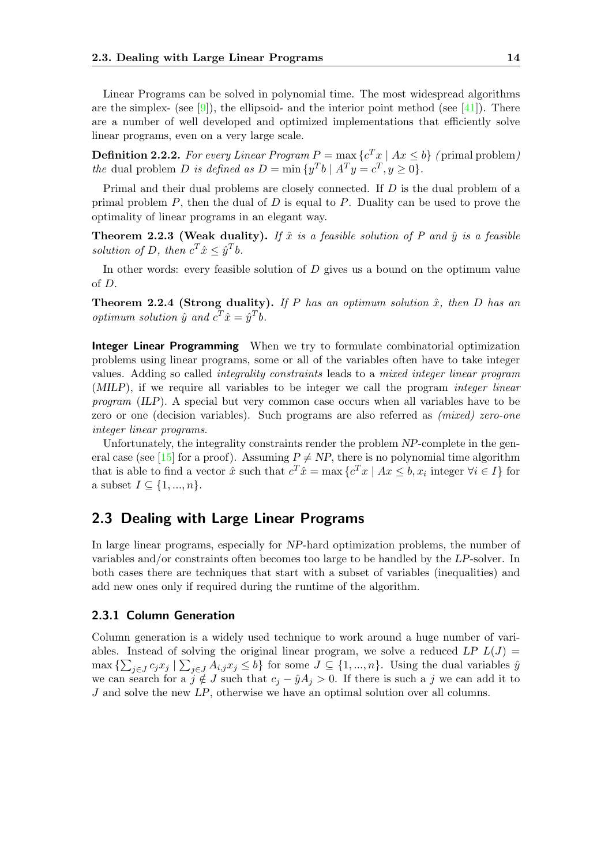Linear Programs can be solved in polynomial time. The most widespread algorithms are the simplex- (see [\[9\]](#page-83-3)), the ellipsoid- and the interior point method (see [\[41\]](#page-85-5)). There are a number of well developed and optimized implementations that efficiently solve linear programs, even on a very large scale.

**Definition 2.2.2.** For every Linear Program  $P = \max \{c^T x \mid Ax \leq b\}$  (primal problem) the dual problem D is defined as  $D = \min \{y^T b \mid A^T y = c^T, y \ge 0\}.$ 

Primal and their dual problems are closely connected. If D is the dual problem of a primal problem  $P$ , then the dual of  $D$  is equal to  $P$ . Duality can be used to prove the optimality of linear programs in an elegant way.

Theorem 2.2.3 (Weak duality). If  $\hat{x}$  is a feasible solution of P and  $\hat{y}$  is a feasible solution of D, then  $c^T \hat{x} \leq \hat{y}^T b$ .

In other words: every feasible solution of D gives us a bound on the optimum value of D.

**Theorem 2.2.4 (Strong duality).** If P has an optimum solution  $\hat{x}$ , then D has an optimum solution  $\hat{y}$  and  $c^T \hat{x} = \hat{y}^T b$ .

Integer Linear Programming When we try to formulate combinatorial optimization problems using linear programs, some or all of the variables often have to take integer values. Adding so called integrality constraints leads to a mixed integer linear program (MILP), if we require all variables to be integer we call the program integer linear program (ILP). A special but very common case occurs when all variables have to be zero or one (decision variables). Such programs are also referred as (mixed) zero-one integer linear programs.

Unfortunately, the integrality constraints render the problem NP-complete in the gen-eral case (see [\[15\]](#page-84-3) for a proof). Assuming  $P \neq NP$ , there is no polynomial time algorithm that is able to find a vector  $\hat{x}$  such that  $c^T \hat{x} = \max \{c^T x \mid Ax \leq b, x_i \text{ integer } \forall i \in I\}$  for a subset  $I \subseteq \{1, ..., n\}$ .

## <span id="page-21-0"></span>2.3 Dealing with Large Linear Programs

In large linear programs, especially for NP-hard optimization problems, the number of variables and/or constraints often becomes too large to be handled by the LP-solver. In both cases there are techniques that start with a subset of variables (inequalities) and add new ones only if required during the runtime of the algorithm.

#### <span id="page-21-1"></span>2.3.1 Column Generation

Column generation is a widely used technique to work around a huge number of variables. Instead of solving the original linear program, we solve a reduced LP  $L(J)$  =  $\max\left\{\sum_{j\in J}c_jx_j\mid\sum_{j\in J}A_{i,j}x_j\leq b\right\}$  for some  $J\subseteq\{1,\ldots,n\}$ . Using the dual variables  $\hat{y}$ we can search for a  $j \notin J$  such that  $c_j - \hat{y}A_j > 0$ . If there is such a j we can add it to J and solve the new LP, otherwise we have an optimal solution over all columns.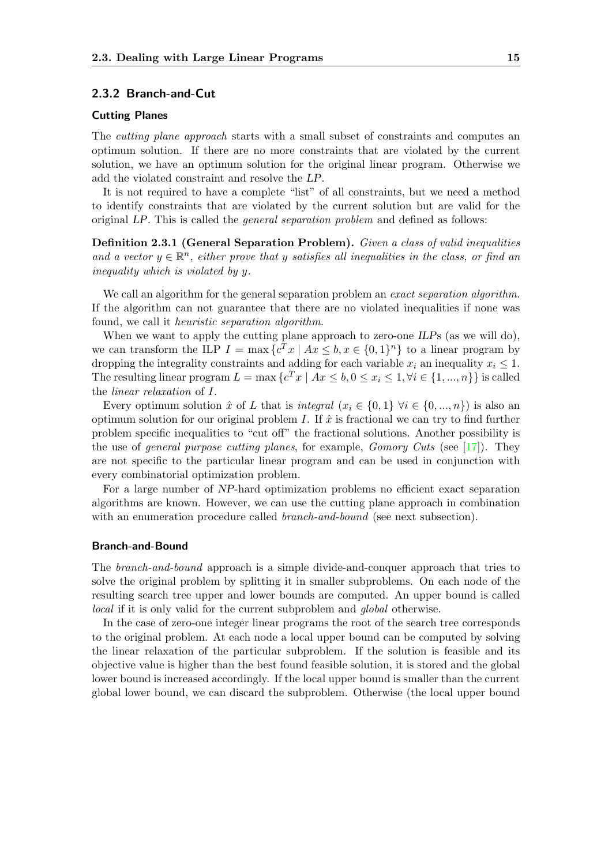#### <span id="page-22-0"></span>2.3.2 Branch-and-Cut

#### Cutting Planes

The cutting plane approach starts with a small subset of constraints and computes an optimum solution. If there are no more constraints that are violated by the current solution, we have an optimum solution for the original linear program. Otherwise we add the violated constraint and resolve the LP.

It is not required to have a complete "list" of all constraints, but we need a method to identify constraints that are violated by the current solution but are valid for the original LP. This is called the general separation problem and defined as follows:

Definition 2.3.1 (General Separation Problem). Given a class of valid inequalities and a vector  $y \in \mathbb{R}^n$ , either prove that y satisfies all inequalities in the class, or find an inequality which is violated by y.

We call an algorithm for the general separation problem an *exact separation algorithm*. If the algorithm can not guarantee that there are no violated inequalities if none was found, we call it heuristic separation algorithm.

When we want to apply the cutting plane approach to zero-one ILPs (as we will do), we can transform the ILP  $I = \max \{c^T x \mid Ax \leq b, x \in \{0,1\}^n\}$  to a linear program by dropping the integrality constraints and adding for each variable  $x_i$  an inequality  $x_i \leq 1$ . The resulting linear program  $L = \max \{c^T x \mid Ax \leq b, 0 \leq x_i \leq 1, \forall i \in \{1, ..., n\}\}\$ is called the linear relaxation of I.

Every optimum solution  $\hat{x}$  of L that is integral  $(x_i \in \{0,1\} \forall i \in \{0,...,n\})$  is also an optimum solution for our original problem I. If  $\hat{x}$  is fractional we can try to find further problem specific inequalities to "cut off" the fractional solutions. Another possibility is the use of general purpose cutting planes, for example,  $Gomory$  Cuts (see [\[17\]](#page-84-4)). They are not specific to the particular linear program and can be used in conjunction with every combinatorial optimization problem.

For a large number of NP-hard optimization problems no efficient exact separation algorithms are known. However, we can use the cutting plane approach in combination with an enumeration procedure called *branch-and-bound* (see next subsection).

#### Branch-and-Bound

The branch-and-bound approach is a simple divide-and-conquer approach that tries to solve the original problem by splitting it in smaller subproblems. On each node of the resulting search tree upper and lower bounds are computed. An upper bound is called local if it is only valid for the current subproblem and global otherwise.

In the case of zero-one integer linear programs the root of the search tree corresponds to the original problem. At each node a local upper bound can be computed by solving the linear relaxation of the particular subproblem. If the solution is feasible and its objective value is higher than the best found feasible solution, it is stored and the global lower bound is increased accordingly. If the local upper bound is smaller than the current global lower bound, we can discard the subproblem. Otherwise (the local upper bound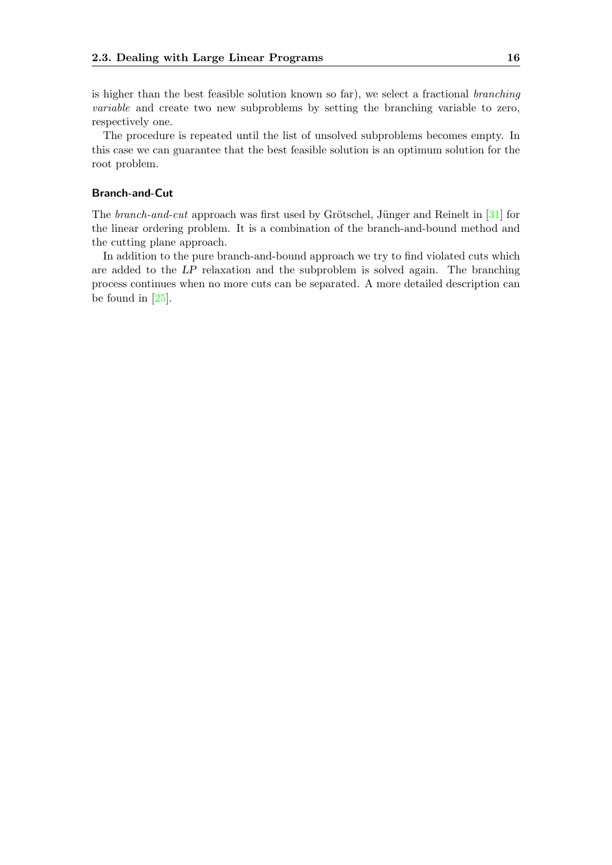is higher than the best feasible solution known so far), we select a fractional branching variable and create two new subproblems by setting the branching variable to zero, respectively one.

The procedure is repeated until the list of unsolved subproblems becomes empty. In this case we can guarantee that the best feasible solution is an optimum solution for the root problem.

#### Branch-and-Cut

The *branch-and-cut* approach was first used by Grötschel, Jünger and Reinelt in  $[31]$  for the linear ordering problem. It is a combination of the branch-and-bound method and the cutting plane approach.

In addition to the pure branch-and-bound approach we try to find violated cuts which are added to the LP relaxation and the subproblem is solved again. The branching process continues when no more cuts can be separated. A more detailed description can be found in  $[25]$ .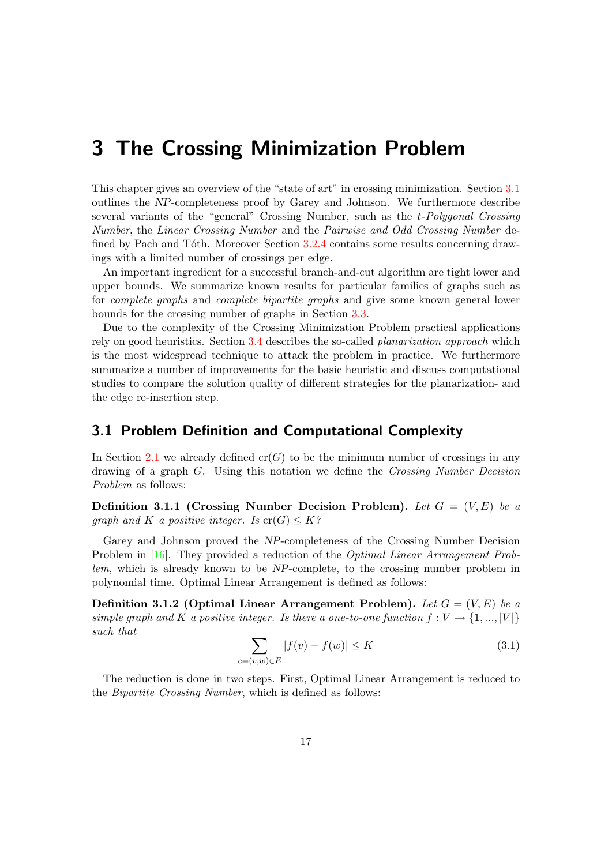# <span id="page-24-0"></span>3 The Crossing Minimization Problem

This chapter gives an overview of the "state of art" in crossing minimization. Section [3.1](#page-24-1) outlines the NP-completeness proof by Garey and Johnson. We furthermore describe several variants of the "general" Crossing Number, such as the t-Polygonal Crossing Number, the Linear Crossing Number and the Pairwise and Odd Crossing Number de-fined by Pach and Tóth. Moreover Section [3.2.4](#page-31-0) contains some results concerning drawings with a limited number of crossings per edge.

An important ingredient for a successful branch-and-cut algorithm are tight lower and upper bounds. We summarize known results for particular families of graphs such as for complete graphs and complete bipartite graphs and give some known general lower bounds for the crossing number of graphs in Section [3.3.](#page-32-0)

Due to the complexity of the Crossing Minimization Problem practical applications rely on good heuristics. Section [3.4](#page-35-0) describes the so-called planarization approach which is the most widespread technique to attack the problem in practice. We furthermore summarize a number of improvements for the basic heuristic and discuss computational studies to compare the solution quality of different strategies for the planarization- and the edge re-insertion step.

## <span id="page-24-1"></span>3.1 Problem Definition and Computational Complexity

In Section [2.1](#page-17-1) we already defined  $cr(G)$  to be the minimum number of crossings in any drawing of a graph G. Using this notation we define the Crossing Number Decision Problem as follows:

Definition 3.1.1 (Crossing Number Decision Problem). Let  $G = (V, E)$  be a graph and K a positive integer. Is  $\operatorname{cr}(G) \leq K$ ?

Garey and Johnson proved the NP-completeness of the Crossing Number Decision Problem in [\[16\]](#page-84-6). They provided a reduction of the *Optimal Linear Arrangement Prob*lem, which is already known to be NP-complete, to the crossing number problem in polynomial time. Optimal Linear Arrangement is defined as follows:

Definition 3.1.2 (Optimal Linear Arrangement Problem). Let  $G = (V, E)$  be a simple graph and K a positive integer. Is there a one-to-one function  $f: V \to \{1, ..., |V|\}$ such that

$$
\sum_{e=(v,w)\in E} |f(v) - f(w)| \le K \tag{3.1}
$$

<span id="page-24-2"></span>The reduction is done in two steps. First, Optimal Linear Arrangement is reduced to the Bipartite Crossing Number, which is defined as follows: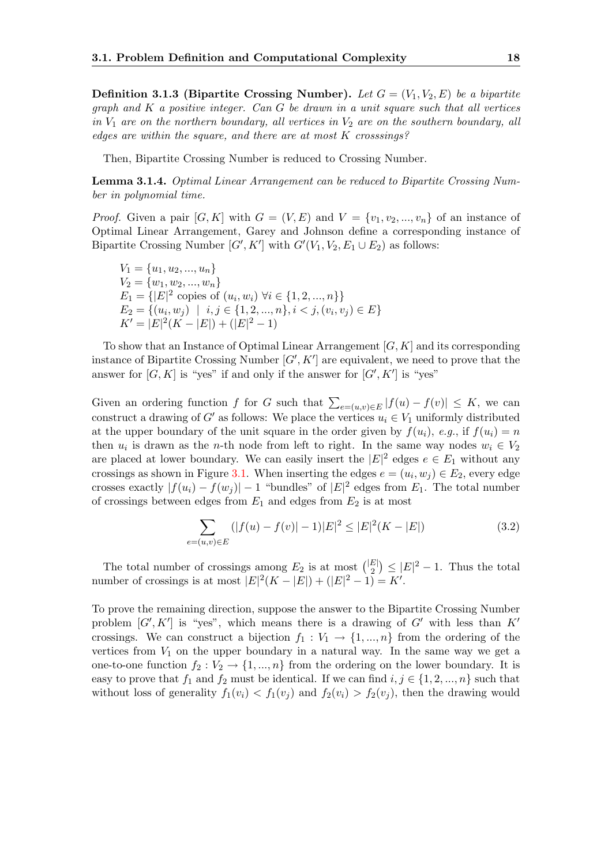**Definition 3.1.3 (Bipartite Crossing Number).** Let  $G = (V_1, V_2, E)$  be a bipartite graph and  $K$  a positive integer. Can  $G$  be drawn in a unit square such that all vertices in  $V_1$  are on the northern boundary, all vertices in  $V_2$  are on the southern boundary, all edges are within the square, and there are at most K crosssings?

Then, Bipartite Crossing Number is reduced to Crossing Number.

<span id="page-25-0"></span>Lemma 3.1.4. Optimal Linear Arrangement can be reduced to Bipartite Crossing Number in polynomial time.

*Proof.* Given a pair  $[G, K]$  with  $G = (V, E)$  and  $V = \{v_1, v_2, ..., v_n\}$  of an instance of Optimal Linear Arrangement, Garey and Johnson define a corresponding instance of Bipartite Crossing Number  $[G', K']$  with  $G'(V_1, V_2, E_1 \cup E_2)$  as follows:

 $V_1 = \{u_1, u_2, ..., u_n\}$  $V_2 = \{w_1, w_2, ..., w_n\}$  $E_1 = \{ |E|^2 \text{ copies of } (u_i, w_i) \ \forall i \in \{1, 2, ..., n\} \}$  $E_2 = \{(u_i, w_j) \mid i, j \in \{1, 2, ..., n\}, i < j, (v_i, v_j) \in E\}$  $K' = |E|^2(K - |E|) + (|E|^2 - 1)$ 

To show that an Instance of Optimal Linear Arrangement  $[G, K]$  and its corresponding instance of Bipartite Crossing Number  $[G', K']$  are equivalent, we need to prove that the answer for  $[G, K]$  is "yes" if and only if the answer for  $[G', K']$  is "yes"

Given an ordering function f for G such that  $\sum_{e=(u,v)\in E}|f(u)-f(v)|\leq K$ , we can construct a drawing of G' as follows: We place the vertices  $u_i \in V_1$  uniformly distributed at the upper boundary of the unit square in the order given by  $f(u_i)$ , e.g., if  $f(u_i) = n$ then  $u_i$  is drawn as the *n*-th node from left to right. In the same way nodes  $w_i \in V_2$ are placed at lower boundary. We can easily insert the  $|E|^2$  edges  $e \in E_1$  without any crossings as shown in Figure [3.1.](#page-26-0) When inserting the edges  $e = (u_i, w_j) \in E_2$ , every edge crosses exactly  $|f(u_i) - f(w_j)| - 1$  "bundles" of  $|E|^2$  edges from  $E_1$ . The total number of crossings between edges from  $E_1$  and edges from  $E_2$  is at most

$$
\sum_{e=(u,v)\in E} (|f(u)-f(v)|-1)|E|^2 \le |E|^2(K-|E|)
$$
\n(3.2)

The total number of crossings among  $E_2$  is at most  $\binom{|E|}{2}$  $\binom{E}{2} \leq |E|^2 - 1$ . Thus the total number of crossings is at most  $|E|^2(K - |E|) + (|E|^2 - 1) = K'.$ 

To prove the remaining direction, suppose the answer to the Bipartite Crossing Number problem  $[G', K']$  is "yes", which means there is a drawing of  $G'$  with less than  $K'$ crossings. We can construct a bijection  $f_1 : V_1 \to \{1, ..., n\}$  from the ordering of the vertices from  $V_1$  on the upper boundary in a natural way. In the same way we get a one-to-one function  $f_2 : V_2 \to \{1, ..., n\}$  from the ordering on the lower boundary. It is easy to prove that  $f_1$  and  $f_2$  must be identical. If we can find  $i, j \in \{1, 2, ..., n\}$  such that without loss of generality  $f_1(v_i) < f_1(v_j)$  and  $f_2(v_i) > f_2(v_j)$ , then the drawing would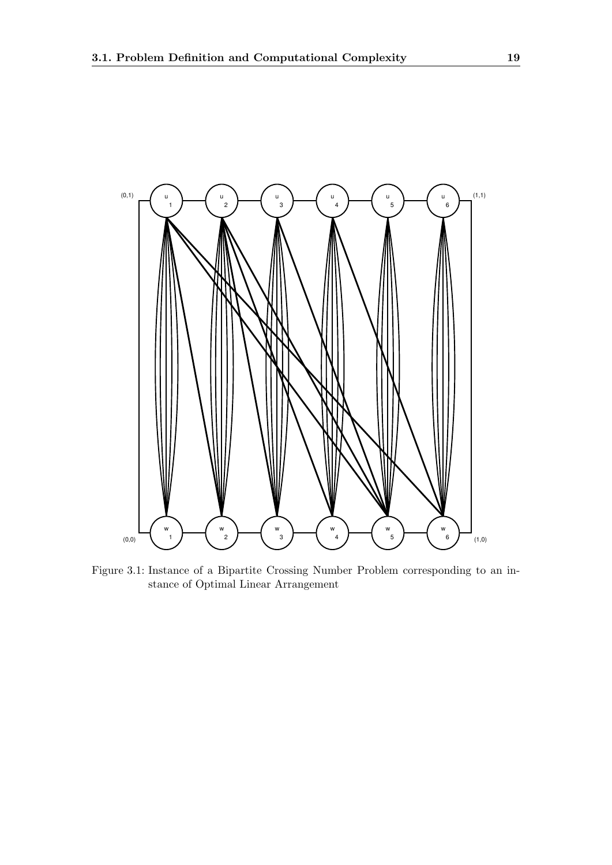

<span id="page-26-0"></span>Figure 3.1: Instance of a Bipartite Crossing Number Problem corresponding to an instance of Optimal Linear Arrangement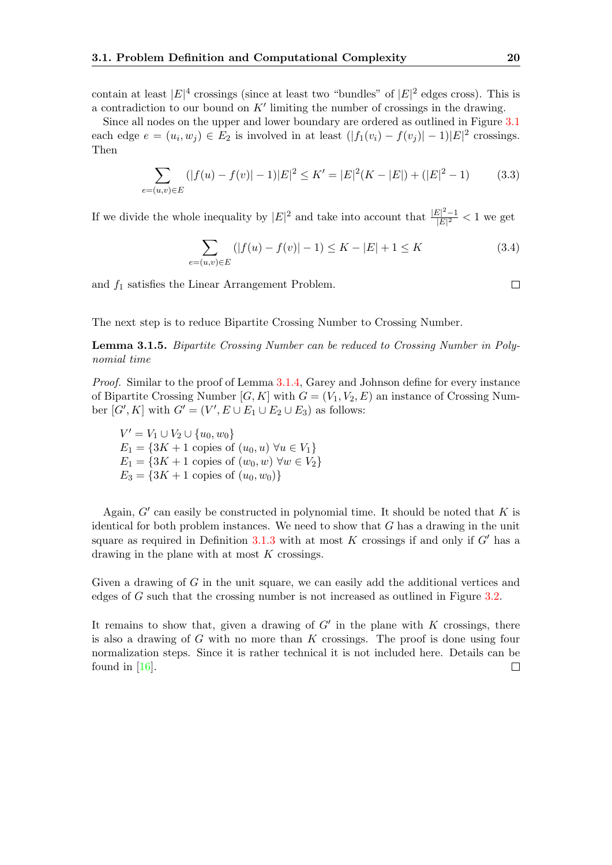contain at least  $|E|^4$  crossings (since at least two "bundles" of  $|E|^2$  edges cross). This is a contradiction to our bound on  $K'$  limiting the number of crossings in the drawing.

Since all nodes on the upper and lower boundary are ordered as outlined in Figure [3.1](#page-26-0) each edge  $e = (u_i, w_j) \in E_2$  is involved in at least  $(|f_1(v_i) - f(v_j)| - 1)|E|^2$  crossings. Then

$$
\sum_{e=(u,v)\in E} (|f(u)-f(v)|-1)|E|^2 \le K' = |E|^2(K-|E|) + (|E|^2-1)
$$
 (3.3)

If we divide the whole inequality by  $|E|^2$  and take into account that  $\frac{|E|^2-1}{|E|^2}$  $\frac{E|^{2}-1}{|E|^{2}} < 1$  we get

$$
\sum_{e=(u,v)\in E} (|f(u)-f(v)|-1) \le K - |E| + 1 \le K \tag{3.4}
$$

and  $f_1$  satisfies the Linear Arrangement Problem.

 $\Box$ 

The next step is to reduce Bipartite Crossing Number to Crossing Number.

Lemma 3.1.5. Bipartite Crossing Number can be reduced to Crossing Number in Polynomial time

Proof. Similar to the proof of Lemma [3.1.4,](#page-25-0) Garey and Johnson define for every instance of Bipartite Crossing Number  $[G, K]$  with  $G = (V_1, V_2, E)$  an instance of Crossing Number  $[G', K]$  with  $G' = (V', E \cup E_1 \cup E_2 \cup E_3)$  as follows:

 $V' = V_1 \cup V_2 \cup \{u_0, w_0\}$  $E_1 = \{3K + 1 \text{ copies of } (u_0, u) \,\forall u \in V_1\}$  $E_1 = \{3K + 1 \text{ copies of } (w_0, w) \,\forall w \in V_2\}$  $E_3 = \{3K + 1 \text{ copies of } (u_0, w_0)\}\$ 

Again,  $G'$  can easily be constructed in polynomial time. It should be noted that  $K$  is identical for both problem instances. We need to show that  $G$  has a drawing in the unit square as required in Definition [3.1.3](#page-24-2) with at most K crossings if and only if  $G'$  has a drawing in the plane with at most K crossings.

Given a drawing of G in the unit square, we can easily add the additional vertices and edges of G such that the crossing number is not increased as outlined in Figure [3.2.](#page-28-0)

It remains to show that, given a drawing of  $G'$  in the plane with  $K$  crossings, there is also a drawing of  $G$  with no more than  $K$  crossings. The proof is done using four normalization steps. Since it is rather technical it is not included here. Details can be found in [\[16\]](#page-84-6). $\Box$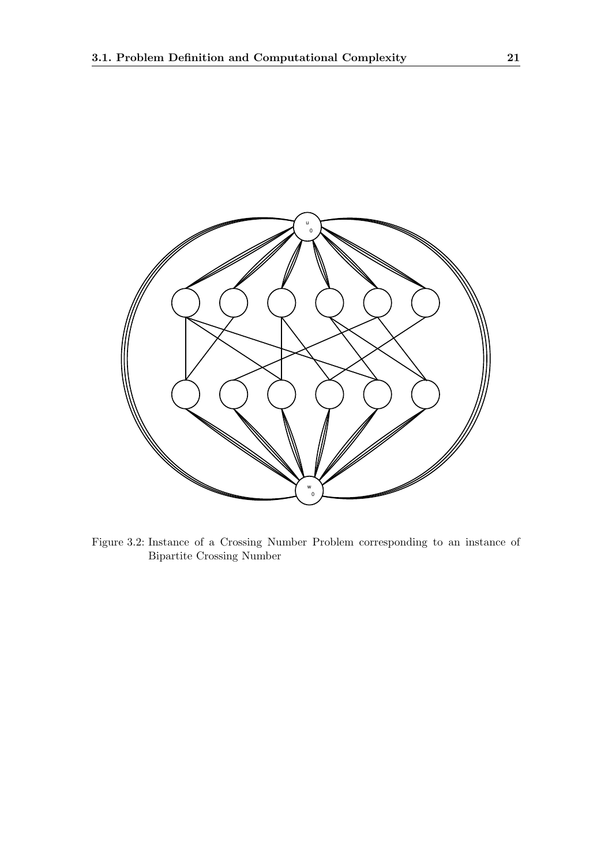

<span id="page-28-0"></span>Figure 3.2: Instance of a Crossing Number Problem corresponding to an instance of Bipartite Crossing Number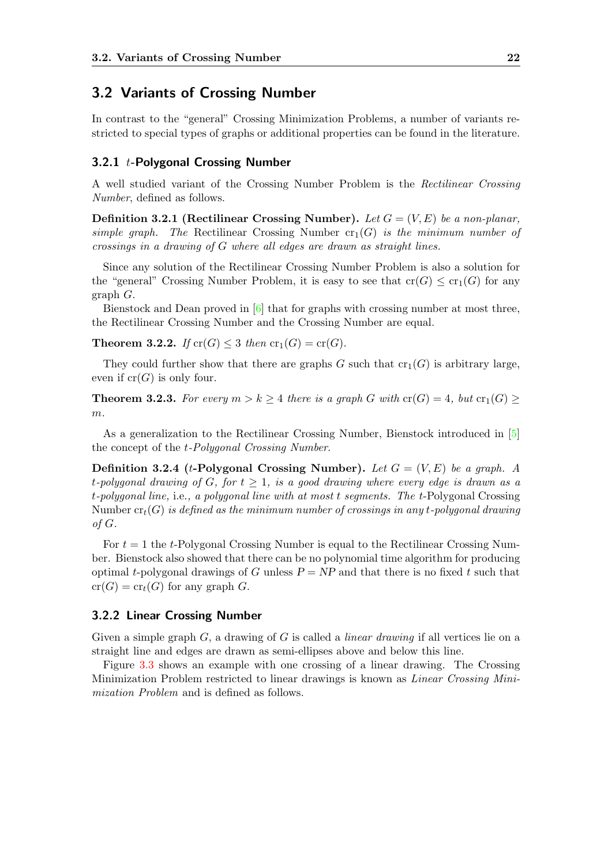### <span id="page-29-0"></span>3.2 Variants of Crossing Number

In contrast to the "general" Crossing Minimization Problems, a number of variants restricted to special types of graphs or additional properties can be found in the literature.

#### <span id="page-29-1"></span>3.2.1  $t$ -Polygonal Crossing Number

A well studied variant of the Crossing Number Problem is the Rectilinear Crossing Number, defined as follows.

**Definition 3.2.1 (Rectilinear Crossing Number).** Let  $G = (V, E)$  be a non-planar, simple graph. The Rectilinear Crossing Number  $cr_1(G)$  is the minimum number of crossings in a drawing of G where all edges are drawn as straight lines.

Since any solution of the Rectilinear Crossing Number Problem is also a solution for the "general" Crossing Number Problem, it is easy to see that  $cr(G) \leq cr_1(G)$  for any graph G.

Bienstock and Dean proved in [\[6\]](#page-83-4) that for graphs with crossing number at most three, the Rectilinear Crossing Number and the Crossing Number are equal.

**Theorem 3.2.2.** If  $\text{cr}(G) \leq 3$  then  $\text{cr}_1(G) = \text{cr}(G)$ .

They could further show that there are graphs G such that  $\mathrm{cr}_1(G)$  is arbitrary large, even if  $cr(G)$  is only four.

**Theorem 3.2.3.** For every  $m > k \geq 4$  there is a graph G with  $cr(G) = 4$ , but  $cr_1(G) \geq$  $m$ .

As a generalization to the Rectilinear Crossing Number, Bienstock introduced in [\[5\]](#page-83-5) the concept of the t-Polygonal Crossing Number.

Definition 3.2.4 (t-Polygonal Crossing Number). Let  $G = (V, E)$  be a graph. A t-polygonal drawing of G, for  $t \geq 1$ , is a good drawing where every edge is drawn as a t-polygonal line, i.e., a polygonal line with at most t segments. The t-Polygonal Crossing Number  $\mathrm{cr}_t(G)$  is defined as the minimum number of crossings in any t-polygonal drawing of G.

For  $t = 1$  the t-Polygonal Crossing Number is equal to the Rectilinear Crossing Number. Bienstock also showed that there can be no polynomial time algorithm for producing optimal t-polygonal drawings of G unless  $P = NP$  and that there is no fixed t such that  $cr(G) = cr<sub>t</sub>(G)$  for any graph G.

#### <span id="page-29-2"></span>3.2.2 Linear Crossing Number

Given a simple graph  $G$ , a drawing of G is called a *linear drawing* if all vertices lie on a straight line and edges are drawn as semi-ellipses above and below this line.

Figure [3.3](#page-30-1) shows an example with one crossing of a linear drawing. The Crossing Minimization Problem restricted to linear drawings is known as Linear Crossing Minimization Problem and is defined as follows.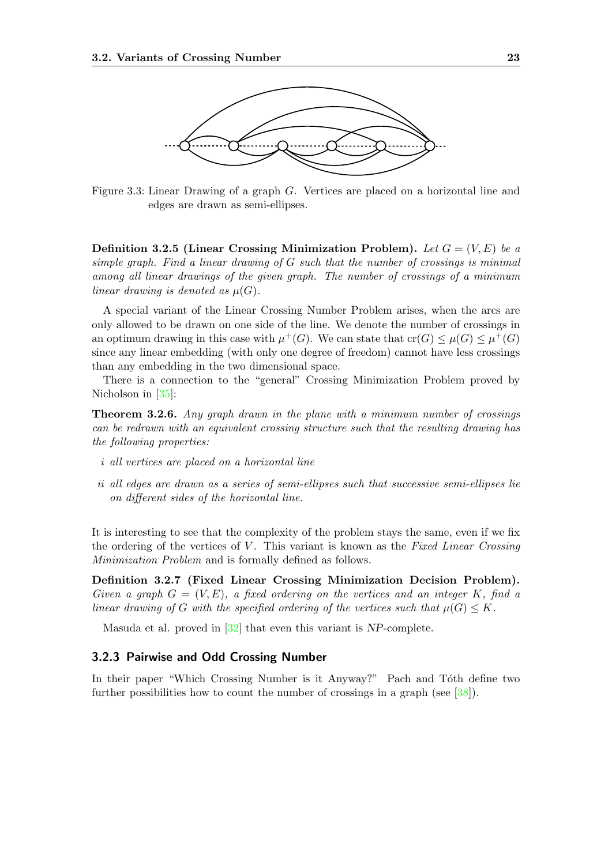

<span id="page-30-1"></span>Figure 3.3: Linear Drawing of a graph G. Vertices are placed on a horizontal line and edges are drawn as semi-ellipses.

Definition 3.2.5 (Linear Crossing Minimization Problem). Let  $G = (V, E)$  be a simple graph. Find a linear drawing of  $G$  such that the number of crossings is minimal among all linear drawings of the given graph. The number of crossings of a minimum linear drawing is denoted as  $\mu(G)$ .

A special variant of the Linear Crossing Number Problem arises, when the arcs are only allowed to be drawn on one side of the line. We denote the number of crossings in an optimum drawing in this case with  $\mu^+(G)$ . We can state that  $\operatorname{cr}(G) \leq \mu(G) \leq \mu^+(G)$ since any linear embedding (with only one degree of freedom) cannot have less crossings than any embedding in the two dimensional space.

There is a connection to the "general" Crossing Minimization Problem proved by Nicholson in [\[35\]](#page-85-7):

Theorem 3.2.6. Any graph drawn in the plane with a minimum number of crossings can be redrawn with an equivalent crossing structure such that the resulting drawing has the following properties:

- i all vertices are placed on a horizontal line
- ii all edges are drawn as a series of semi-ellipses such that successive semi-ellipses lie on different sides of the horizontal line.

It is interesting to see that the complexity of the problem stays the same, even if we fix the ordering of the vertices of  $V$ . This variant is known as the Fixed Linear Crossing Minimization Problem and is formally defined as follows.

Definition 3.2.7 (Fixed Linear Crossing Minimization Decision Problem). Given a graph  $G = (V, E)$ , a fixed ordering on the vertices and an integer K, find a linear drawing of G with the specified ordering of the vertices such that  $\mu(G) \leq K$ .

Masuda et al. proved in [\[32\]](#page-85-8) that even this variant is NP-complete.

#### <span id="page-30-0"></span>3.2.3 Pairwise and Odd Crossing Number

In their paper "Which Crossing Number is it Anyway?" Pach and Tóth define two further possibilities how to count the number of crossings in a graph (see [\[38\]](#page-85-9)).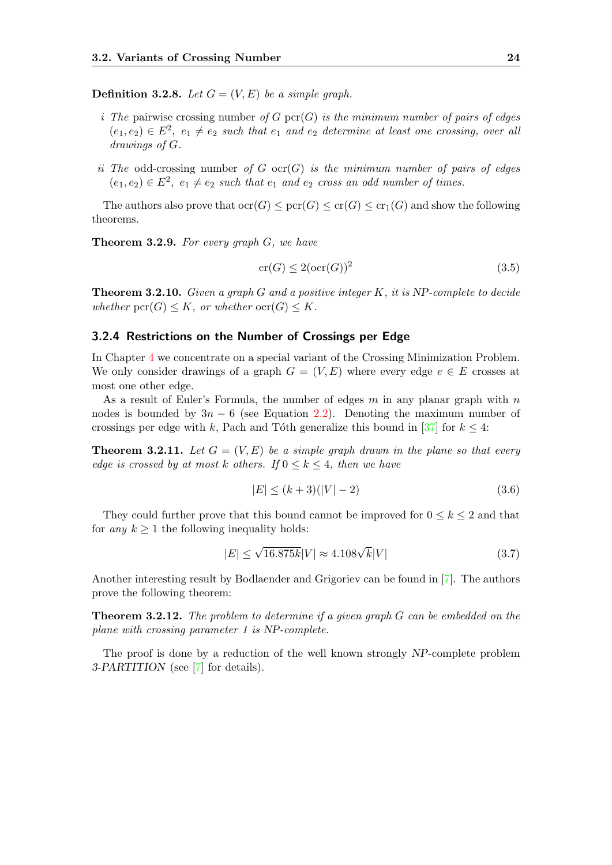**Definition 3.2.8.** Let  $G = (V, E)$  be a simple graph.

- i The pairwise crossing number of G pcr(G) is the minimum number of pairs of edges  $(e_1, e_2) \in E^2$ ,  $e_1 \neq e_2$  such that  $e_1$  and  $e_2$  determine at least one crossing, over all drawings of G.
- ii The odd-crossing number of G ocr(G) is the minimum number of pairs of edges  $(e_1, e_2) \in E^2$ ,  $e_1 \neq e_2$  such that  $e_1$  and  $e_2$  cross an odd number of times.

The authors also prove that  $\mathrm{ocr}(G) \leq \mathrm{per}(G) \leq \mathrm{cr}(G) \leq \mathrm{cr}_1(G)$  and show the following theorems.

Theorem 3.2.9. For every graph G, we have

$$
\operatorname{cr}(G) \le 2(\operatorname{ocr}(G))^2\tag{3.5}
$$

**Theorem 3.2.10.** Given a graph G and a positive integer K, it is NP-complete to decide whether  $\text{pcr}(G) \leq K$ , or whether  $\text{ocr}(G) \leq K$ .

#### <span id="page-31-0"></span>3.2.4 Restrictions on the Number of Crossings per Edge

In Chapter [4](#page-40-0) we concentrate on a special variant of the Crossing Minimization Problem. We only consider drawings of a graph  $G = (V, E)$  where every edge  $e \in E$  crosses at most one other edge.

As a result of Euler's Formula, the number of edges  $m$  in any planar graph with  $n$ nodes is bounded by  $3n - 6$  (see Equation [2.2\)](#page-19-1). Denoting the maximum number of crossings per edge with k, Pach and Tôth generalize this bound in [\[37\]](#page-85-10) for  $k \leq 4$ :

<span id="page-31-1"></span>**Theorem 3.2.11.** Let  $G = (V, E)$  be a simple graph drawn in the plane so that every edge is crossed by at most k others. If  $0 \leq k \leq 4$ , then we have

$$
|E| \le (k+3)(|V|-2)
$$
\n(3.6)

They could further prove that this bound cannot be improved for  $0 \leq k \leq 2$  and that for any  $k \geq 1$  the following inequality holds:

$$
|E| \le \sqrt{16.875k}|V| \approx 4.108\sqrt{k}|V| \tag{3.7}
$$

Another interesting result by Bodlaender and Grigoriev can be found in [\[7\]](#page-83-6). The authors prove the following theorem:

Theorem 3.2.12. The problem to determine if a given graph G can be embedded on the plane with crossing parameter 1 is NP-complete.

The proof is done by a reduction of the well known strongly NP-complete problem 3-PARTITION (see [\[7\]](#page-83-6) for details).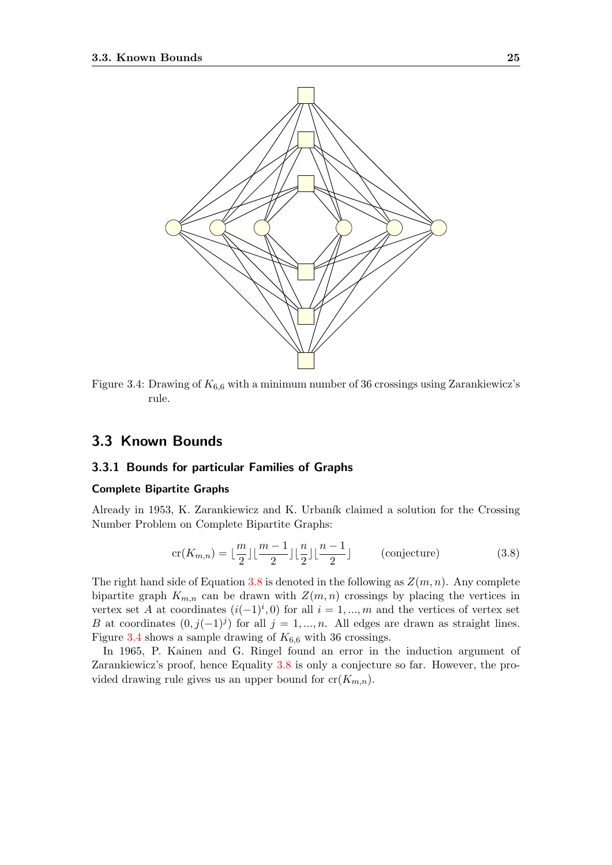

<span id="page-32-2"></span>Figure 3.4: Drawing of  $K_{6,6}$  with a minimum number of 36 crossings using Zarankiewicz's rule.

## <span id="page-32-0"></span>3.3 Known Bounds

#### <span id="page-32-1"></span>3.3.1 Bounds for particular Families of Graphs

#### Complete Bipartite Graphs

Already in 1953, K. Zarankiewicz and K. Urbaník claimed a solution for the Crossing Number Problem on Complete Bipartite Graphs:

<span id="page-32-3"></span>
$$
\operatorname{cr}(K_{m,n}) = \lfloor \frac{m}{2} \rfloor \lfloor \frac{m-1}{2} \rfloor \lfloor \frac{n}{2} \rfloor \lfloor \frac{n-1}{2} \rfloor \qquad \text{(conjecture)} \tag{3.8}
$$

The right hand side of Equation [3.8](#page-32-3) is denoted in the following as  $Z(m, n)$ . Any complete bipartite graph  $K_{m,n}$  can be drawn with  $Z(m,n)$  crossings by placing the vertices in vertex set A at coordinates  $(i(-1)^i, 0)$  for all  $i = 1, ..., m$  and the vertices of vertex set B at coordinates  $(0, j(-1)^j)$  for all  $j = 1, ..., n$ . All edges are drawn as straight lines. Figure [3.4](#page-32-2) shows a sample drawing of  $K_{6,6}$  with 36 crossings.

In 1965, P. Kainen and G. Ringel found an error in the induction argument of Zarankiewicz's proof, hence Equality [3.8](#page-32-3) is only a conjecture so far. However, the provided drawing rule gives us an upper bound for  $cr(K_{m,n})$ .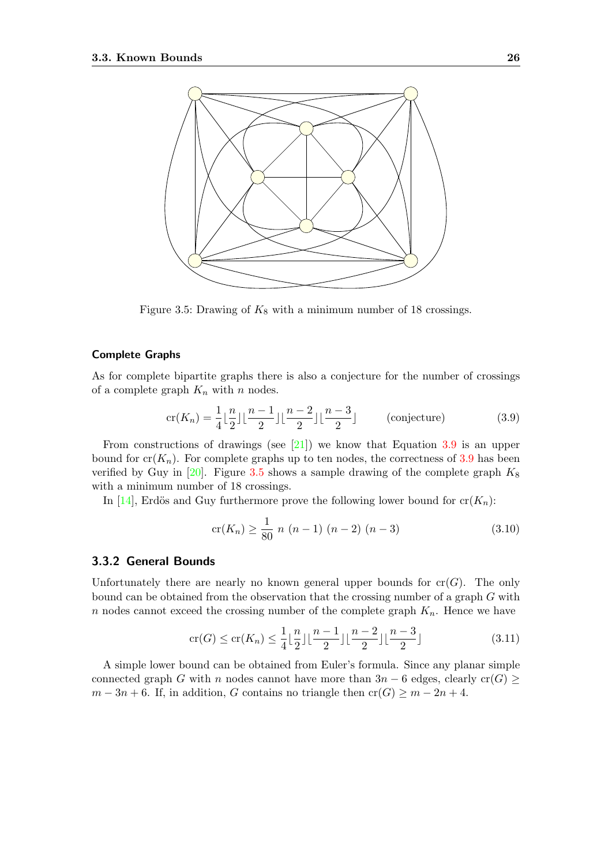

<span id="page-33-1"></span>Figure 3.5: Drawing of  $K_8$  with a minimum number of 18 crossings.

#### Complete Graphs

As for complete bipartite graphs there is also a conjecture for the number of crossings of a complete graph  $K_n$  with n nodes.

<span id="page-33-2"></span>
$$
\operatorname{cr}(K_n) = \frac{1}{4} \lfloor \frac{n}{2} \rfloor \lfloor \frac{n-1}{2} \rfloor \lfloor \frac{n-2}{2} \rfloor \lfloor \frac{n-3}{2} \rfloor \qquad \text{(conjecture)} \tag{3.9}
$$

From constructions of drawings (see [\[21\]](#page-84-7)) we know that Equation [3.9](#page-33-2) is an upper bound for  $cr(K_n)$ . For complete graphs up to ten nodes, the correctness of [3.9](#page-33-2) has been verified by Guy in [\[20\]](#page-84-8). Figure [3.5](#page-33-1) shows a sample drawing of the complete graph  $K_8$ with a minimum number of 18 crossings.

In [\[14\]](#page-84-9), Erdös and Guy furthermore prove the following lower bound for  $cr(K_n)$ :

$$
cr(K_n) \ge \frac{1}{80} n (n-1) (n-2) (n-3)
$$
\n(3.10)

#### <span id="page-33-0"></span>3.3.2 General Bounds

Unfortunately there are nearly no known general upper bounds for  $cr(G)$ . The only bound can be obtained from the observation that the crossing number of a graph G with n nodes cannot exceed the crossing number of the complete graph  $K_n$ . Hence we have

$$
\operatorname{cr}(G) \le \operatorname{cr}(K_n) \le \frac{1}{4} \lfloor \frac{n}{2} \rfloor \lfloor \frac{n-1}{2} \rfloor \lfloor \frac{n-2}{2} \rfloor \lfloor \frac{n-3}{2} \rfloor \tag{3.11}
$$

A simple lower bound can be obtained from Euler's formula. Since any planar simple connected graph G with n nodes cannot have more than  $3n - 6$  edges, clearly cr(G) ≥  $m-3n+6$ . If, in addition, G contains no triangle then  $cr(G) \geq m-2n+4$ .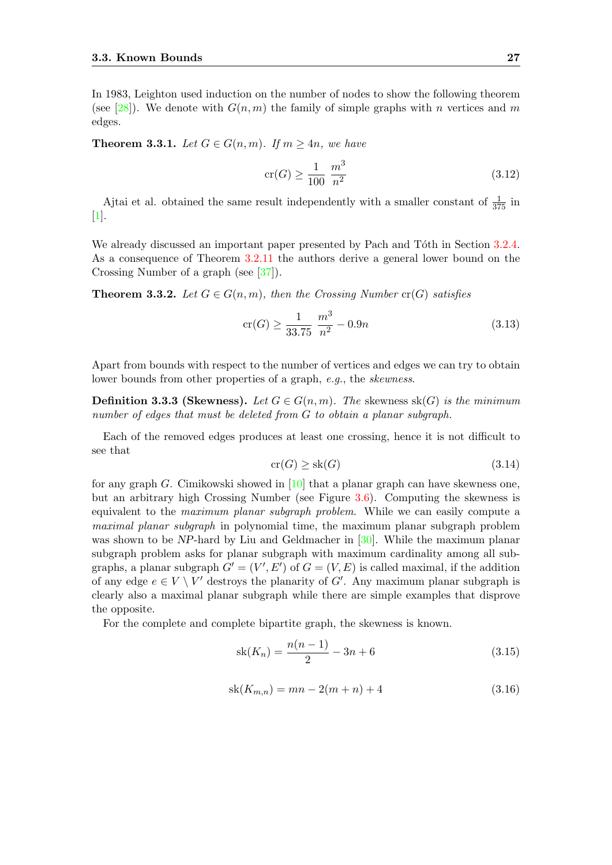In 1983, Leighton used induction on the number of nodes to show the following theorem (see [\[28\]](#page-85-11)). We denote with  $G(n, m)$  the family of simple graphs with n vertices and m edges.

**Theorem 3.3.1.** Let  $G \in G(n,m)$ . If  $m \geq 4n$ , we have

$$
\operatorname{cr}(G) \ge \frac{1}{100} \frac{m^3}{n^2} \tag{3.12}
$$

Ajtai et al. obtained the same result independently with a smaller constant of  $\frac{1}{375}$  in [\[1\]](#page-83-7).

We already discussed an important paper presented by Pach and Tôth in Section [3.2.4.](#page-31-0) As a consequence of Theorem  $3.2.11$  the authors derive a general lower bound on the Crossing Number of a graph (see [\[37\]](#page-85-10)).

**Theorem 3.3.2.** Let  $G \in G(n,m)$ , then the Crossing Number  $cr(G)$  satisfies

$$
\operatorname{cr}(G) \ge \frac{1}{33.75} \frac{m^3}{n^2} - 0.9n \tag{3.13}
$$

Apart from bounds with respect to the number of vertices and edges we can try to obtain lower bounds from other properties of a graph, e.g., the *skewness*.

**Definition 3.3.3 (Skewness).** Let  $G \in G(n,m)$ . The skewness sk(G) is the minimum number of edges that must be deleted from G to obtain a planar subgraph.

Each of the removed edges produces at least one crossing, hence it is not difficult to see that

$$
\operatorname{cr}(G) \ge \operatorname{sk}(G) \tag{3.14}
$$

for any graph G. Cimikowski showed in  $[10]$  that a planar graph can have skewness one, but an arbitrary high Crossing Number (see Figure [3.6\)](#page-35-1). Computing the skewness is equivalent to the maximum planar subgraph problem. While we can easily compute a maximal planar subgraph in polynomial time, the maximum planar subgraph problem was shown to be NP-hard by Liu and Geldmacher in [\[30\]](#page-85-12). While the maximum planar subgraph problem asks for planar subgraph with maximum cardinality among all subgraphs, a planar subgraph  $G' = (V', E')$  of  $G = (V, E)$  is called maximal, if the addition of any edge  $e \in V \setminus V'$  destroys the planarity of G'. Any maximum planar subgraph is clearly also a maximal planar subgraph while there are simple examples that disprove the opposite.

For the complete and complete bipartite graph, the skewness is known.

$$
sk(K_n) = \frac{n(n-1)}{2} - 3n + 6
$$
\n(3.15)

$$
sk(K_{m,n}) = mn - 2(m+n) + 4
$$
\n(3.16)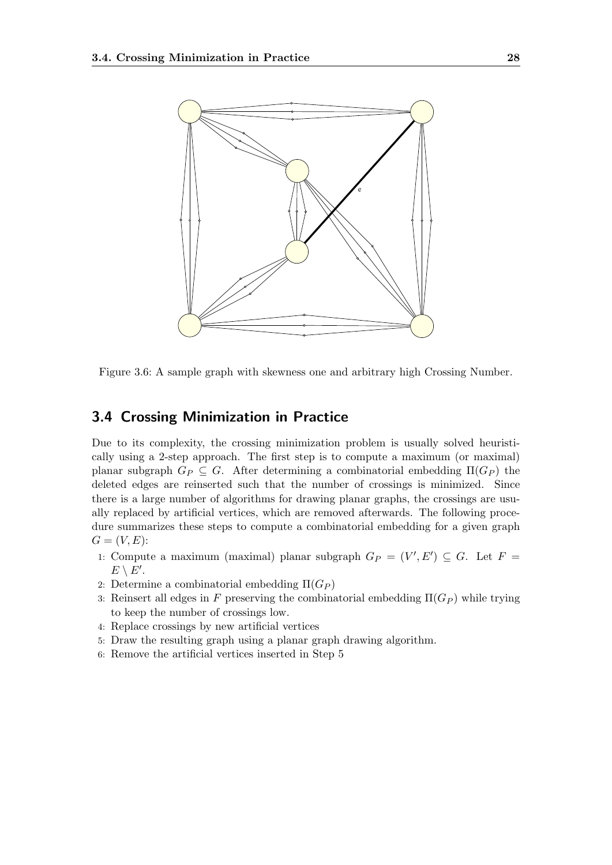

<span id="page-35-1"></span>Figure 3.6: A sample graph with skewness one and arbitrary high Crossing Number.

## <span id="page-35-0"></span>3.4 Crossing Minimization in Practice

Due to its complexity, the crossing minimization problem is usually solved heuristically using a 2-step approach. The first step is to compute a maximum (or maximal) planar subgraph  $G_P \subseteq G$ . After determining a combinatorial embedding  $\Pi(G_P)$  the deleted edges are reinserted such that the number of crossings is minimized. Since there is a large number of algorithms for drawing planar graphs, the crossings are usually replaced by artificial vertices, which are removed afterwards. The following procedure summarizes these steps to compute a combinatorial embedding for a given graph  $G = (V, E)$ :

- 1: Compute a maximum (maximal) planar subgraph  $G_P = (V', E') \subseteq G$ . Let  $F =$  $E \setminus E'.$
- 2: Determine a combinatorial embedding  $\Pi(G_P)$
- 3: Reinsert all edges in F preserving the combinatorial embedding  $\Pi(G_P)$  while trying to keep the number of crossings low.
- 4: Replace crossings by new artificial vertices
- 5: Draw the resulting graph using a planar graph drawing algorithm.
- 6: Remove the artificial vertices inserted in Step 5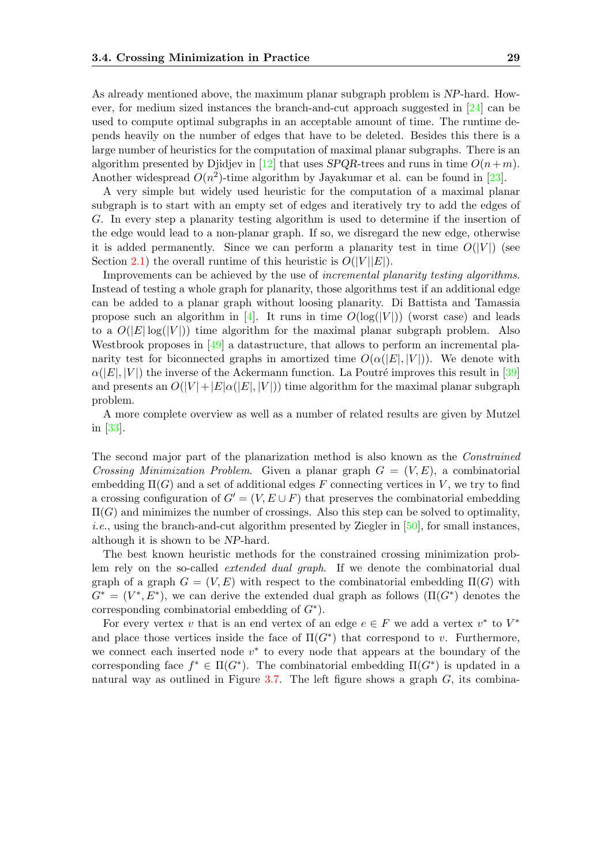As already mentioned above, the maximum planar subgraph problem is NP-hard. However, for medium sized instances the branch-and-cut approach suggested in [\[24\]](#page-84-0) can be used to compute optimal subgraphs in an acceptable amount of time. The runtime depends heavily on the number of edges that have to be deleted. Besides this there is a large number of heuristics for the computation of maximal planar subgraphs. There is an algorithm presented by Diidjev in [\[12\]](#page-83-0) that uses SPQR-trees and runs in time  $O(n+m)$ . Another widespread  $O(n^2)$ -time algorithm by Jayakumar et al. can be found in [\[23\]](#page-84-1).

A very simple but widely used heuristic for the computation of a maximal planar subgraph is to start with an empty set of edges and iteratively try to add the edges of G. In every step a planarity testing algorithm is used to determine if the insertion of the edge would lead to a non-planar graph. If so, we disregard the new edge, otherwise it is added permanently. Since we can perform a planarity test in time  $O(|V|)$  (see Section [2.1\)](#page-17-0) the overall runtime of this heuristic is  $O(|V||E|)$ .

Improvements can be achieved by the use of incremental planarity testing algorithms. Instead of testing a whole graph for planarity, those algorithms test if an additional edge can be added to a planar graph without loosing planarity. Di Battista and Tamassia propose such an algorithm in [\[4\]](#page-83-1). It runs in time  $O(log(|V|))$  (worst case) and leads to a  $O(|E|\log(|V|))$  time algorithm for the maximal planar subgraph problem. Also Westbrook proposes in [\[49\]](#page-86-0) a datastructure, that allows to perform an incremental planarity test for biconnected graphs in amortized time  $O(\alpha(|E|, |V|))$ . We denote with  $\alpha(|E|, |V|)$  the inverse of the Ackermann function. La Poutré improves this result in [\[39\]](#page-85-0) and presents an  $O(|V|+|E|\alpha(|E|, |V|))$  time algorithm for the maximal planar subgraph problem.

A more complete overview as well as a number of related results are given by Mutzel in [\[33\]](#page-85-1).

The second major part of the planarization method is also known as the Constrained Crossing Minimization Problem. Given a planar graph  $G = (V, E)$ , a combinatorial embedding  $\Pi(G)$  and a set of additional edges F connecting vertices in V, we try to find a crossing configuration of  $G' = (V, E \cup F)$  that preserves the combinatorial embedding  $\Pi(G)$  and minimizes the number of crossings. Also this step can be solved to optimality, *i.e.*, using the branch-and-cut algorithm presented by Ziegler in  $[50]$ , for small instances, although it is shown to be NP-hard.

The best known heuristic methods for the constrained crossing minimization problem rely on the so-called extended dual graph. If we denote the combinatorial dual graph of a graph  $G = (V, E)$  with respect to the combinatorial embedding  $\Pi(G)$  with  $G^* = (V^*, E^*)$ , we can derive the extended dual graph as follows  $(\Pi(G^*)$  denotes the corresponding combinatorial embedding of  $G^*$ ).

For every vertex v that is an end vertex of an edge  $e \in F$  we add a vertex  $v^*$  to  $V^*$ and place those vertices inside the face of  $\Pi(G^*)$  that correspond to v. Furthermore, we connect each inserted node  $v^*$  to every node that appears at the boundary of the corresponding face  $f^* \in \Pi(G^*)$ . The combinatorial embedding  $\Pi(G^*)$  is updated in a natural way as outlined in Figure [3.7.](#page-37-0) The left figure shows a graph  $G$ , its combina-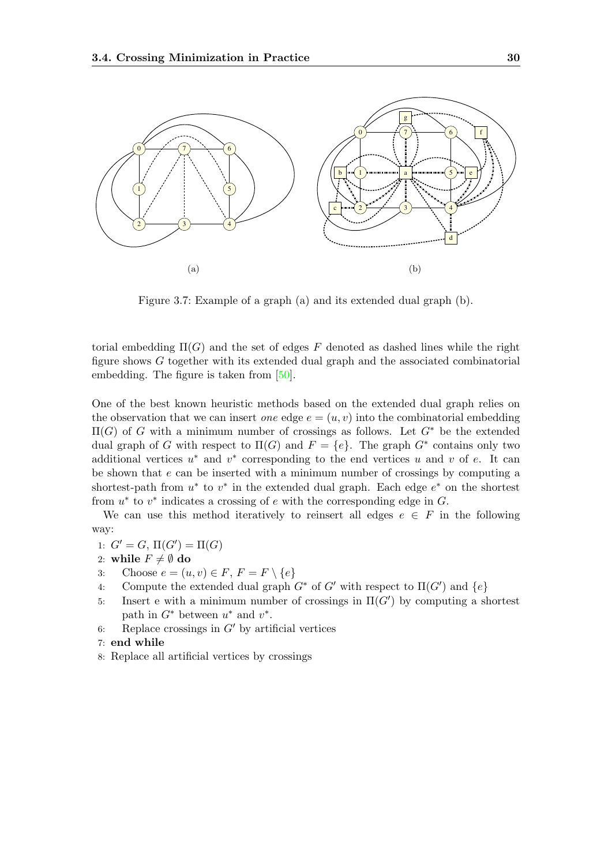

<span id="page-37-0"></span>Figure 3.7: Example of a graph (a) and its extended dual graph (b).

torial embedding  $\Pi(G)$  and the set of edges F denoted as dashed lines while the right figure shows G together with its extended dual graph and the associated combinatorial embedding. The figure is taken from [\[50\]](#page-86-1).

One of the best known heuristic methods based on the extended dual graph relies on the observation that we can insert *one* edge  $e = (u, v)$  into the combinatorial embedding  $\Pi(G)$  of G with a minimum number of crossings as follows. Let  $G^*$  be the extended dual graph of G with respect to  $\Pi(G)$  and  $F = \{e\}$ . The graph  $G^*$  contains only two additional vertices  $u^*$  and  $v^*$  corresponding to the end vertices u and v of e. It can be shown that  $e$  can be inserted with a minimum number of crossings by computing a shortest-path from  $u^*$  to  $v^*$  in the extended dual graph. Each edge  $e^*$  on the shortest from  $u^*$  to  $v^*$  indicates a crossing of  $e$  with the corresponding edge in  $G$ .

We can use this method iteratively to reinsert all edges  $e \in F$  in the following way:

- 1:  $G' = G$ ,  $\Pi(G') = \Pi(G)$
- 2: while  $F \neq \emptyset$  do
- 3: Choose  $e = (u, v) \in F$ ,  $F = F \setminus \{e\}$
- 4: Compute the extended dual graph  $G^*$  of  $G'$  with respect to  $\Pi(G')$  and  $\{e\}$
- 5: Insert e with a minimum number of crossings in  $\Pi(G')$  by computing a shortest path in  $G^*$  between  $u^*$  and  $v^*$ .
- 6: Replace crossings in  $G'$  by artificial vertices
- 7: end while
- 8: Replace all artificial vertices by crossings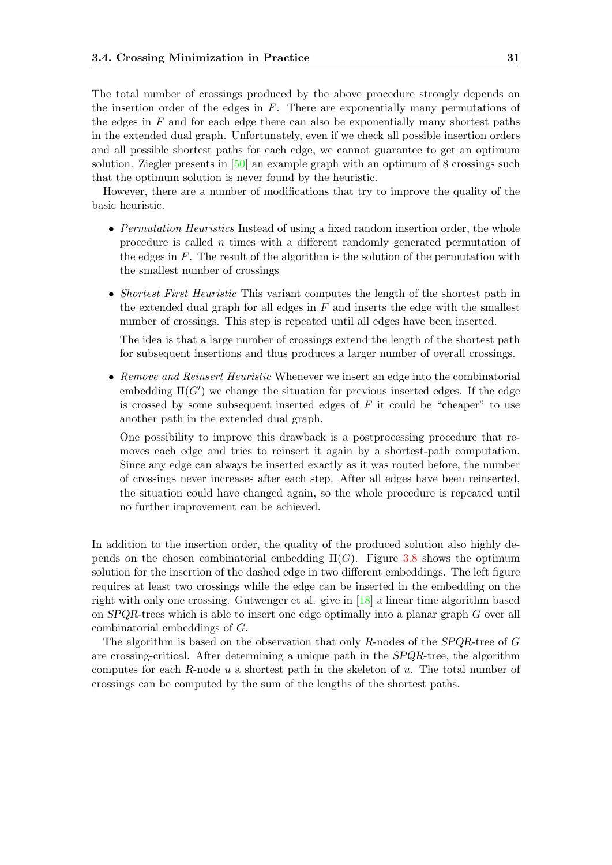The total number of crossings produced by the above procedure strongly depends on the insertion order of the edges in  $F$ . There are exponentially many permutations of the edges in  $F$  and for each edge there can also be exponentially many shortest paths in the extended dual graph. Unfortunately, even if we check all possible insertion orders and all possible shortest paths for each edge, we cannot guarantee to get an optimum solution. Ziegler presents in [\[50\]](#page-86-1) an example graph with an optimum of 8 crossings such that the optimum solution is never found by the heuristic.

However, there are a number of modifications that try to improve the quality of the basic heuristic.

- Permutation Heuristics Instead of using a fixed random insertion order, the whole procedure is called n times with a different randomly generated permutation of the edges in  $F$ . The result of the algorithm is the solution of the permutation with the smallest number of crossings
- Shortest First Heuristic This variant computes the length of the shortest path in the extended dual graph for all edges in  $F$  and inserts the edge with the smallest number of crossings. This step is repeated until all edges have been inserted.

The idea is that a large number of crossings extend the length of the shortest path for subsequent insertions and thus produces a larger number of overall crossings.

• Remove and Reinsert Heuristic Whenever we insert an edge into the combinatorial embedding  $\Pi(G')$  we change the situation for previous inserted edges. If the edge is crossed by some subsequent inserted edges of  $F$  it could be "cheaper" to use another path in the extended dual graph.

One possibility to improve this drawback is a postprocessing procedure that removes each edge and tries to reinsert it again by a shortest-path computation. Since any edge can always be inserted exactly as it was routed before, the number of crossings never increases after each step. After all edges have been reinserted, the situation could have changed again, so the whole procedure is repeated until no further improvement can be achieved.

In addition to the insertion order, the quality of the produced solution also highly depends on the chosen combinatorial embedding  $\Pi(G)$ . Figure [3.8](#page-39-0) shows the optimum solution for the insertion of the dashed edge in two different embeddings. The left figure requires at least two crossings while the edge can be inserted in the embedding on the right with only one crossing. Gutwenger et al. give in [\[18\]](#page-84-2) a linear time algorithm based on SPQR-trees which is able to insert one edge optimally into a planar graph G over all combinatorial embeddings of G.

The algorithm is based on the observation that only R-nodes of the SPQR-tree of G are crossing-critical. After determining a unique path in the SPQR-tree, the algorithm computes for each R-node  $u$  a shortest path in the skeleton of  $u$ . The total number of crossings can be computed by the sum of the lengths of the shortest paths.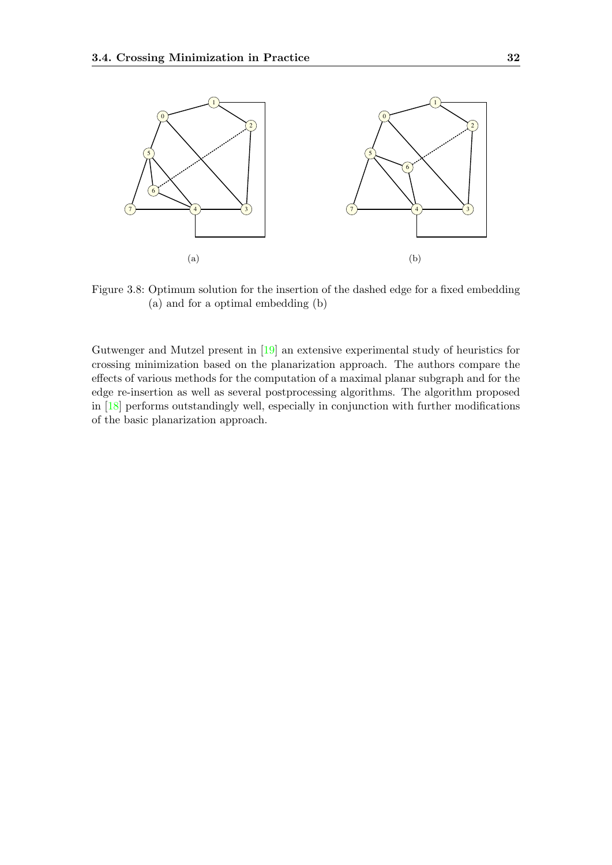

<span id="page-39-0"></span>Figure 3.8: Optimum solution for the insertion of the dashed edge for a fixed embedding (a) and for a optimal embedding (b)

Gutwenger and Mutzel present in [\[19\]](#page-84-3) an extensive experimental study of heuristics for crossing minimization based on the planarization approach. The authors compare the effects of various methods for the computation of a maximal planar subgraph and for the edge re-insertion as well as several postprocessing algorithms. The algorithm proposed in [\[18\]](#page-84-2) performs outstandingly well, especially in conjunction with further modifications of the basic planarization approach.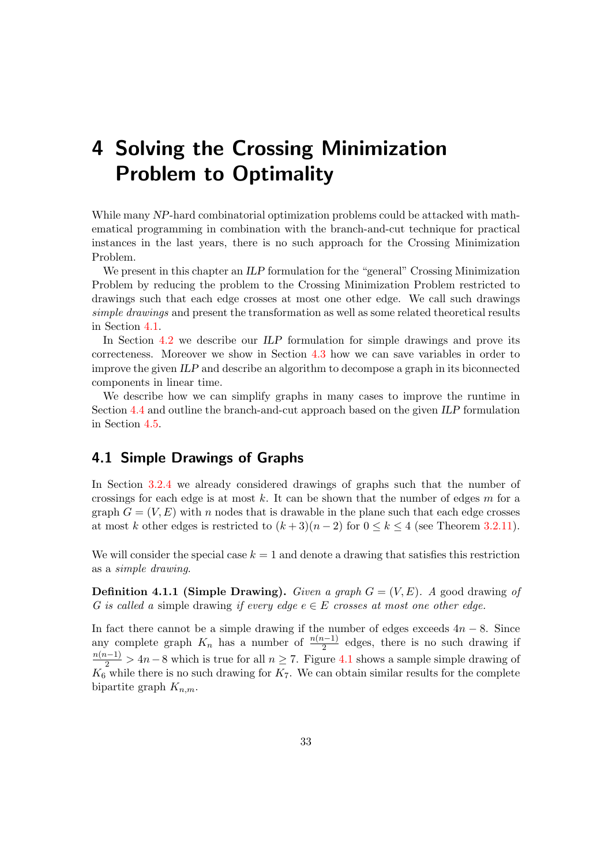# <span id="page-40-1"></span>4 Solving the Crossing Minimization Problem to Optimality

While many NP-hard combinatorial optimization problems could be attacked with mathematical programming in combination with the branch-and-cut technique for practical instances in the last years, there is no such approach for the Crossing Minimization Problem.

We present in this chapter an ILP formulation for the "general" Crossing Minimization Problem by reducing the problem to the Crossing Minimization Problem restricted to drawings such that each edge crosses at most one other edge. We call such drawings simple drawings and present the transformation as well as some related theoretical results in Section [4.1.](#page-40-0)

In Section [4.2](#page-43-0) we describe our ILP formulation for simple drawings and prove its correcteness. Moreover we show in Section [4.3](#page-46-0) how we can save variables in order to improve the given ILP and describe an algorithm to decompose a graph in its biconnected components in linear time.

We describe how we can simplify graphs in many cases to improve the runtime in Section [4.4](#page-53-0) and outline the branch-and-cut approach based on the given ILP formulation in Section [4.5.](#page-55-0)

### <span id="page-40-0"></span>4.1 Simple Drawings of Graphs

In Section [3.2.4](#page-31-0) we already considered drawings of graphs such that the number of crossings for each edge is at most  $k$ . It can be shown that the number of edges  $m$  for a graph  $G = (V, E)$  with n nodes that is drawable in the plane such that each edge crosses at most k other edges is restricted to  $(k+3)(n-2)$  for  $0 \le k \le 4$  (see Theorem [3.2.11\)](#page-31-1).

We will consider the special case  $k = 1$  and denote a drawing that satisfies this restriction as a simple drawing.

**Definition 4.1.1 (Simple Drawing).** Given a graph  $G = (V, E)$ . A good drawing of G is called a simple drawing if every edge  $e \in E$  crosses at most one other edge.

In fact there cannot be a simple drawing if the number of edges exceeds  $4n - 8$ . Since any complete graph  $K_n$  has a number of  $\frac{n(n-1)}{2}$  edges, there is no such drawing if  $\frac{n(n-1)}{2}$  > 4n – 8 which is true for all  $n \ge 7$ . Figure [4.1](#page-41-0) shows a sample simple drawing of  $K_6$  while there is no such drawing for  $K_7$ . We can obtain similar results for the complete bipartite graph  $K_{n,m}$ .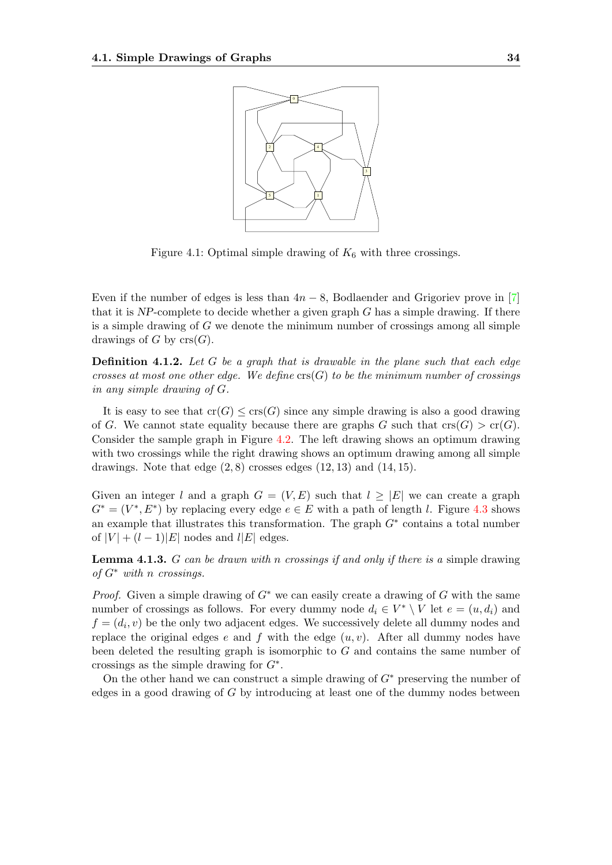

<span id="page-41-0"></span>Figure 4.1: Optimal simple drawing of  $K_6$  with three crossings.

Even if the number of edges is less than  $4n-8$ , Bodlaender and Grigoriev prove in [\[7\]](#page-83-2) that it is  $NP$ -complete to decide whether a given graph G has a simple drawing. If there is a simple drawing of  $G$  we denote the minimum number of crossings among all simple drawings of G by  $\operatorname{crs}(G)$ .

**Definition 4.1.2.** Let G be a graph that is drawable in the plane such that each edge crosses at most one other edge. We define  $\operatorname{crs}(G)$  to be the minimum number of crossings in any simple drawing of G.

It is easy to see that  $cr(G) \leq crs(G)$  since any simple drawing is also a good drawing of G. We cannot state equality because there are graphs G such that  $\text{cr}(G) > \text{cr}(G)$ . Consider the sample graph in Figure [4.2.](#page-42-0) The left drawing shows an optimum drawing with two crossings while the right drawing shows an optimum drawing among all simple drawings. Note that edge  $(2, 8)$  crosses edges  $(12, 13)$  and  $(14, 15)$ .

Given an integer l and a graph  $G = (V, E)$  such that  $l \geq |E|$  we can create a graph  $G^* = (V^*, E^*)$  by replacing every edge  $e \in E$  with a path of length l. Figure [4.3](#page-42-1) shows an example that illustrates this transformation. The graph  $G^*$  contains a total number of  $|V| + (l-1)|E|$  nodes and  $l|E|$  edges.

<span id="page-41-1"></span>**Lemma 4.1.3.** G can be drawn with n crossings if and only if there is a simple drawing of  $G^*$  with n crossings.

*Proof.* Given a simple drawing of  $G^*$  we can easily create a drawing of G with the same number of crossings as follows. For every dummy node  $d_i \in V^* \setminus V$  let  $e = (u, d_i)$  and  $f = (d_i, v)$  be the only two adjacent edges. We successively delete all dummy nodes and replace the original edges e and f with the edge  $(u, v)$ . After all dummy nodes have been deleted the resulting graph is isomorphic to  $G$  and contains the same number of crossings as the simple drawing for  $G^*$ .

On the other hand we can construct a simple drawing of  $G^*$  preserving the number of edges in a good drawing of G by introducing at least one of the dummy nodes between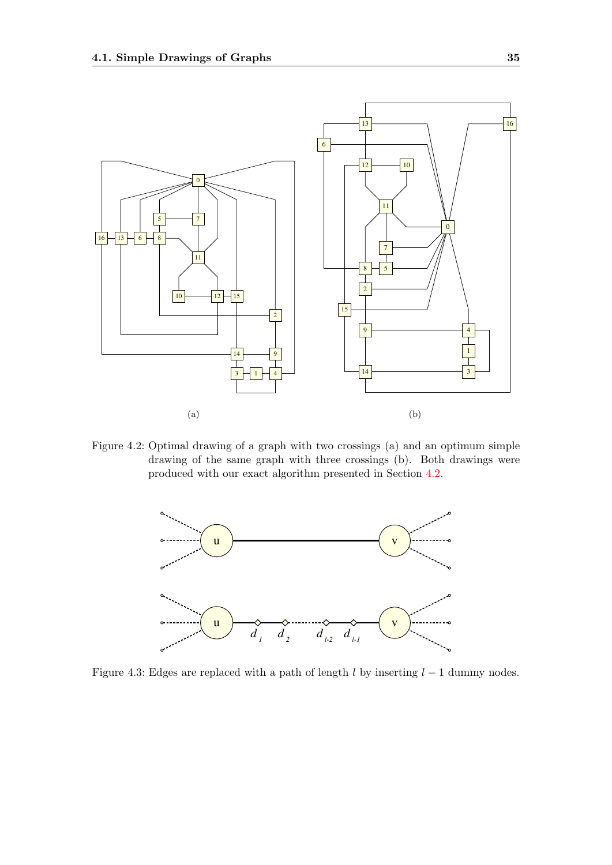

<span id="page-42-0"></span>Figure 4.2: Optimal drawing of a graph with two crossings (a) and an optimum simple drawing of the same graph with three crossings (b). Both drawings were produced with our exact algorithm presented in Section [4.2.](#page-43-0)



<span id="page-42-1"></span>Figure 4.3: Edges are replaced with a path of length  $l$  by inserting  $l - 1$  dummy nodes.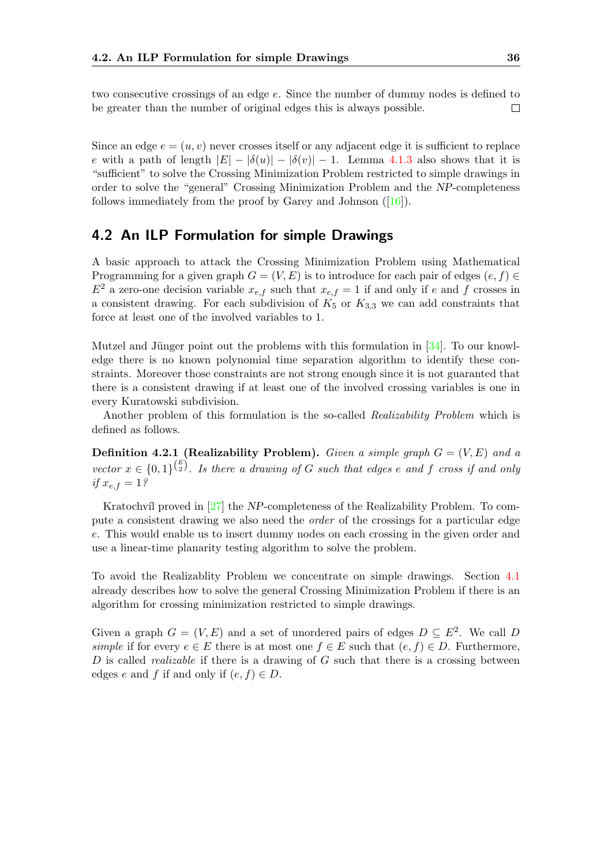two consecutive crossings of an edge e. Since the number of dummy nodes is defined to be greater than the number of original edges this is always possible.  $\Box$ 

Since an edge  $e = (u, v)$  never crosses itself or any adjacent edge it is sufficient to replace e with a path of length  $|E| - |\delta(u)| - |\delta(v)| - 1$ . Lemma [4.1.3](#page-41-1) also shows that it is "sufficient" to solve the Crossing Minimization Problem restricted to simple drawings in order to solve the "general" Crossing Minimization Problem and the NP-completeness follows immediately from the proof by Garey and Johnson ([\[16\]](#page-84-4)).

### <span id="page-43-0"></span>4.2 An ILP Formulation for simple Drawings

A basic approach to attack the Crossing Minimization Problem using Mathematical Programming for a given graph  $G = (V, E)$  is to introduce for each pair of edges  $(e, f) \in$  $E^2$  a zero-one decision variable  $x_{e,f}$  such that  $x_{e,f} = 1$  if and only if e and f crosses in a consistent drawing. For each subdivision of  $K_5$  or  $K_{3,3}$  we can add constraints that force at least one of the involved variables to 1.

Mutzel and Jünger point out the problems with this formulation in  $[34]$ . To our knowledge there is no known polynomial time separation algorithm to identify these constraints. Moreover those constraints are not strong enough since it is not guaranted that there is a consistent drawing if at least one of the involved crossing variables is one in every Kuratowski subdivision.

Another problem of this formulation is the so-called Realizability Problem which is defined as follows.

**Definition 4.2.1 (Realizability Problem).** Given a simple graph  $G = (V, E)$  and a vector  $x \in \{0,1\}^{\binom{E}{2}}$ . Is there a drawing of G such that edges e and f cross if and only if  $x_{e,f} = 1$ ?

Kratochvíl proved in  $[27]$  the NP-completeness of the Realizability Problem. To compute a consistent drawing we also need the order of the crossings for a particular edge e. This would enable us to insert dummy nodes on each crossing in the given order and use a linear-time planarity testing algorithm to solve the problem.

To avoid the Realizablity Problem we concentrate on simple drawings. Section [4.1](#page-40-0) already describes how to solve the general Crossing Minimization Problem if there is an algorithm for crossing minimization restricted to simple drawings.

Given a graph  $G = (V, E)$  and a set of unordered pairs of edges  $D \subseteq E^2$ . We call D simple if for every  $e \in E$  there is at most one  $f \in E$  such that  $(e, f) \in D$ . Furthermore, D is called *realizable* if there is a drawing of  $G$  such that there is a crossing between edges e and f if and only if  $(e, f) \in D$ .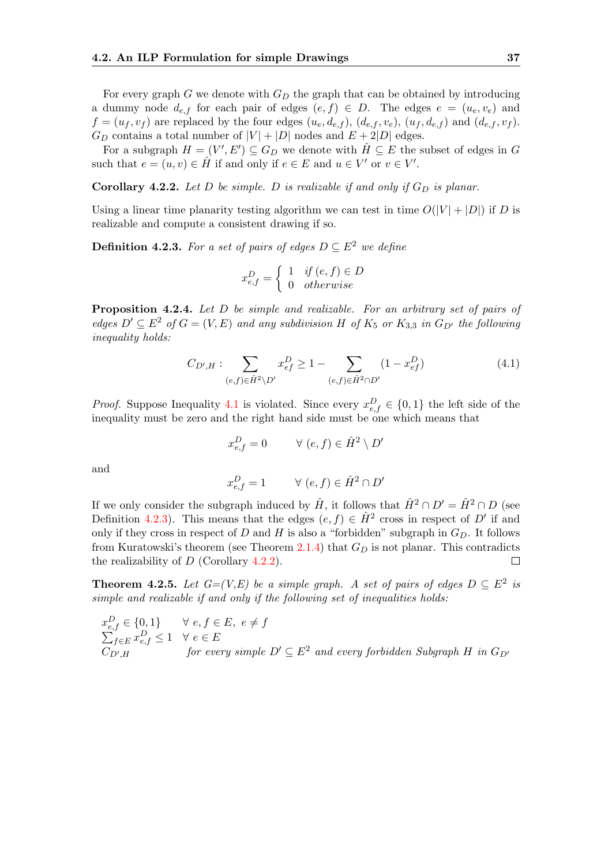For every graph  $G$  we denote with  $G_D$  the graph that can be obtained by introducing a dummy node  $d_{e,f}$  for each pair of edges  $(e, f) \in D$ . The edges  $e = (u_e, v_e)$  and  $f = (u_f, v_f)$  are replaced by the four edges  $(u_e, d_{e,f})$ ,  $(d_{e,f}, v_e)$ ,  $(u_f, d_{e,f})$  and  $(d_{e,f}, v_f)$ .  $G_D$  contains a total number of  $|V| + |D|$  nodes and  $E + 2|D|$  edges.

For a subgraph  $H = (V', E') \subseteq G_D$  we denote with  $\hat{H} \subseteq E$  the subset of edges in G such that  $e = (u, v) \in \hat{H}$  if and only if  $e \in E$  and  $u \in V'$  or  $v \in V'$ .

<span id="page-44-2"></span>Corollary 4.2.2. Let D be simple. D is realizable if and only if  $G_D$  is planar.

Using a linear time planarity testing algorithm we can test in time  $O(|V| + |D|)$  if D is realizable and compute a consistent drawing if so.

<span id="page-44-1"></span>**Definition 4.2.3.** For a set of pairs of edges  $D \subseteq E^2$  we define

$$
x_{e,f}^D = \begin{cases} 1 & \text{if } (e,f) \in D \\ 0 & \text{otherwise} \end{cases}
$$

<span id="page-44-3"></span>Proposition 4.2.4. Let D be simple and realizable. For an arbitrary set of pairs of edges  $D' \subseteq E^2$  of  $G = (V, E)$  and any subdivision H of  $K_5$  or  $K_{3,3}$  in  $G_{D'}$  the following inequality holds:

<span id="page-44-0"></span>
$$
C_{D',H}: \sum_{(e,f)\in \hat{H}^2\backslash D'} x_{ef}^D \ge 1 - \sum_{(e,f)\in \hat{H}^2\cap D'} (1 - x_{ef}^D)
$$
(4.1)

*Proof.* Suppose Inequality [4.1](#page-44-0) is violated. Since every  $x_{e,f}^D \in \{0,1\}$  the left side of the inequality must be zero and the right hand side must be one which means that

$$
x_{e,f}^D = 0 \qquad \forall (e, f) \in \hat{H}^2 \setminus D'
$$
  

$$
x_{e,f}^D = 1 \qquad \forall (e, f) \in \hat{H}^2 \cap D'
$$

and

If we only consider the subgraph induced by 
$$
\hat{H}
$$
, it follows that  $\hat{H}^2 \cap D' = \hat{H}^2 \cap D$  (see  
Definition 4.2.3). This means that the edges  $(e, f) \in \hat{H}^2$  cross in respect of  $D'$  if and  
only if they cross in respect of  $D$  and  $H$  is also a "forbidden" subgraph in  $G_D$ . It follows  
from Kuratowski's theorem (see Theorem 2.1.4) that  $G_D$  is not planar. This contradicts  
the realizability of  $D$  (Corollary 4.2.2).

<span id="page-44-4"></span>**Theorem 4.2.5.** Let  $G=(V,E)$  be a simple graph. A set of pairs of edges  $D \subseteq E^2$  is simple and realizable if and only if the following set of inequalities holds:

$$
x_{e,f}^D \in \{0,1\} \qquad \forall e, f \in E, e \neq f
$$
  
\n
$$
\sum_{f \in E} x_{e,f}^D \leq 1 \quad \forall e \in E
$$
  
\n
$$
C_{D',H} \qquad \text{for every simple } D' \subseteq E^2 \text{ and every forbidden Subgraph } H \text{ in } G_{D'}
$$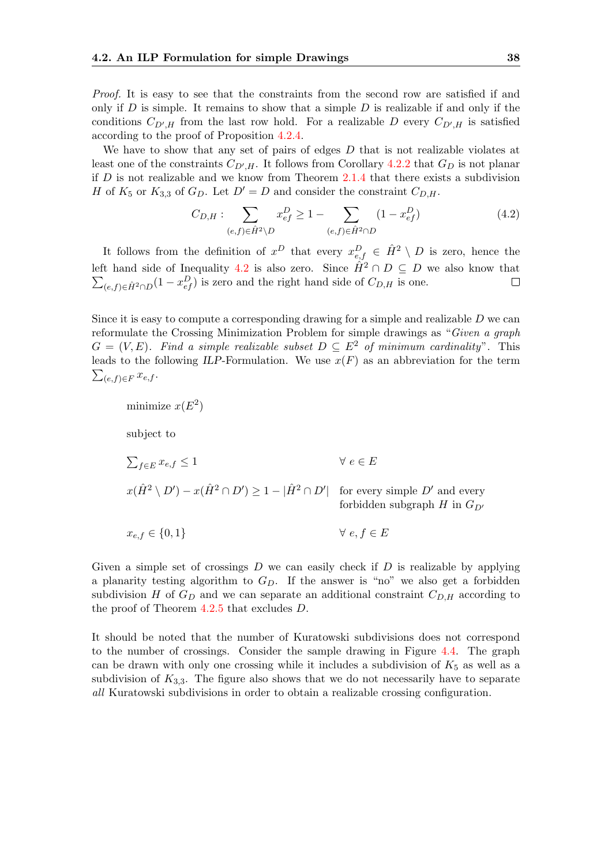Proof. It is easy to see that the constraints from the second row are satisfied if and only if  $D$  is simple. It remains to show that a simple  $D$  is realizable if and only if the conditions  $C_{D',H}$  from the last row hold. For a realizable D every  $C_{D',H}$  is satisfied according to the proof of Proposition [4.2.4.](#page-44-3)

We have to show that any set of pairs of edges  $D$  that is not realizable violates at least one of the constraints  $C_{D',H}$ . It follows from Corollary [4.2.2](#page-44-2) that  $G_D$  is not planar if  $D$  is not realizable and we know from Theorem  $2.1.4$  that there exists a subdivision H of  $K_5$  or  $K_{3,3}$  of  $G_D$ . Let  $D' = D$  and consider the constraint  $C_{D,H}$ .

<span id="page-45-0"></span>
$$
C_{D,H}: \sum_{(e,f)\in \hat{H}^2 \setminus D} x_{ef}^D \ge 1 - \sum_{(e,f)\in \hat{H}^2 \cap D} (1 - x_{ef}^D)
$$
(4.2)

It follows from the definition of  $x^D$  that every  $x_{e,f}^D \in \hat{H}^2 \setminus D$  is zero, hence the left hand side of Inequality [4.2](#page-45-0) is also zero. Since  $\hat{H}^2 \cap D \subseteq D$  we also know that  $\sum_{(e,f)\in \hat{H}^2\cap D} (1-x_{ef}^D)$  is zero and the right hand side of  $C_{D,H}$  is one.  $\Box$ 

Since it is easy to compute a corresponding drawing for a simple and realizable  $D$  we can reformulate the Crossing Minimization Problem for simple drawings as "Given a graph  $G = (V, E)$ . Find a simple realizable subset  $D \subseteq E^2$  of minimum cardinality". This leads to the following ILP-Formulation. We use  $x(F)$  as an abbreviation for the term  $\sum_{(e,f)\in F} x_{e,f}$ .

subject to

minimize  $x(E^2)$ 

 $\sum_{f\in E} x_{e,f} \leq 1$   $\forall e \in E$ 

 $x(\hat{H}^2 \setminus D') - x(\hat{H}^2 \cap D') \ge 1 - |\hat{H}^2 \cap D'|$  for every simple D' and every forbidden subgraph H in  $G_{D'}$ 

$$
x_{e,f} \in \{0,1\} \qquad \qquad \forall \ e, f \in E
$$

Given a simple set of crossings  $D$  we can easily check if  $D$  is realizable by applying a planarity testing algorithm to  $G_D$ . If the answer is "no" we also get a forbidden subdivision H of  $G_D$  and we can separate an additional constraint  $C_{D,H}$  according to the proof of Theorem [4.2.5](#page-44-4) that excludes D.

It should be noted that the number of Kuratowski subdivisions does not correspond to the number of crossings. Consider the sample drawing in Figure [4.4.](#page-46-1) The graph can be drawn with only one crossing while it includes a subdivision of  $K_5$  as well as a subdivision of  $K_{3,3}$ . The figure also shows that we do not necessarily have to separate all Kuratowski subdivisions in order to obtain a realizable crossing configuration.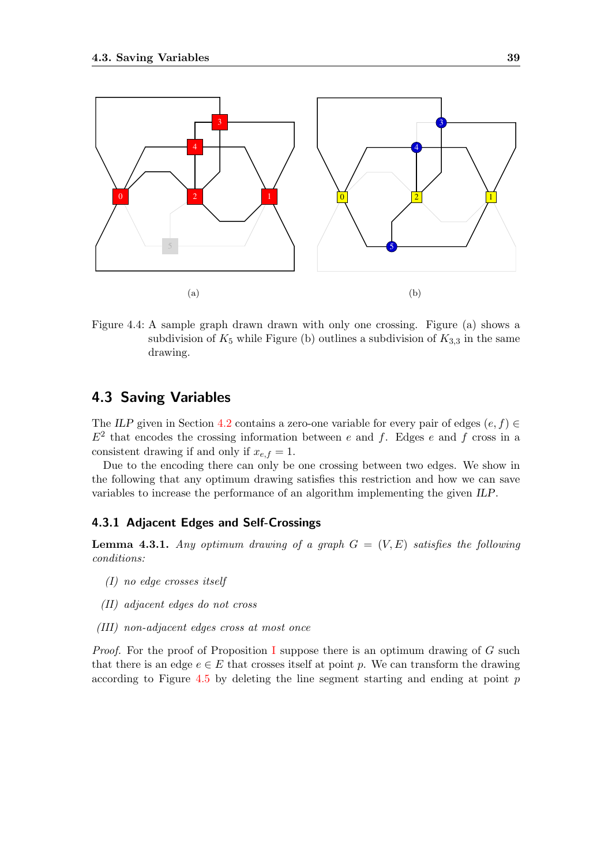

<span id="page-46-1"></span>Figure 4.4: A sample graph drawn drawn with only one crossing. Figure (a) shows a subdivision of  $K_5$  while Figure (b) outlines a subdivision of  $K_{3,3}$  in the same drawing.

### <span id="page-46-0"></span>4.3 Saving Variables

The ILP given in Section [4.2](#page-43-0) contains a zero-one variable for every pair of edges  $(e, f) \in$  $E<sup>2</sup>$  that encodes the crossing information between e and f. Edges e and f cross in a consistent drawing if and only if  $x_{e,f} = 1$ .

Due to the encoding there can only be one crossing between two edges. We show in the following that any optimum drawing satisfies this restriction and how we can save variables to increase the performance of an algorithm implementing the given ILP.

### 4.3.1 Adjacent Edges and Self-Crossings

<span id="page-46-5"></span>**Lemma 4.3.1.** Any optimum drawing of a graph  $G = (V, E)$  satisfies the following conditions:

- <span id="page-46-2"></span>(I) no edge crosses itself
- <span id="page-46-3"></span>(II) adjacent edges do not cross
- <span id="page-46-4"></span>(III) non-adjacent edges cross at most once

*Proof.* For the proof of Proposition [I](#page-46-2) suppose there is an optimum drawing of  $G$  such that there is an edge  $e \in E$  that crosses itself at point p. We can transform the drawing according to Figure  $4.5$  by deleting the line segment starting and ending at point  $p$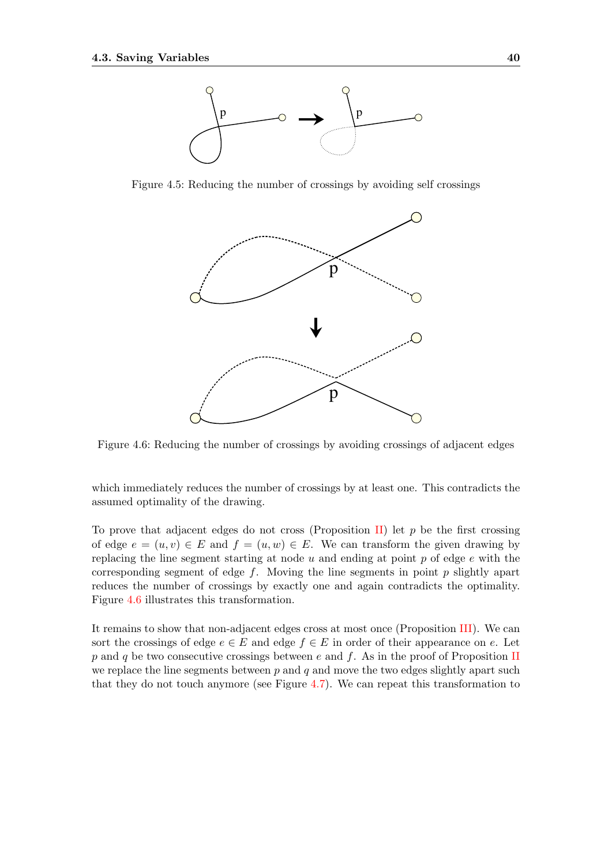

Figure 4.5: Reducing the number of crossings by avoiding self crossings

<span id="page-47-0"></span>

<span id="page-47-1"></span>Figure 4.6: Reducing the number of crossings by avoiding crossings of adjacent edges

which immediately reduces the number of crossings by at least one. This contradicts the assumed optimality of the drawing.

To prove that adjacent edges do not cross (Proposition [II\)](#page-46-3) let  $p$  be the first crossing of edge  $e = (u, v) \in E$  and  $f = (u, w) \in E$ . We can transform the given drawing by replacing the line segment starting at node  $u$  and ending at point  $p$  of edge  $e$  with the corresponding segment of edge  $f$ . Moving the line segments in point  $p$  slightly apart reduces the number of crossings by exactly one and again contradicts the optimality. Figure [4.6](#page-47-1) illustrates this transformation.

It remains to show that non-adjacent edges cross at most once (Proposition [III\)](#page-46-4). We can sort the crossings of edge  $e \in E$  and edge  $f \in E$  in order of their appearance on e. Let p and q be two consecutive crossings between e and f. As in the proof of Proposition [II](#page-46-3) we replace the line segments between  $p$  and  $q$  and move the two edges slightly apart such that they do not touch anymore (see Figure [4.7\)](#page-48-0). We can repeat this transformation to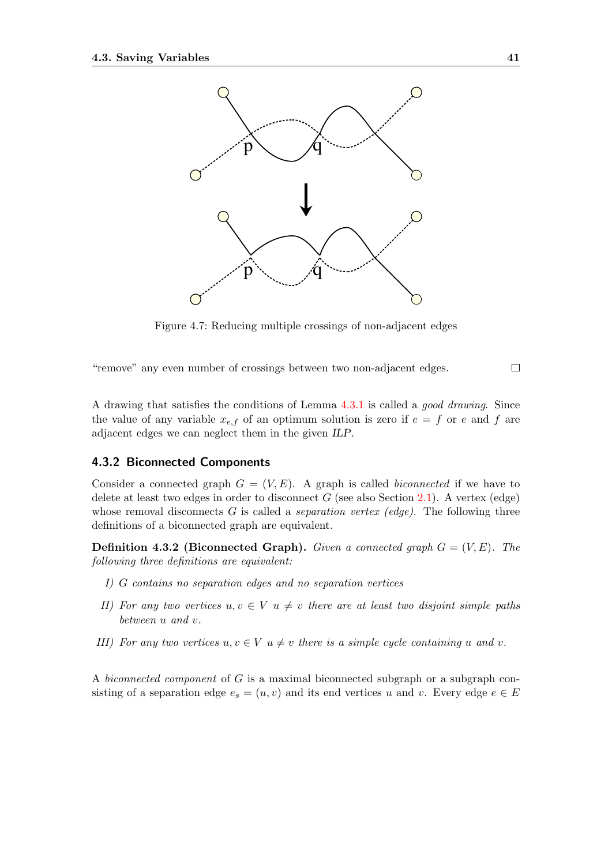

<span id="page-48-0"></span>Figure 4.7: Reducing multiple crossings of non-adjacent edges

"remove" any even number of crossings between two non-adjacent edges.

A drawing that satisfies the conditions of Lemma [4.3.1](#page-46-5) is called a good drawing. Since the value of any variable  $x_{e,f}$  of an optimum solution is zero if  $e = f$  or e and f are adjacent edges we can neglect them in the given ILP.

#### <span id="page-48-2"></span>4.3.2 Biconnected Components

Consider a connected graph  $G = (V, E)$ . A graph is called *biconnected* if we have to delete at least two edges in order to disconnect  $G$  (see also Section [2.1\)](#page-17-0). A vertex (edge) whose removal disconnects G is called a *separation vertex (edge)*. The following three definitions of a biconnected graph are equivalent.

<span id="page-48-1"></span>**Definition 4.3.2 (Biconnected Graph).** Given a connected graph  $G = (V, E)$ . The following three definitions are equivalent:

- I) G contains no separation edges and no separation vertices
- II) For any two vertices  $u, v \in V$   $u \neq v$  there are at least two disjoint simple paths between u and v.
- III) For any two vertices  $u, v \in V$   $u \neq v$  there is a simple cycle containing u and v.

A biconnected component of G is a maximal biconnected subgraph or a subgraph consisting of a separation edge  $e_s = (u, v)$  and its end vertices u and v. Every edge  $e \in E$ 

 $\Box$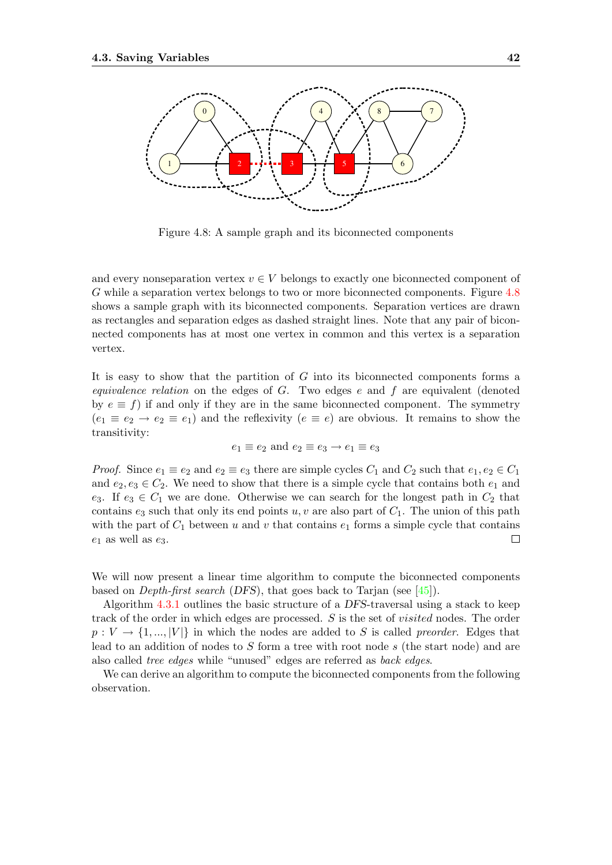

<span id="page-49-0"></span>Figure 4.8: A sample graph and its biconnected components

and every nonseparation vertex  $v \in V$  belongs to exactly one biconnected component of G while a separation vertex belongs to two or more biconnected components. Figure [4.8](#page-49-0) shows a sample graph with its biconnected components. Separation vertices are drawn as rectangles and separation edges as dashed straight lines. Note that any pair of biconnected components has at most one vertex in common and this vertex is a separation vertex.

It is easy to show that the partition of G into its biconnected components forms a equivalence relation on the edges of  $G$ . Two edges  $e$  and  $f$  are equivalent (denoted by  $e \equiv f$ ) if and only if they are in the same biconnected component. The symmetry  $(e_1 \equiv e_2 \rightarrow e_2 \equiv e_1)$  and the reflexivity  $(e \equiv e)$  are obvious. It remains to show the transitivity:

$$
e_1 \equiv e_2 \text{ and } e_2 \equiv e_3 \rightarrow e_1 \equiv e_3
$$

*Proof.* Since  $e_1 \equiv e_2$  and  $e_2 \equiv e_3$  there are simple cycles  $C_1$  and  $C_2$  such that  $e_1, e_2 \in C_1$ and  $e_2, e_3 \in C_2$ . We need to show that there is a simple cycle that contains both  $e_1$  and e<sub>3</sub>. If e<sub>3</sub>  $\in C_1$  we are done. Otherwise we can search for the longest path in  $C_2$  that contains  $e_3$  such that only its end points u, v are also part of  $C_1$ . The union of this path with the part of  $C_1$  between u and v that contains  $e_1$  forms a simple cycle that contains  $e_1$  as well as  $e_3$ .  $\Box$ 

We will now present a linear time algorithm to compute the biconnected components based on Depth-first search (DFS), that goes back to Tarjan (see [\[45\]](#page-86-2)).

Algorithm [4.3.1](#page-50-0) outlines the basic structure of a DFS-traversal using a stack to keep track of the order in which edges are processed. S is the set of visited nodes. The order  $p: V \to \{1, ..., |V|\}$  in which the nodes are added to S is called preorder. Edges that lead to an addition of nodes to  $S$  form a tree with root node  $s$  (the start node) and are also called tree edges while "unused" edges are referred as back edges.

We can derive an algorithm to compute the biconnected components from the following observation.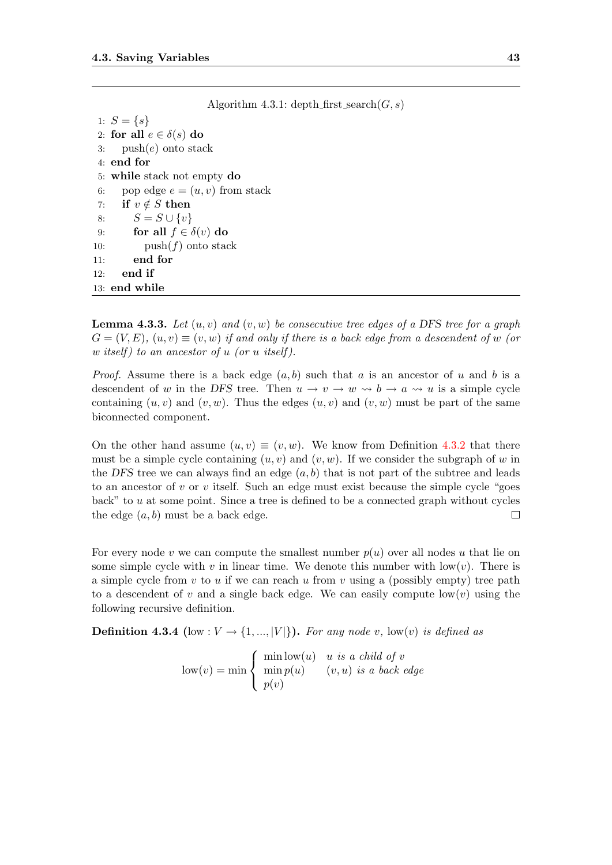|     | $\Delta$ igoriumi 4.5.1. depundinse search $\sigma$ , $s$ ) |
|-----|-------------------------------------------------------------|
|     | 1: $S = \{s\}$                                              |
|     | 2: for all $e \in \delta(s)$ do                             |
|     | 3: $push(e)$ onto stack                                     |
|     | $4:$ end for                                                |
|     | 5: while stack not empty do                                 |
| 6:  | pop edge $e = (u, v)$ from stack                            |
|     | 7: if $v \notin S$ then                                     |
| 8:  | $S = S \cup \{v\}$                                          |
| 9:  | for all $f \in \delta(v)$ do                                |
| 10: | $push(f)$ onto stack                                        |
| 11: | end for                                                     |
| 12: | end if                                                      |
|     | $13:$ end while                                             |

**Lemma 4.3.3.** Let  $(u, v)$  and  $(v, w)$  be consecutive tree edges of a DFS tree for a graph  $G = (V, E), (u, v) \equiv (v, w)$  if and only if there is a back edge from a descendent of w (or w itself) to an ancestor of u (or u itself).

<span id="page-50-0"></span> $\Lambda$ lgorithm  $4.3.1$ : depth first search $(C, s)$ 

*Proof.* Assume there is a back edge  $(a, b)$  such that a is an ancestor of u and b is a descendent of w in the DFS tree. Then  $u \to v \to w \rightsquigarrow b \to a \rightsquigarrow u$  is a simple cycle containing  $(u, v)$  and  $(v, w)$ . Thus the edges  $(u, v)$  and  $(v, w)$  must be part of the same biconnected component.

On the other hand assume  $(u, v) \equiv (v, w)$ . We know from Definition [4.3.2](#page-48-1) that there must be a simple cycle containing  $(u, v)$  and  $(v, w)$ . If we consider the subgraph of w in the DFS tree we can always find an edge  $(a, b)$  that is not part of the subtree and leads to an ancestor of v or v itself. Such an edge must exist because the simple cycle "goes" back" to  $u$  at some point. Since a tree is defined to be a connected graph without cycles the edge  $(a, b)$  must be a back edge.  $\Box$ 

For every node v we can compute the smallest number  $p(u)$  over all nodes u that lie on some simple cycle with v in linear time. We denote this number with  $\text{low}(v)$ . There is a simple cycle from  $v$  to  $u$  if we can reach  $u$  from  $v$  using a (possibly empty) tree path to a descendent of v and a single back edge. We can easily compute  $\text{low}(v)$  using the following recursive definition.

**Definition 4.3.4** (low :  $V \rightarrow \{1, ..., |V|\}$ ). For any node v, low(v) is defined as

 $\text{low}(v) = \min$  $\sqrt{ }$  $\left| \right|$  $\mathcal{L}$ min  $\text{low}(u)$  u is a child of v  $\min p(u)$   $(v, u)$  is a back edge  $p(v)$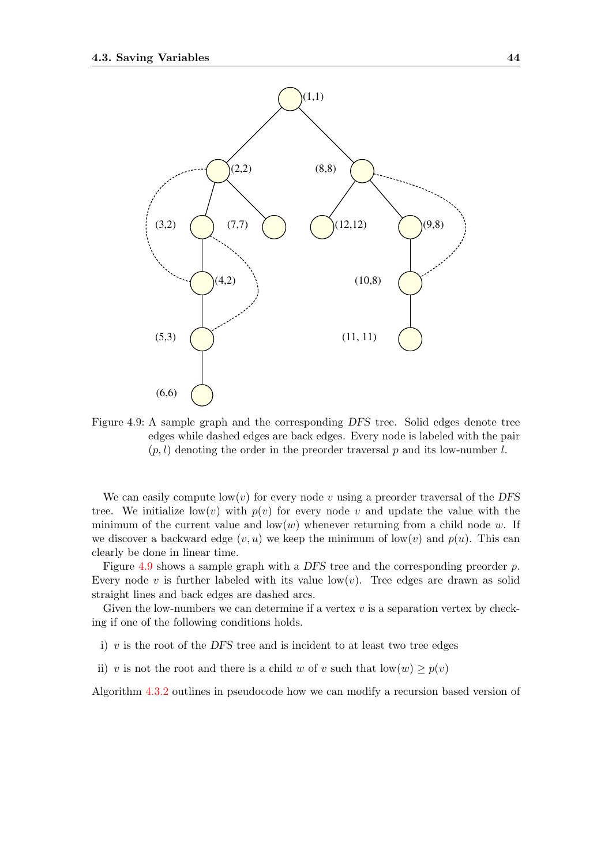

<span id="page-51-0"></span>Figure 4.9: A sample graph and the corresponding DFS tree. Solid edges denote tree edges while dashed edges are back edges. Every node is labeled with the pair  $(p, l)$  denoting the order in the preorder traversal p and its low-number l.

We can easily compute  $\text{low}(v)$  for every node v using a preorder traversal of the DFS tree. We initialize low(v) with  $p(v)$  for every node v and update the value with the minimum of the current value and  $\text{low}(w)$  whenever returning from a child node w. If we discover a backward edge  $(v, u)$  we keep the minimum of low $(v)$  and  $p(u)$ . This can clearly be done in linear time.

Figure [4.9](#page-51-0) shows a sample graph with a DFS tree and the corresponding preorder p. Every node v is further labeled with its value  $\text{low}(v)$ . Tree edges are drawn as solid straight lines and back edges are dashed arcs.

Given the low-numbers we can determine if a vertex  $v$  is a separation vertex by checking if one of the following conditions holds.

- i)  $v$  is the root of the DFS tree and is incident to at least two tree edges
- ii) v is not the root and there is a child w of v such that  $\text{low}(w) \geq p(v)$

Algorithm [4.3.2](#page-52-0) outlines in pseudocode how we can modify a recursion based version of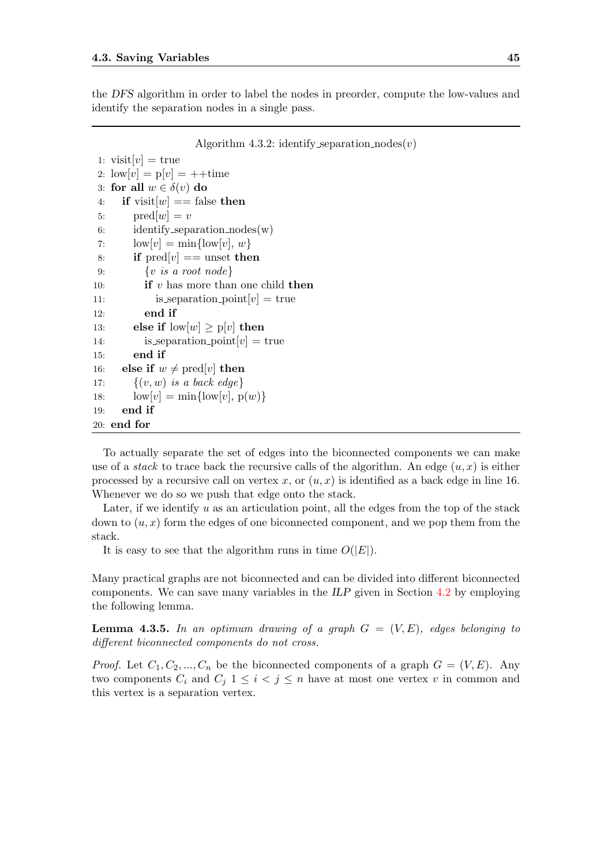the DFS algorithm in order to label the nodes in preorder, compute the low-values and identify the separation nodes in a single pass.

<span id="page-52-0"></span>Algorithm 4.3.2: identify separation  $\text{nodes}(v)$ 

```
1: visit[v] = true2: \text{low}[v] = \text{p}[v] = ++\text{time}3: for all w \in \delta(v) do
 4: if visit[w] == false then
 5: pred[w] = v6: identify separation nodes(w)
 7: \text{low}[v] = \min\{\text{low}[v], w\}8: if \text{pred}[v] == \text{unset} then
 9: \{v \text{ is a root node}\}\10: if v has more than one child then
11: is separation point [v] = \text{true}12: end if
13: else if \text{low}[w] \geq p[v] then
14: is_separation_point[v] = \text{true}15: end if
16: else if w \neq \text{pred}[v] then
17: \{(v, w) \text{ is a back edge}\}\18: \text{low}[v] = \min{\{\text{low}[v], p(w)\}}19: end if
20: end for
```
To actually separate the set of edges into the biconnected components we can make use of a *stack* to trace back the recursive calls of the algorithm. An edge  $(u, x)$  is either processed by a recursive call on vertex x, or  $(u, x)$  is identified as a back edge in line 16. Whenever we do so we push that edge onto the stack.

Later, if we identify u as an articulation point, all the edges from the top of the stack down to  $(u, x)$  form the edges of one biconnected component, and we pop them from the stack.

It is easy to see that the algorithm runs in time  $O(|E|)$ .

Many practical graphs are not biconnected and can be divided into different biconnected components. We can save many variables in the ILP given in Section [4.2](#page-43-0) by employing the following lemma.

**Lemma 4.3.5.** In an optimum drawing of a graph  $G = (V, E)$ , edges belonging to different biconnected components do not cross.

*Proof.* Let  $C_1, C_2, ..., C_n$  be the biconnected components of a graph  $G = (V, E)$ . Any two components  $C_i$  and  $C_j$   $1 \leq i < j \leq n$  have at most one vertex v in common and this vertex is a separation vertex.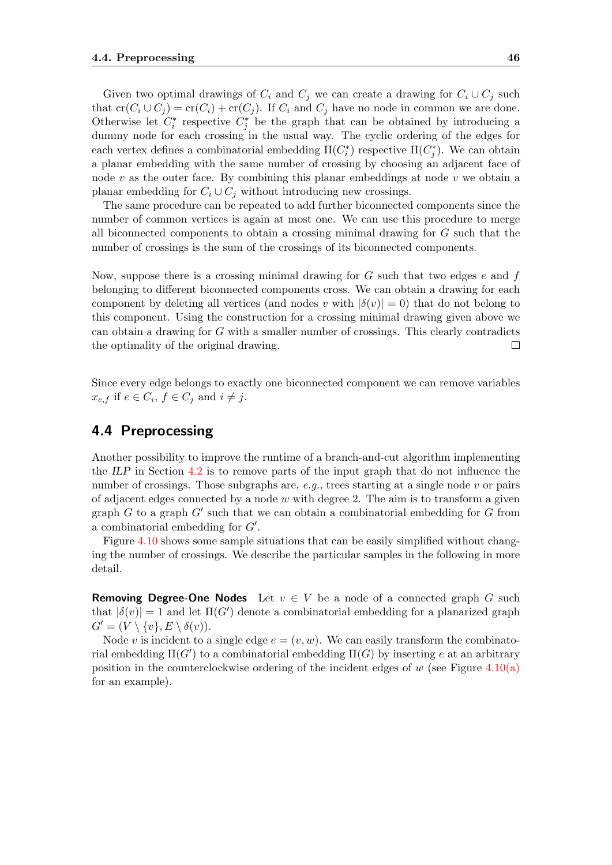Given two optimal drawings of  $C_i$  and  $C_j$  we can create a drawing for  $C_i \cup C_j$  such that  $cr(C_i \cup C_j) = cr(C_i) + cr(C_j)$ . If  $C_i$  and  $C_j$  have no node in common we are done. Otherwise let  $C_i^*$  respective  $C_j^*$  be the graph that can be obtained by introducing a dummy node for each crossing in the usual way. The cyclic ordering of the edges for each vertex defines a combinatorial embedding  $\Pi(C_i^*)$  respective  $\Pi(C_j^*)$ . We can obtain a planar embedding with the same number of crossing by choosing an adjacent face of node  $v$  as the outer face. By combining this planar embeddings at node  $v$  we obtain a planar embedding for  $C_i \cup C_j$  without introducing new crossings.

The same procedure can be repeated to add further biconnected components since the number of common vertices is again at most one. We can use this procedure to merge all biconnected components to obtain a crossing minimal drawing for  $G$  such that the number of crossings is the sum of the crossings of its biconnected components.

Now, suppose there is a crossing minimal drawing for  $G$  such that two edges  $e$  and  $f$ belonging to different biconnected components cross. We can obtain a drawing for each component by deleting all vertices (and nodes v with  $|\delta(v)| = 0$ ) that do not belong to this component. Using the construction for a crossing minimal drawing given above we can obtain a drawing for  $G$  with a smaller number of crossings. This clearly contradicts the optimality of the original drawing.  $\Box$ 

Since every edge belongs to exactly one biconnected component we can remove variables  $x_{e,f}$  if  $e \in C_i$ ,  $f \in C_j$  and  $i \neq j$ .

## <span id="page-53-0"></span>4.4 Preprocessing

Another possibility to improve the runtime of a branch-and-cut algorithm implementing the ILP in Section [4.2](#page-43-0) is to remove parts of the input graph that do not influence the number of crossings. Those subgraphs are, e.g., trees starting at a single node  $v$  or pairs of adjacent edges connected by a node  $w$  with degree 2. The aim is to transform a given graph  $G$  to a graph  $G'$  such that we can obtain a combinatorial embedding for  $G$  from a combinatorial embedding for  $G'$ .

Figure [4.10](#page-54-0) shows some sample situations that can be easily simplified without changing the number of crossings. We describe the particular samples in the following in more detail.

**Removing Degree-One Nodes** Let  $v \in V$  be a node of a connected graph G such that  $|\delta(v)| = 1$  and let  $\Pi(G')$  denote a combinatorial embedding for a planarized graph  $G' = (V \setminus \{v\}, E \setminus \delta(v)).$ 

Node v is incident to a single edge  $e = (v, w)$ . We can easily transform the combinatorial embedding  $\Pi(G')$  to a combinatorial embedding  $\Pi(G)$  by inserting e at an arbitrary position in the counterclockwise ordering of the incident edges of  $w$  (see Figure [4.10\(a\)](#page-11-0) for an example).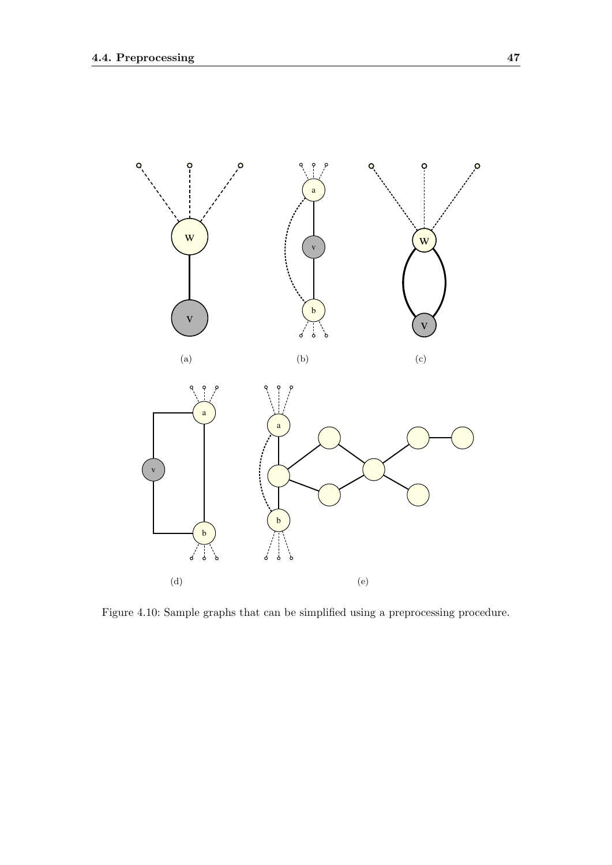

<span id="page-54-1"></span><span id="page-54-0"></span>Figure 4.10: Sample graphs that can be simplified using a preprocessing procedure.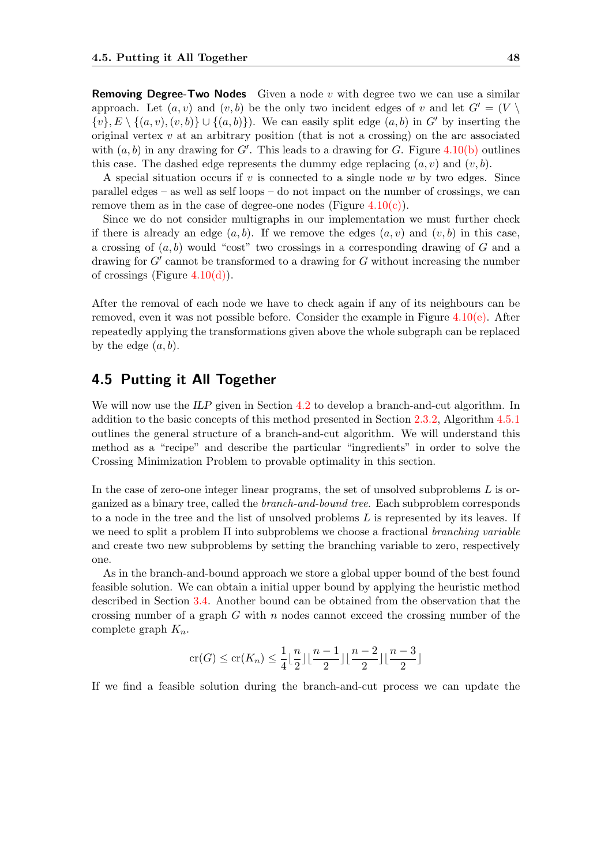**Removing Degree-Two Nodes** Given a node  $v$  with degree two we can use a similar approach. Let  $(a, v)$  and  $(v, b)$  be the only two incident edges of v and let  $G' = (V \setminus$  $\{v\}, E \setminus \{(a, v), (v, b)\} \cup \{(a, b)\}\)$ . We can easily split edge  $(a, b)$  in G' by inserting the original vertex  $v$  at an arbitrary position (that is not a crossing) on the arc associated with  $(a, b)$  in any drawing for G'. This leads to a drawing for G. Figure [4.10\(b\)](#page-11-1) outlines this case. The dashed edge represents the dummy edge replacing  $(a, v)$  and  $(v, b)$ .

A special situation occurs if  $v$  is connected to a single node  $w$  by two edges. Since parallel edges – as well as self loops – do not impact on the number of crossings, we can remove them as in the case of degree-one nodes (Figure  $4.10(c)$ ).

Since we do not consider multigraphs in our implementation we must further check if there is already an edge  $(a, b)$ . If we remove the edges  $(a, v)$  and  $(v, b)$  in this case, a crossing of  $(a, b)$  would "cost" two crossings in a corresponding drawing of G and a drawing for  $G'$  cannot be transformed to a drawing for  $G$  without increasing the number of crossings (Figure  $4.10(d)$ ).

After the removal of each node we have to check again if any of its neighbours can be removed, even it was not possible before. Consider the example in Figure  $4.10(e)$ . After repeatedly applying the transformations given above the whole subgraph can be replaced by the edge  $(a, b)$ .

### <span id="page-55-0"></span>4.5 Putting it All Together

We will now use the ILP given in Section [4.2](#page-43-0) to develop a branch-and-cut algorithm. In addition to the basic concepts of this method presented in Section [2.3.2,](#page-22-0) Algorithm [4.5.1](#page-56-0) outlines the general structure of a branch-and-cut algorithm. We will understand this method as a "recipe" and describe the particular "ingredients" in order to solve the Crossing Minimization Problem to provable optimality in this section.

In the case of zero-one integer linear programs, the set of unsolved subproblems  $L$  is organized as a binary tree, called the branch-and-bound tree. Each subproblem corresponds to a node in the tree and the list of unsolved problems  $L$  is represented by its leaves. If we need to split a problem  $\Pi$  into subproblems we choose a fractional branching variable and create two new subproblems by setting the branching variable to zero, respectively one.

As in the branch-and-bound approach we store a global upper bound of the best found feasible solution. We can obtain a initial upper bound by applying the heuristic method described in Section [3.4.](#page-35-0) Another bound can be obtained from the observation that the crossing number of a graph  $G$  with  $n$  nodes cannot exceed the crossing number of the complete graph  $K_n$ .

$$
\operatorname{cr}(G) \le \operatorname{cr}(K_n) \le \frac{1}{4} \lfloor \frac{n}{2} \rfloor \lfloor \frac{n-1}{2} \rfloor \lfloor \frac{n-2}{2} \rfloor \lfloor \frac{n-3}{2} \rfloor
$$

If we find a feasible solution during the branch-and-cut process we can update the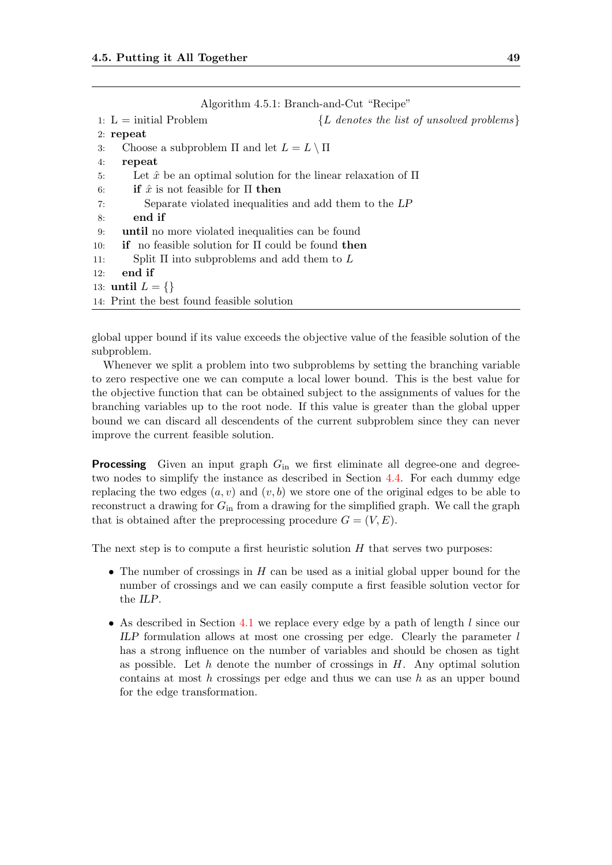<span id="page-56-0"></span>

|     | Algorithm 4.5.1: Branch-and-Cut "Recipe"                                           |
|-----|------------------------------------------------------------------------------------|
|     | $\{L \text{ denotes the list of unsolved problems}\}\$<br>1: $L = initial Problem$ |
|     | $2:$ repeat                                                                        |
| 3:  | Choose a subproblem $\Pi$ and let $L = L \setminus \Pi$                            |
| 4:  | repeat                                                                             |
| 5:  | Let $\hat{x}$ be an optimal solution for the linear relaxation of $\Pi$            |
| 6:  | <b>if</b> $\hat{x}$ is not feasible for $\Pi$ then                                 |
| 7:  | Separate violated inequalities and add them to the LP                              |
| 8:  | end if                                                                             |
| 9:  | until no more violated inequalities can be found                                   |
| 10: | <b>if</b> no feasible solution for $\Pi$ could be found then                       |
| 11: | Split $\Pi$ into subproblems and add them to $L$                                   |
| 12: | end if                                                                             |
|     | 13: <b>until</b> $L = \{\}\$                                                       |
|     | 14: Print the best found feasible solution                                         |

global upper bound if its value exceeds the objective value of the feasible solution of the subproblem.

Whenever we split a problem into two subproblems by setting the branching variable to zero respective one we can compute a local lower bound. This is the best value for the objective function that can be obtained subject to the assignments of values for the branching variables up to the root node. If this value is greater than the global upper bound we can discard all descendents of the current subproblem since they can never improve the current feasible solution.

**Processing** Given an input graph  $G_{\text{in}}$  we first eliminate all degree-one and degreetwo nodes to simplify the instance as described in Section [4.4.](#page-53-0) For each dummy edge replacing the two edges  $(a, v)$  and  $(v, b)$  we store one of the original edges to be able to reconstruct a drawing for  $G<sub>in</sub>$  from a drawing for the simplified graph. We call the graph that is obtained after the preprocessing procedure  $G = (V, E)$ .

The next step is to compute a first heuristic solution  $H$  that serves two purposes:

- The number of crossings in  $H$  can be used as a initial global upper bound for the number of crossings and we can easily compute a first feasible solution vector for the ILP.
- As described in Section [4.1](#page-40-0) we replace every edge by a path of length  $l$  since our ILP formulation allows at most one crossing per edge. Clearly the parameter  $l$ has a strong influence on the number of variables and should be chosen as tight as possible. Let h denote the number of crossings in  $H$ . Any optimal solution contains at most  $h$  crossings per edge and thus we can use  $h$  as an upper bound for the edge transformation.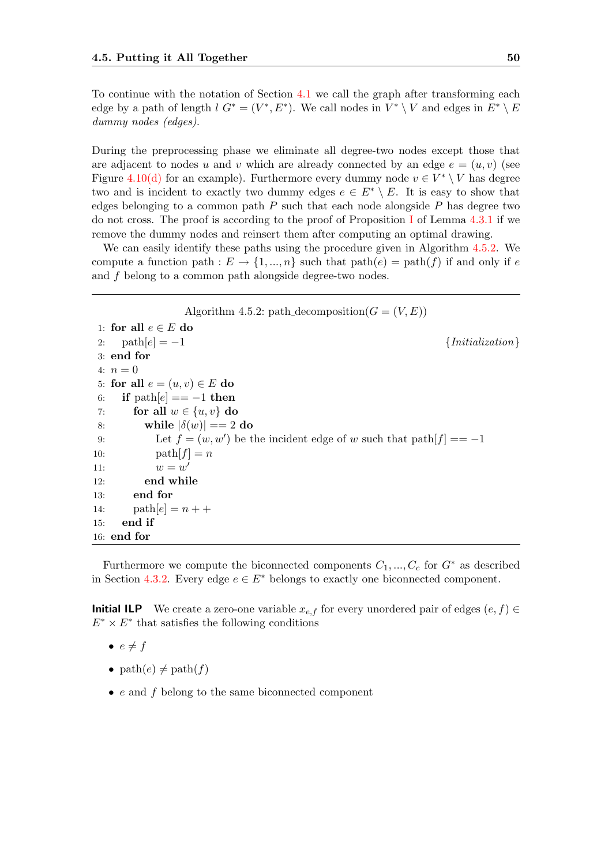To continue with the notation of Section [4.1](#page-40-0) we call the graph after transforming each edge by a path of length  $l G^* = (V^*, E^*)$ . We call nodes in  $V^* \setminus V$  and edges in  $E^* \setminus E$ dummy nodes (edges).

During the preprocessing phase we eliminate all degree-two nodes except those that are adjacent to nodes u and v which are already connected by an edge  $e = (u, v)$  (see Figure [4.10\(d\)](#page-13-1) for an example). Furthermore every dummy node  $v \in V^* \setminus V$  has degree two and is incident to exactly two dummy edges  $e \in E^* \setminus E$ . It is easy to show that edges belonging to a common path  $P$  such that each node alongside  $P$  has degree two do not cross. The proof is according to the proof of Proposition [I](#page-46-2) of Lemma [4.3.1](#page-46-5) if we remove the dummy nodes and reinsert them after computing an optimal drawing.

We can easily identify these paths using the procedure given in Algorithm [4.5.2.](#page-57-0) We compute a function path :  $E \to \{1, ..., n\}$  such that path $(e) = \text{path}(f)$  if and only if e and f belong to a common path alongside degree-two nodes.

<span id="page-57-0"></span>Algorithm 4.5.2: path decomposition( $G = (V, E)$ ) 1: for all  $e \in E$  do 2:  $path[e] = -1$  {Initialization} 3: end for 4:  $n = 0$ 5: for all  $e = (u, v) \in E$  do 6: if  $path[e] == -1$  then 7: for all  $w \in \{u, v\}$  do 8: while  $|\delta(w)| == 2$  do 9: Let  $f = (w, w')$  be the incident edge of w such that  $path[f] == -1$ 10:  $\text{path}[f] = n$ 11:  $w = w'$ 12: end while 13: end for 14:  $\text{path}[e] = n + +$ 15: end if 16: end for

Furthermore we compute the biconnected components  $C_1, ..., C_c$  for  $G^*$  as described in Section [4.3.2.](#page-48-2) Every edge  $e \in E^*$  belongs to exactly one biconnected component.

**Initial ILP** We create a zero-one variable  $x_{e,f}$  for every unordered pair of edges  $(e, f)$  ∈  $E^* \times E^*$  that satisfies the following conditions

- $\bullet \, e \neq f$
- path $(e) \neq$  path $(f)$
- $\bullet$  e and f belong to the same biconnected component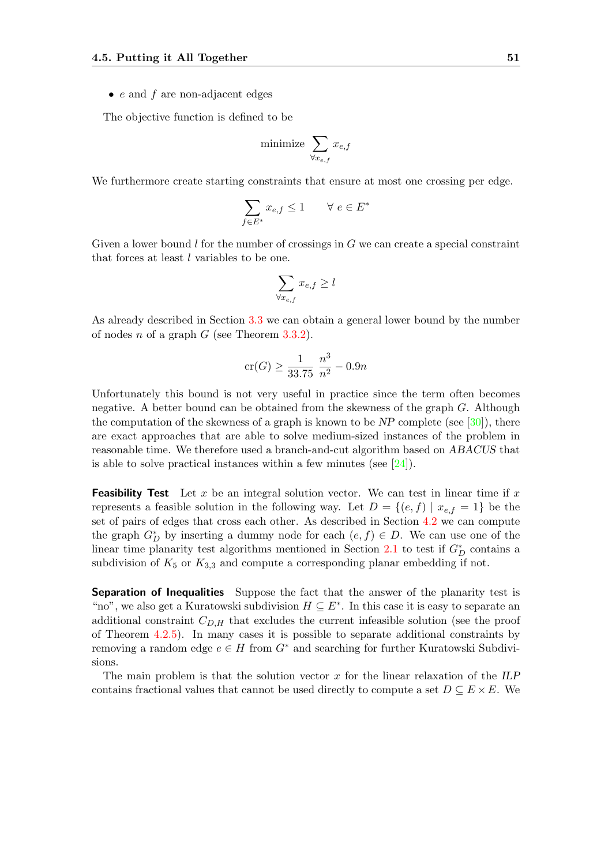•  $e$  and  $f$  are non-adjacent edges

The objective function is defined to be

$$
\text{minimize } \sum_{\forall x_{e,f}} x_{e,f}
$$

We furthermore create starting constraints that ensure at most one crossing per edge.

$$
\sum_{f \in E^*} x_{e,f} \le 1 \qquad \forall \ e \in E^*
$$

Given a lower bound l for the number of crossings in  $G$  we can create a special constraint that forces at least l variables to be one.

$$
\sum_{\forall x_{e,f}} x_{e,f} \geq l
$$

As already described in Section [3.3](#page-32-0) we can obtain a general lower bound by the number of nodes n of a graph  $G$  (see Theorem [3.3.2\)](#page-34-0).

$$
\operatorname{cr}(G) \ge \frac{1}{33.75} \; \frac{n^3}{n^2} - 0.9n
$$

Unfortunately this bound is not very useful in practice since the term often becomes negative. A better bound can be obtained from the skewness of the graph  $G$ . Although the computation of the skewness of a graph is known to be  $NP$  complete (see [\[30\]](#page-85-3)), there are exact approaches that are able to solve medium-sized instances of the problem in reasonable time. We therefore used a branch-and-cut algorithm based on ABACUS that is able to solve practical instances within a few minutes (see  $[24]$ ).

**Feasibility Test** Let x be an integral solution vector. We can test in linear time if x represents a feasible solution in the following way. Let  $D = \{(e, f) | x_{e,f} = 1\}$  be the set of pairs of edges that cross each other. As described in Section [4.2](#page-43-0) we can compute the graph  $G_D^*$  by inserting a dummy node for each  $(e, f) \in D$ . We can use one of the linear time planarity test algorithms mentioned in Section [2.1](#page-17-0) to test if  $G_D^*$  contains a subdivision of  $K_5$  or  $K_{3,3}$  and compute a corresponding planar embedding if not.

Separation of Inequalities Suppose the fact that the answer of the planarity test is "no", we also get a Kuratowski subdivision  $H \subseteq E^*$ . In this case it is easy to separate an additional constraint  $C_{D,H}$  that excludes the current infeasible solution (see the proof of Theorem [4.2.5\)](#page-44-4). In many cases it is possible to separate additional constraints by removing a random edge  $e \in H$  from  $G^*$  and searching for further Kuratowski Subdivisions.

The main problem is that the solution vector  $x$  for the linear relaxation of the ILP contains fractional values that cannot be used directly to compute a set  $D \subseteq E \times E$ . We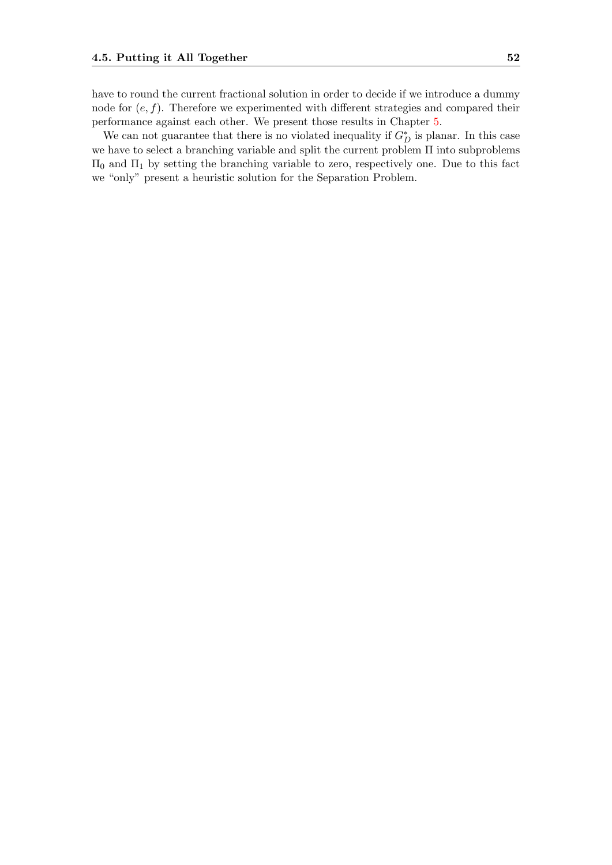have to round the current fractional solution in order to decide if we introduce a dummy node for  $(e, f)$ . Therefore we experimented with different strategies and compared their performance against each other. We present those results in Chapter [5.](#page-60-0)

We can not guarantee that there is no violated inequality if  $G_D^*$  is planar. In this case we have to select a branching variable and split the current problem Π into subproblems  $\Pi_0$  and  $\Pi_1$  by setting the branching variable to zero, respectively one. Due to this fact we "only" present a heuristic solution for the Separation Problem.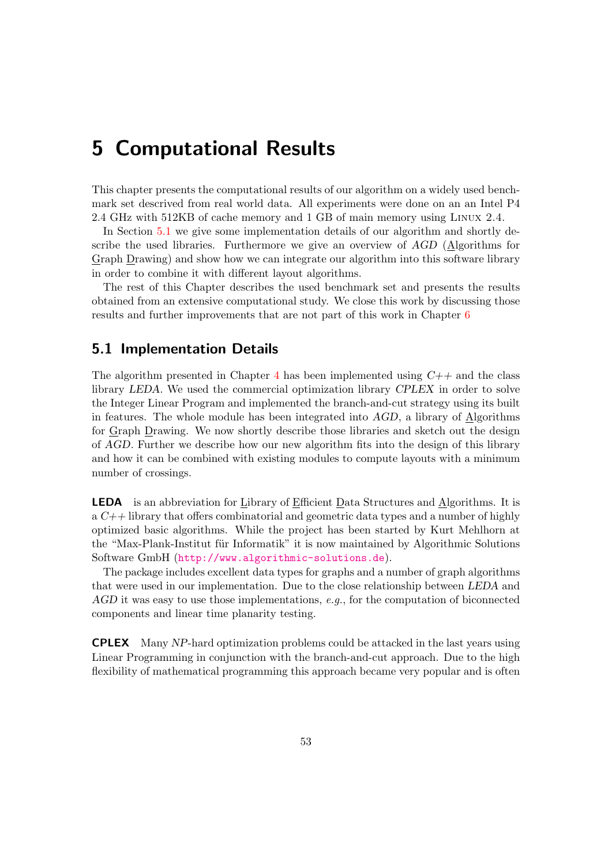# <span id="page-60-0"></span>5 Computational Results

This chapter presents the computational results of our algorithm on a widely used benchmark set descrived from real world data. All experiments were done on an an Intel P4 2.4 GHz with 512KB of cache memory and 1 GB of main memory using Linux 2.4.

In Section [5.1](#page-60-1) we give some implementation details of our algorithm and shortly describe the used libraries. Furthermore we give an overview of AGD (Algorithms for Graph Drawing) and show how we can integrate our algorithm into this software library in order to combine it with different layout algorithms.

The rest of this Chapter describes the used benchmark set and presents the results obtained from an extensive computational study. We close this work by discussing those results and further improvements that are not part of this work in Chapter [6](#page-81-0)

### <span id="page-60-1"></span>5.1 Implementation Details

The algorithm presented in Chapter [4](#page-40-1) has been implemented using  $C++$  and the class library LEDA. We used the commercial optimization library CPLEX in order to solve the Integer Linear Program and implemented the branch-and-cut strategy using its built in features. The whole module has been integrated into AGD, a library of Algorithms for Graph Drawing. We now shortly describe those libraries and sketch out the design of AGD. Further we describe how our new algorithm fits into the design of this library and how it can be combined with existing modules to compute layouts with a minimum number of crossings.

LEDA is an abbreviation for Library of Efficient Data Structures and Algorithms. It is a  $C_{+}$  library that offers combinatorial and geometric data types and a number of highly optimized basic algorithms. While the project has been started by Kurt Mehlhorn at the "Max-Plank-Institut für Informatik" it is now maintained by Algorithmic Solutions Software GmbH (<http://www.algorithmic-solutions.de>).

The package includes excellent data types for graphs and a number of graph algorithms that were used in our implementation. Due to the close relationship between LEDA and  $AGD$  it was easy to use those implementations, e.g., for the computation of biconnected components and linear time planarity testing.

CPLEX Many NP-hard optimization problems could be attacked in the last years using Linear Programming in conjunction with the branch-and-cut approach. Due to the high flexibility of mathematical programming this approach became very popular and is often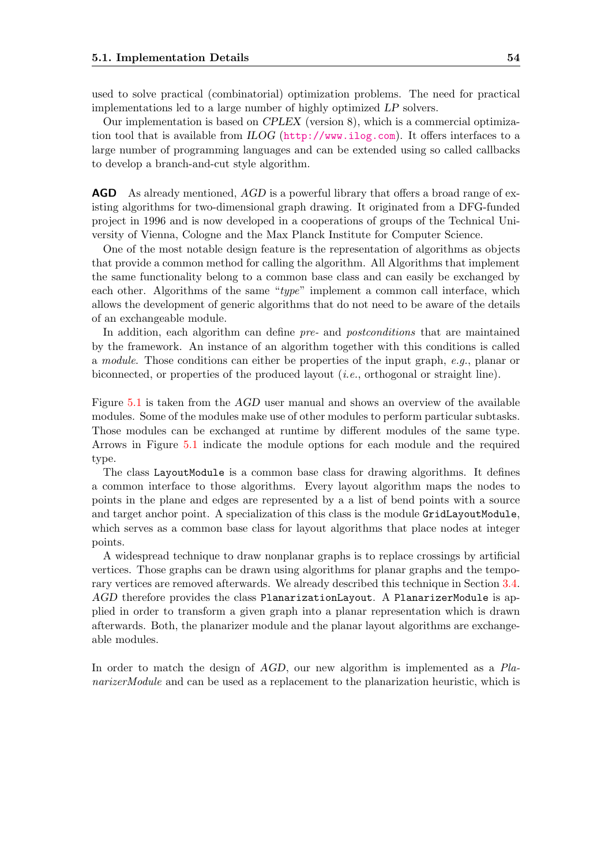used to solve practical (combinatorial) optimization problems. The need for practical implementations led to a large number of highly optimized LP solvers.

Our implementation is based on CPLEX (version 8), which is a commercial optimization tool that is available from ILOG (<http://www.ilog.com>). It offers interfaces to a large number of programming languages and can be extended using so called callbacks to develop a branch-and-cut style algorithm.

**AGD** As already mentioned, AGD is a powerful library that offers a broad range of existing algorithms for two-dimensional graph drawing. It originated from a DFG-funded project in 1996 and is now developed in a cooperations of groups of the Technical University of Vienna, Cologne and the Max Planck Institute for Computer Science.

One of the most notable design feature is the representation of algorithms as objects that provide a common method for calling the algorithm. All Algorithms that implement the same functionality belong to a common base class and can easily be exchanged by each other. Algorithms of the same "type" implement a common call interface, which allows the development of generic algorithms that do not need to be aware of the details of an exchangeable module.

In addition, each algorithm can define pre- and postconditions that are maintained by the framework. An instance of an algorithm together with this conditions is called a module. Those conditions can either be properties of the input graph, e.g., planar or biconnected, or properties of the produced layout (i.e., orthogonal or straight line).

Figure [5.1](#page-62-0) is taken from the AGD user manual and shows an overview of the available modules. Some of the modules make use of other modules to perform particular subtasks. Those modules can be exchanged at runtime by different modules of the same type. Arrows in Figure [5.1](#page-62-0) indicate the module options for each module and the required type.

The class LayoutModule is a common base class for drawing algorithms. It defines a common interface to those algorithms. Every layout algorithm maps the nodes to points in the plane and edges are represented by a a list of bend points with a source and target anchor point. A specialization of this class is the module GridLayoutModule, which serves as a common base class for layout algorithms that place nodes at integer points.

A widespread technique to draw nonplanar graphs is to replace crossings by artificial vertices. Those graphs can be drawn using algorithms for planar graphs and the temporary vertices are removed afterwards. We already described this technique in Section [3.4.](#page-35-0) AGD therefore provides the class PlanarizationLayout. A PlanarizerModule is applied in order to transform a given graph into a planar representation which is drawn afterwards. Both, the planarizer module and the planar layout algorithms are exchangeable modules.

In order to match the design of AGD, our new algorithm is implemented as a PlanarizerModule and can be used as a replacement to the planarization heuristic, which is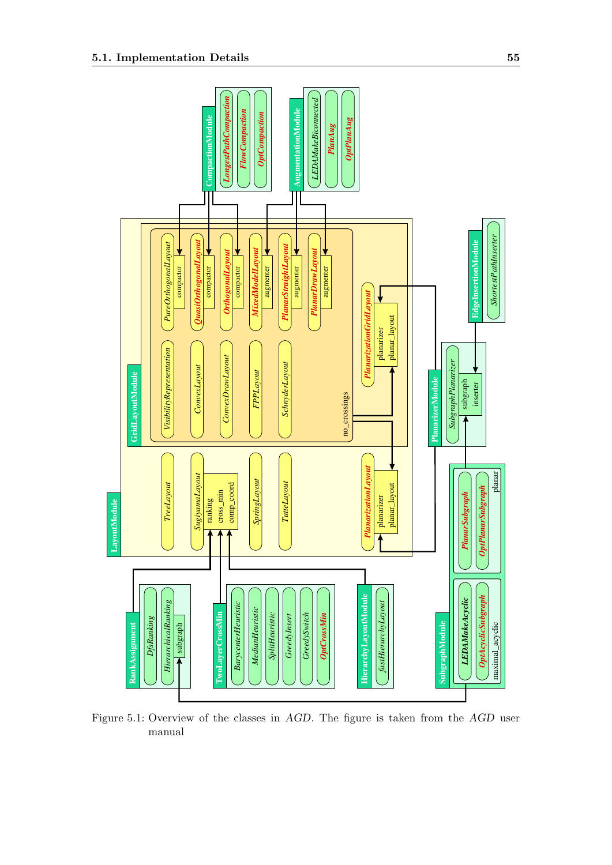

<span id="page-62-0"></span>Figure 5.1: Overview of the classes in AGD. The figure is taken from the AGD user manual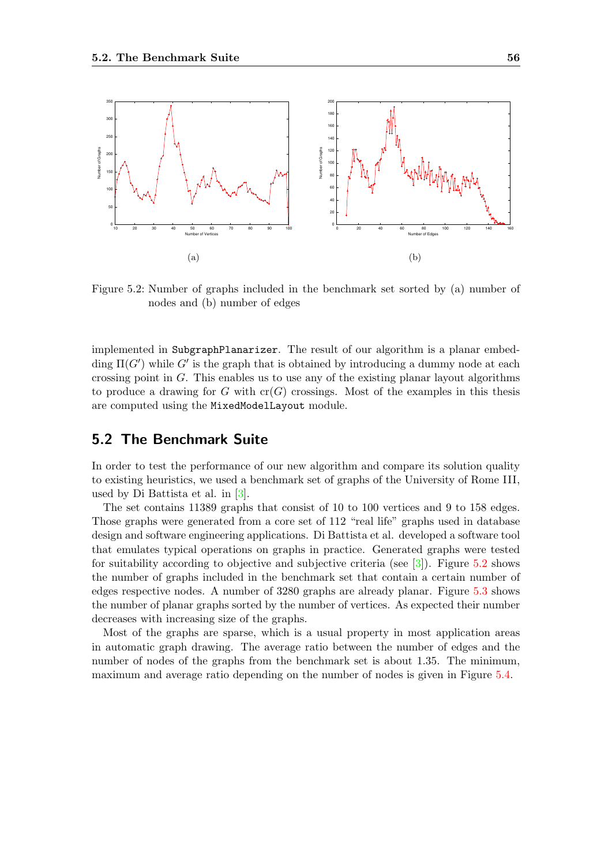

<span id="page-63-0"></span>Figure 5.2: Number of graphs included in the benchmark set sorted by (a) number of nodes and (b) number of edges

implemented in SubgraphPlanarizer. The result of our algorithm is a planar embedding  $\Pi(G')$  while G' is the graph that is obtained by introducing a dummy node at each crossing point in  $G$ . This enables us to use any of the existing planar layout algorithms to produce a drawing for G with  $cr(G)$  crossings. Most of the examples in this thesis are computed using the MixedModelLayout module.

### 5.2 The Benchmark Suite

In order to test the performance of our new algorithm and compare its solution quality to existing heuristics, we used a benchmark set of graphs of the University of Rome III, used by Di Battista et al. in [\[3\]](#page-83-3).

The set contains 11389 graphs that consist of 10 to 100 vertices and 9 to 158 edges. Those graphs were generated from a core set of 112 "real life" graphs used in database design and software engineering applications. Di Battista et al. developed a software tool that emulates typical operations on graphs in practice. Generated graphs were tested for suitability according to objective and subjective criteria (see  $\lceil 3 \rceil$ ). Figure [5.2](#page-63-0) shows the number of graphs included in the benchmark set that contain a certain number of edges respective nodes. A number of 3280 graphs are already planar. Figure [5.3](#page-64-0) shows the number of planar graphs sorted by the number of vertices. As expected their number decreases with increasing size of the graphs.

Most of the graphs are sparse, which is a usual property in most application areas in automatic graph drawing. The average ratio between the number of edges and the number of nodes of the graphs from the benchmark set is about 1.35. The minimum, maximum and average ratio depending on the number of nodes is given in Figure [5.4.](#page-64-1)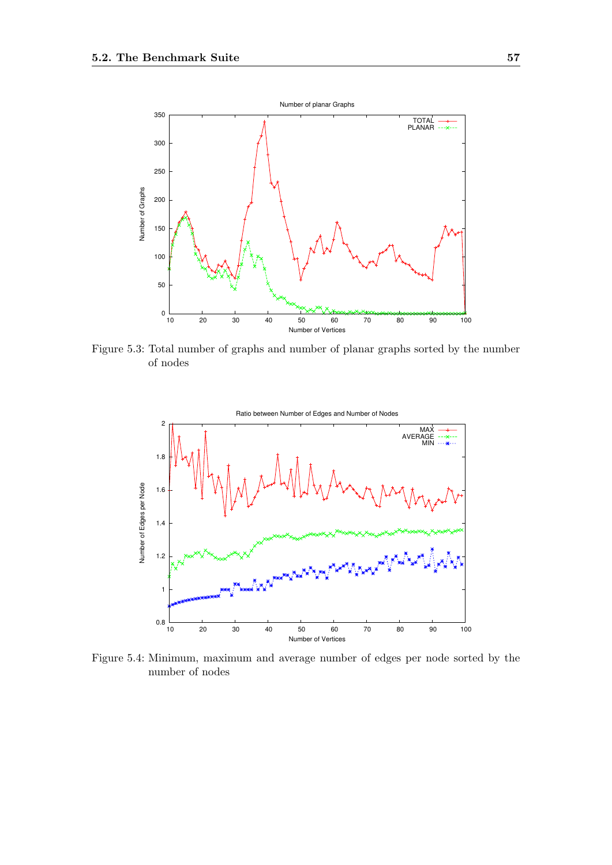

<span id="page-64-0"></span>Figure 5.3: Total number of graphs and number of planar graphs sorted by the number of nodes



<span id="page-64-1"></span>Figure 5.4: Minimum, maximum and average number of edges per node sorted by the number of nodes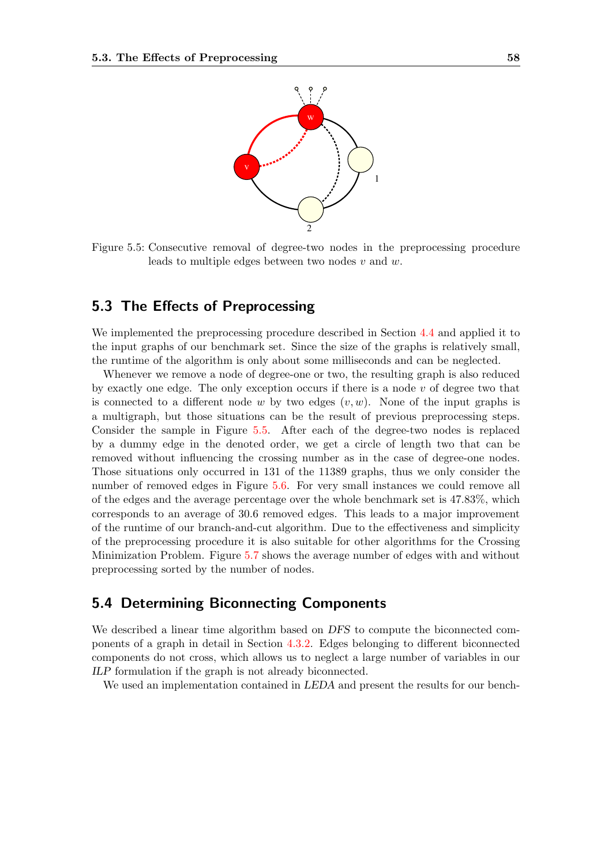

<span id="page-65-0"></span>Figure 5.5: Consecutive removal of degree-two nodes in the preprocessing procedure leads to multiple edges between two nodes  $v$  and  $w$ .

### 5.3 The Effects of Preprocessing

We implemented the preprocessing procedure described in Section [4.4](#page-53-0) and applied it to the input graphs of our benchmark set. Since the size of the graphs is relatively small, the runtime of the algorithm is only about some milliseconds and can be neglected.

Whenever we remove a node of degree-one or two, the resulting graph is also reduced by exactly one edge. The only exception occurs if there is a node  $v$  of degree two that is connected to a different node w by two edges  $(v, w)$ . None of the input graphs is a multigraph, but those situations can be the result of previous preprocessing steps. Consider the sample in Figure [5.5.](#page-65-0) After each of the degree-two nodes is replaced by a dummy edge in the denoted order, we get a circle of length two that can be removed without influencing the crossing number as in the case of degree-one nodes. Those situations only occurred in 131 of the 11389 graphs, thus we only consider the number of removed edges in Figure [5.6.](#page-66-0) For very small instances we could remove all of the edges and the average percentage over the whole benchmark set is 47.83%, which corresponds to an average of 30.6 removed edges. This leads to a major improvement of the runtime of our branch-and-cut algorithm. Due to the effectiveness and simplicity of the preprocessing procedure it is also suitable for other algorithms for the Crossing Minimization Problem. Figure [5.7](#page-67-0) shows the average number of edges with and without preprocessing sorted by the number of nodes.

### 5.4 Determining Biconnecting Components

We described a linear time algorithm based on DFS to compute the biconnected components of a graph in detail in Section [4.3.2.](#page-48-2) Edges belonging to different biconnected components do not cross, which allows us to neglect a large number of variables in our ILP formulation if the graph is not already biconnected.

We used an implementation contained in *LEDA* and present the results for our bench-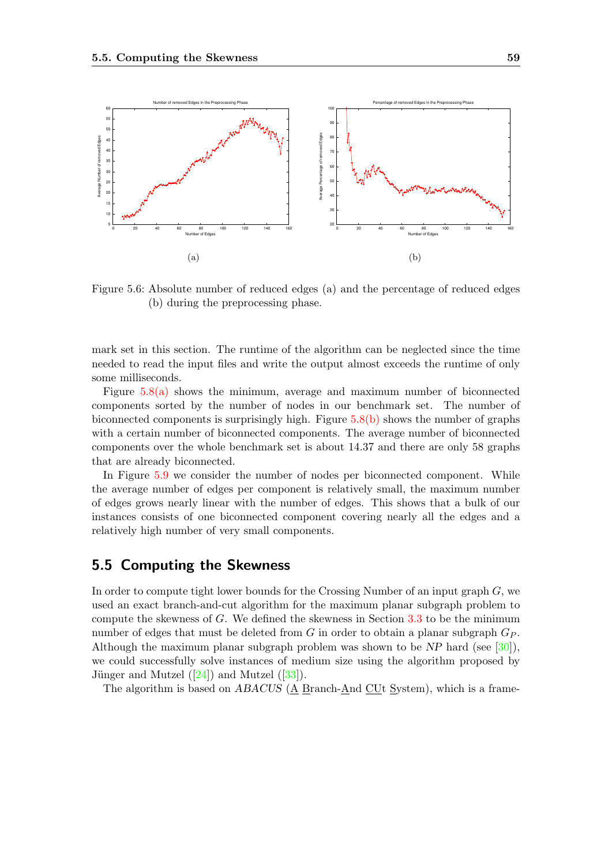

<span id="page-66-0"></span>Figure 5.6: Absolute number of reduced edges (a) and the percentage of reduced edges (b) during the preprocessing phase.

mark set in this section. The runtime of the algorithm can be neglected since the time needed to read the input files and write the output almost exceeds the runtime of only some milliseconds.

Figure  $5.8(a)$  shows the minimum, average and maximum number of biconnected components sorted by the number of nodes in our benchmark set. The number of biconnected components is surprisingly high. Figure [5.8\(b\)](#page-11-1) shows the number of graphs with a certain number of biconnected components. The average number of biconnected components over the whole benchmark set is about 14.37 and there are only 58 graphs that are already biconnected.

In Figure [5.9](#page-69-0) we consider the number of nodes per biconnected component. While the average number of edges per component is relatively small, the maximum number of edges grows nearly linear with the number of edges. This shows that a bulk of our instances consists of one biconnected component covering nearly all the edges and a relatively high number of very small components.

### 5.5 Computing the Skewness

In order to compute tight lower bounds for the Crossing Number of an input graph  $G$ , we used an exact branch-and-cut algorithm for the maximum planar subgraph problem to compute the skewness of  $G$ . We defined the skewness in Section [3.3](#page-32-0) to be the minimum number of edges that must be deleted from G in order to obtain a planar subgraph  $G_P$ . Although the maximum planar subgraph problem was shown to be NP hard (see [\[30\]](#page-85-3)), we could successfully solve instances of medium size using the algorithm proposed by Jünger and Mutzel  $([24])$  $([24])$  $([24])$  and Mutzel  $([33])$  $([33])$  $([33])$ .

The algorithm is based on  $ABACUS$  ( $\underline{A}$  Branch- $\underline{A}$ nd  $\underline{CUt}$  System), which is a frame-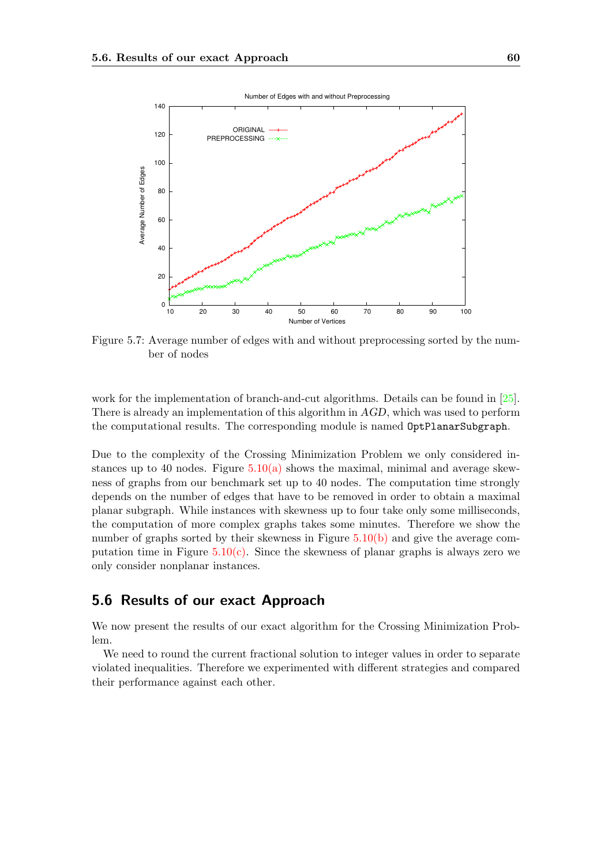

<span id="page-67-0"></span>Figure 5.7: Average number of edges with and without preprocessing sorted by the number of nodes

work for the implementation of branch-and-cut algorithms. Details can be found in [\[25\]](#page-84-6). There is already an implementation of this algorithm in AGD, which was used to perform the computational results. The corresponding module is named OptPlanarSubgraph.

Due to the complexity of the Crossing Minimization Problem we only considered instances up to 40 nodes. Figure  $5.10(a)$  shows the maximal, minimal and average skewness of graphs from our benchmark set up to 40 nodes. The computation time strongly depends on the number of edges that have to be removed in order to obtain a maximal planar subgraph. While instances with skewness up to four take only some milliseconds, the computation of more complex graphs takes some minutes. Therefore we show the number of graphs sorted by their skewness in Figure [5.10\(b\)](#page-11-1) and give the average computation time in Figure  $5.10(c)$ . Since the skewness of planar graphs is always zero we only consider nonplanar instances.

### 5.6 Results of our exact Approach

We now present the results of our exact algorithm for the Crossing Minimization Problem.

We need to round the current fractional solution to integer values in order to separate violated inequalities. Therefore we experimented with different strategies and compared their performance against each other.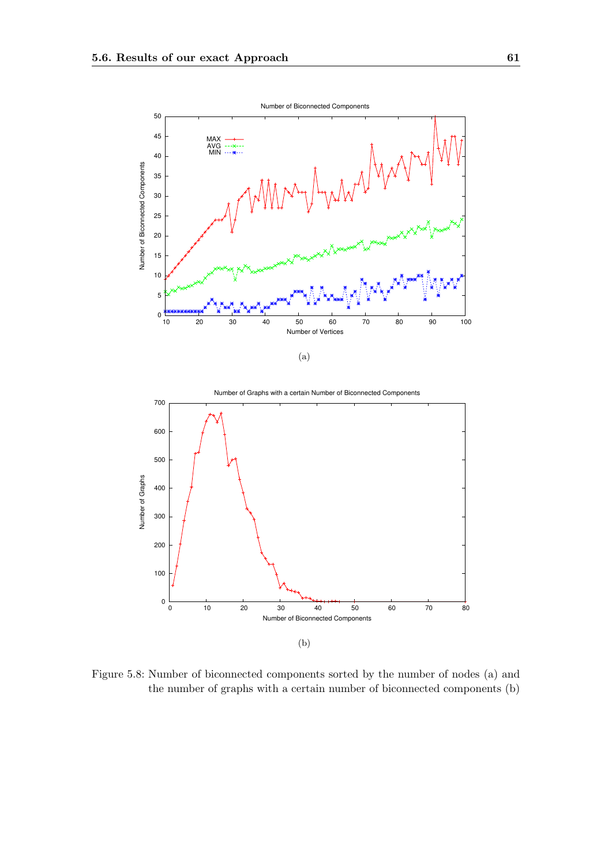



Figure 5.8: Number of biconnected components sorted by the number of nodes (a) and the number of graphs with a certain number of biconnected components (b)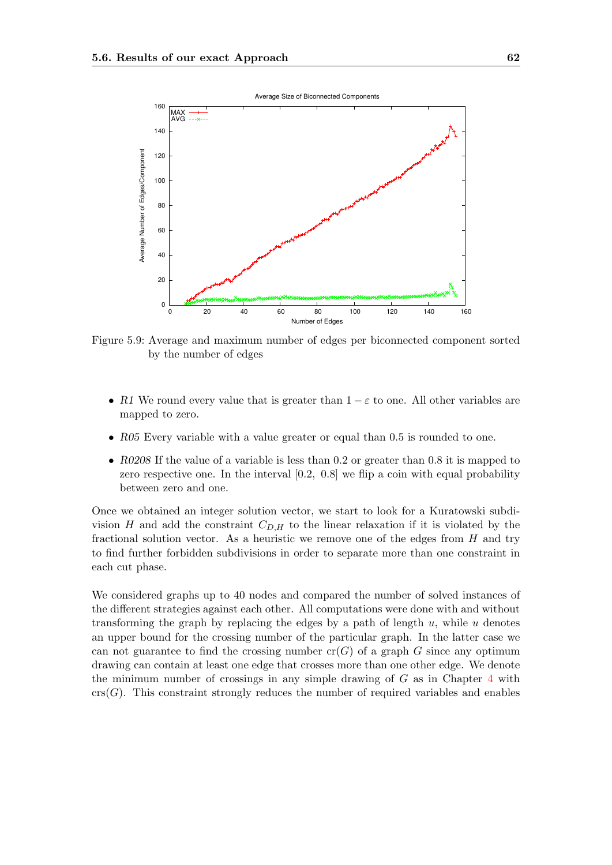

<span id="page-69-0"></span>Figure 5.9: Average and maximum number of edges per biconnected component sorted by the number of edges

- R1 We round every value that is greater than  $1 \varepsilon$  to one. All other variables are mapped to zero.
- R05 Every variable with a value greater or equal than 0.5 is rounded to one.
- R0208 If the value of a variable is less than 0.2 or greater than 0.8 it is mapped to zero respective one. In the interval [0.2, 0.8] we flip a coin with equal probability between zero and one.

Once we obtained an integer solution vector, we start to look for a Kuratowski subdivision H and add the constraint  $C_{D,H}$  to the linear relaxation if it is violated by the fractional solution vector. As a heuristic we remove one of the edges from  $H$  and try to find further forbidden subdivisions in order to separate more than one constraint in each cut phase.

We considered graphs up to 40 nodes and compared the number of solved instances of the different strategies against each other. All computations were done with and without transforming the graph by replacing the edges by a path of length  $u$ , while  $u$  denotes an upper bound for the crossing number of the particular graph. In the latter case we can not guarantee to find the crossing number  $cr(G)$  of a graph G since any optimum drawing can contain at least one edge that crosses more than one other edge. We denote the minimum number of crossings in any simple drawing of  $G$  as in Chapter [4](#page-40-1) with  $crs(G)$ . This constraint strongly reduces the number of required variables and enables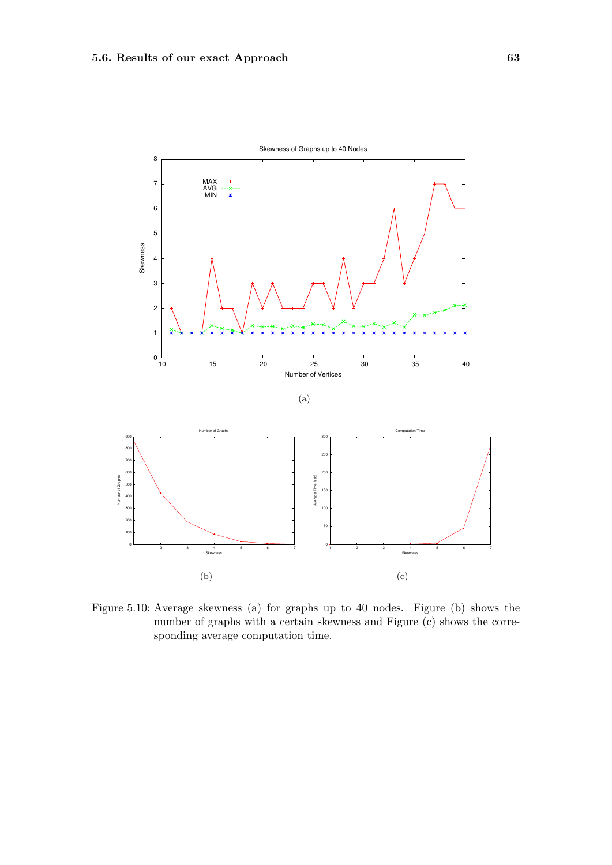

Figure 5.10: Average skewness (a) for graphs up to 40 nodes. Figure (b) shows the number of graphs with a certain skewness and Figure (c) shows the corresponding average computation time.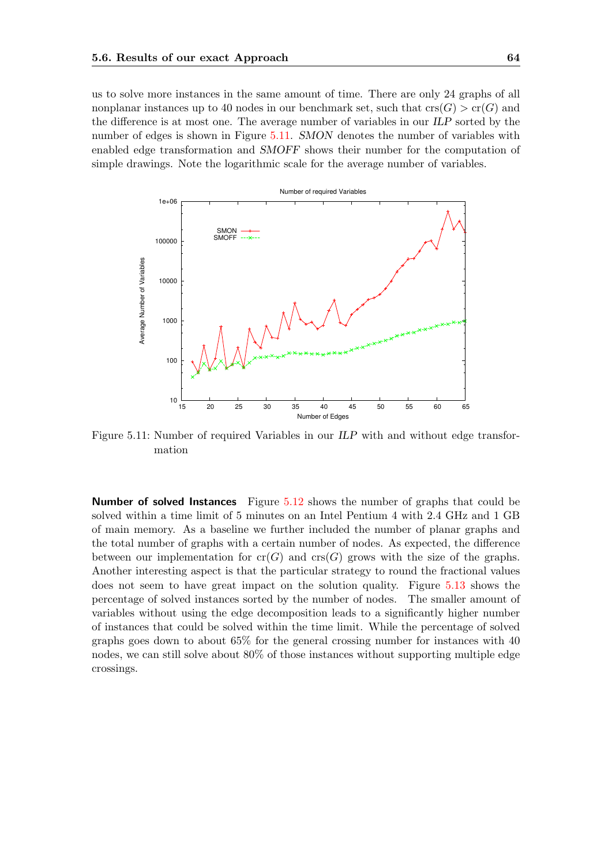us to solve more instances in the same amount of time. There are only 24 graphs of all nonplanar instances up to 40 nodes in our benchmark set, such that  $\text{crs}(G) > \text{cr}(G)$  and the difference is at most one. The average number of variables in our ILP sorted by the number of edges is shown in Figure [5.11.](#page-71-0) SMON denotes the number of variables with enabled edge transformation and SMOFF shows their number for the computation of simple drawings. Note the logarithmic scale for the average number of variables.



<span id="page-71-0"></span>Figure 5.11: Number of required Variables in our ILP with and without edge transformation

Number of solved Instances Figure [5.12](#page-72-0) shows the number of graphs that could be solved within a time limit of 5 minutes on an Intel Pentium 4 with 2.4 GHz and 1 GB of main memory. As a baseline we further included the number of planar graphs and the total number of graphs with a certain number of nodes. As expected, the difference between our implementation for  $cr(G)$  and  $cr(G)$  grows with the size of the graphs. Another interesting aspect is that the particular strategy to round the fractional values does not seem to have great impact on the solution quality. Figure [5.13](#page-73-0) shows the percentage of solved instances sorted by the number of nodes. The smaller amount of variables without using the edge decomposition leads to a significantly higher number of instances that could be solved within the time limit. While the percentage of solved graphs goes down to about 65% for the general crossing number for instances with 40 nodes, we can still solve about 80% of those instances without supporting multiple edge crossings.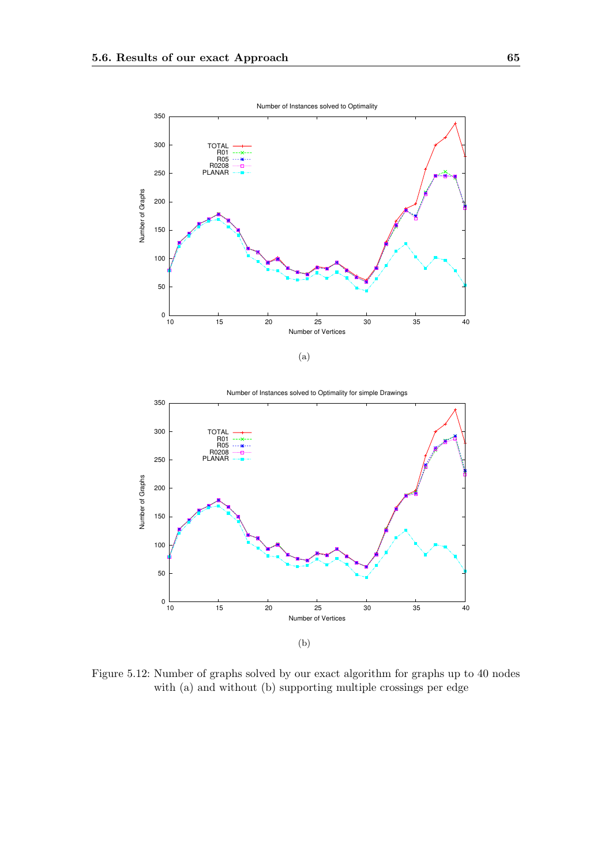



Figure 5.12: Number of graphs solved by our exact algorithm for graphs up to 40 nodes with (a) and without (b) supporting multiple crossings per edge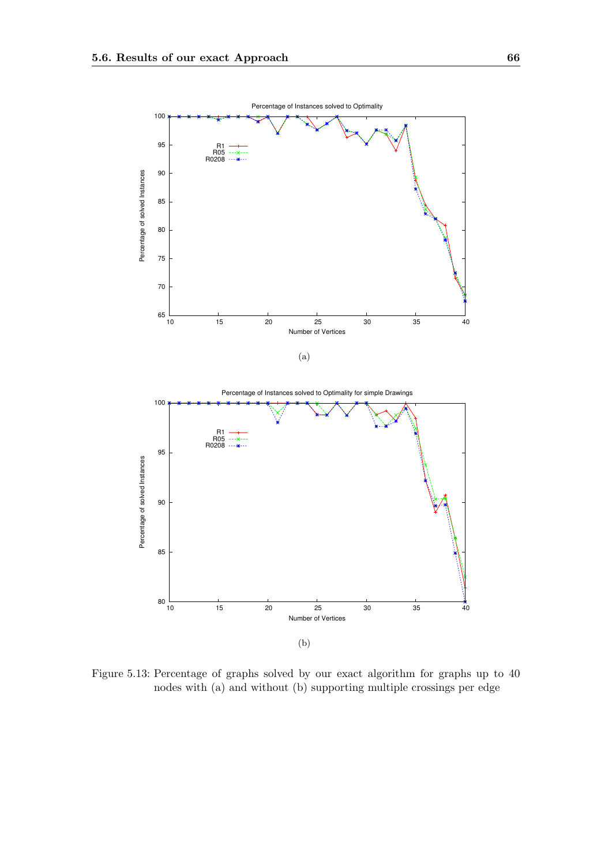

Figure 5.13: Percentage of graphs solved by our exact algorithm for graphs up to 40 nodes with (a) and without (b) supporting multiple crossings per edge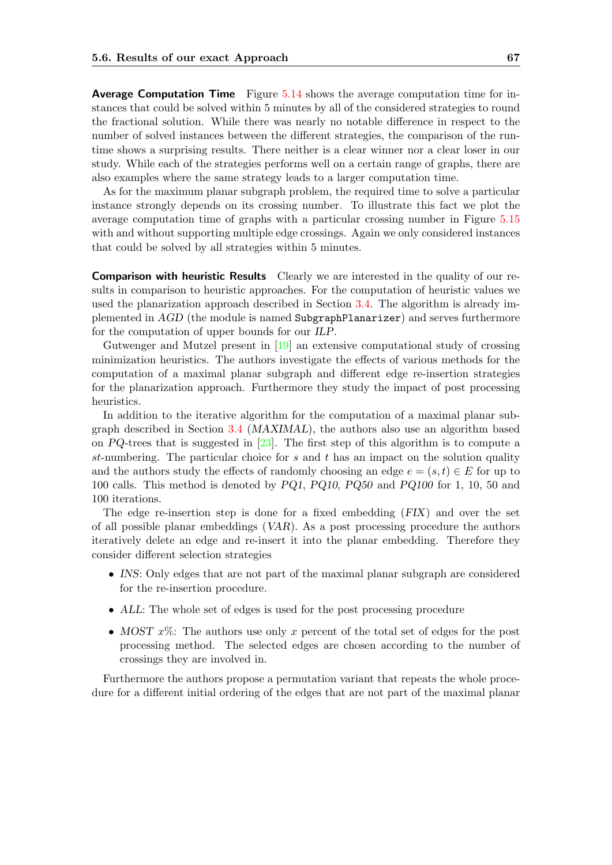Average Computation Time Figure [5.14](#page-75-0) shows the average computation time for instances that could be solved within 5 minutes by all of the considered strategies to round the fractional solution. While there was nearly no notable difference in respect to the number of solved instances between the different strategies, the comparison of the runtime shows a surprising results. There neither is a clear winner nor a clear loser in our study. While each of the strategies performs well on a certain range of graphs, there are also examples where the same strategy leads to a larger computation time.

As for the maximum planar subgraph problem, the required time to solve a particular instance strongly depends on its crossing number. To illustrate this fact we plot the average computation time of graphs with a particular crossing number in Figure [5.15](#page-76-0) with and without supporting multiple edge crossings. Again we only considered instances that could be solved by all strategies within 5 minutes.

Comparison with heuristic Results Clearly we are interested in the quality of our results in comparison to heuristic approaches. For the computation of heuristic values we used the planarization approach described in Section [3.4.](#page-35-0) The algorithm is already implemented in AGD (the module is named SubgraphPlanarizer) and serves furthermore for the computation of upper bounds for our ILP.

Gutwenger and Mutzel present in [\[19\]](#page-84-0) an extensive computational study of crossing minimization heuristics. The authors investigate the effects of various methods for the computation of a maximal planar subgraph and different edge re-insertion strategies for the planarization approach. Furthermore they study the impact of post processing heuristics.

In addition to the iterative algorithm for the computation of a maximal planar subgraph described in Section [3.4](#page-35-0) (MAXIMAL), the authors also use an algorithm based on PQ-trees that is suggested in  $[23]$ . The first step of this algorithm is to compute a st-numbering. The particular choice for s and t has an impact on the solution quality and the authors study the effects of randomly choosing an edge  $e = (s, t) \in E$  for up to 100 calls. This method is denoted by PQ1, PQ10, PQ50 and PQ100 for 1, 10, 50 and 100 iterations.

The edge re-insertion step is done for a fixed embedding (FIX) and over the set of all possible planar embeddings (VAR). As a post processing procedure the authors iteratively delete an edge and re-insert it into the planar embedding. Therefore they consider different selection strategies

- INS: Only edges that are not part of the maximal planar subgraph are considered for the re-insertion procedure.
- ALL: The whole set of edges is used for the post processing procedure
- MOST  $x\%$ : The authors use only x percent of the total set of edges for the post processing method. The selected edges are chosen according to the number of crossings they are involved in.

Furthermore the authors propose a permutation variant that repeats the whole procedure for a different initial ordering of the edges that are not part of the maximal planar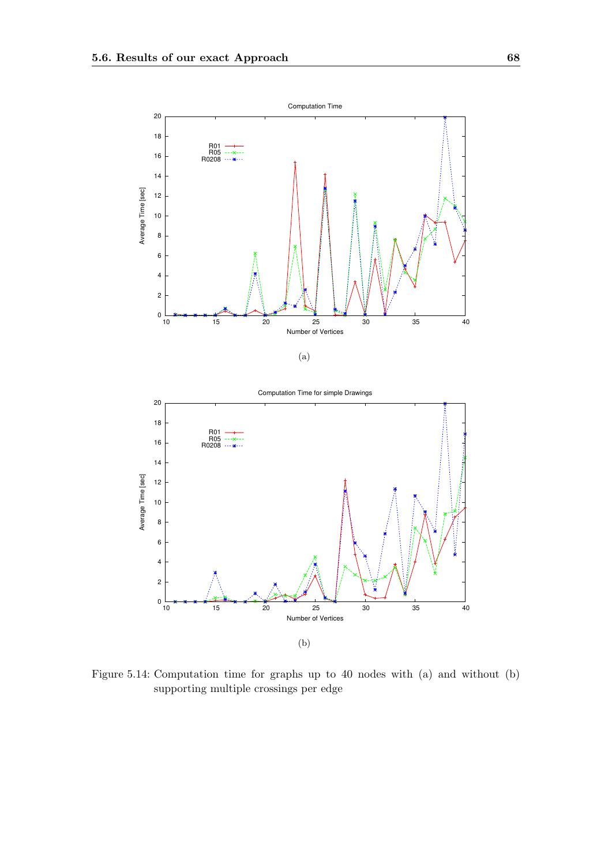



<span id="page-75-0"></span>Figure 5.14: Computation time for graphs up to 40 nodes with (a) and without (b) supporting multiple crossings per edge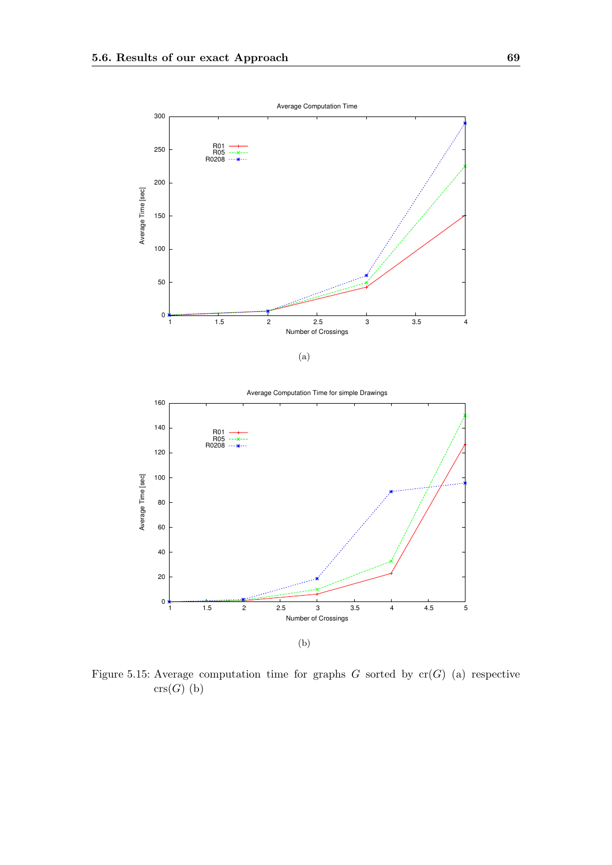

(b)

<span id="page-76-0"></span>Figure 5.15: Average computation time for graphs  $G$  sorted by  $cr(G)$  (a) respective  $\mathrm{crs}(G)$  (b)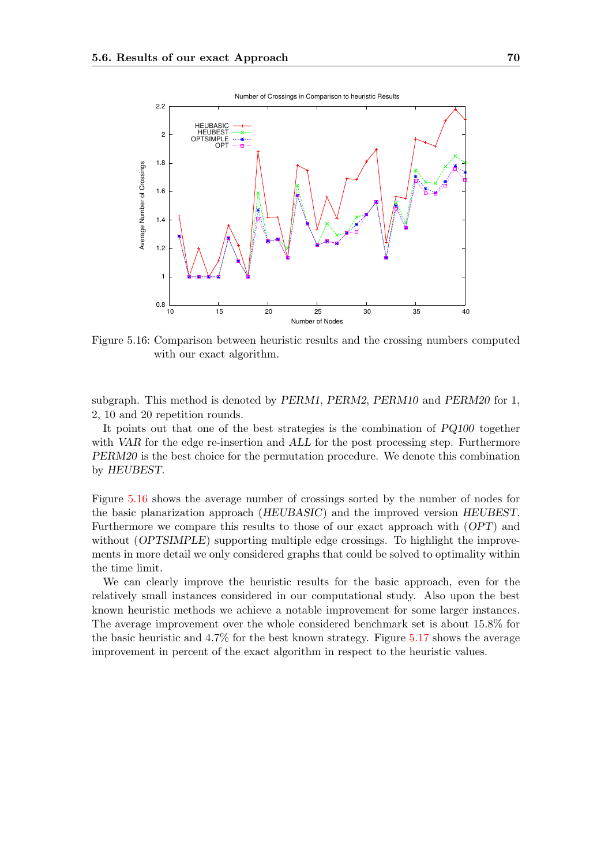

<span id="page-77-0"></span>Figure 5.16: Comparison between heuristic results and the crossing numbers computed with our exact algorithm.

subgraph. This method is denoted by PERM1, PERM2, PERM10 and PERM20 for 1, 2, 10 and 20 repetition rounds.

It points out that one of the best strategies is the combination of PQ100 together with VAR for the edge re-insertion and ALL for the post processing step. Furthermore PERM20 is the best choice for the permutation procedure. We denote this combination by HEUBEST.

Figure [5.16](#page-77-0) shows the average number of crossings sorted by the number of nodes for the basic planarization approach (HEUBASIC) and the improved version HEUBEST. Furthermore we compare this results to those of our exact approach with (OPT) and without (*OPTSIMPLE*) supporting multiple edge crossings. To highlight the improvements in more detail we only considered graphs that could be solved to optimality within the time limit.

We can clearly improve the heuristic results for the basic approach, even for the relatively small instances considered in our computational study. Also upon the best known heuristic methods we achieve a notable improvement for some larger instances. The average improvement over the whole considered benchmark set is about 15.8% for the basic heuristic and 4.7% for the best known strategy. Figure [5.17](#page-78-0) shows the average improvement in percent of the exact algorithm in respect to the heuristic values.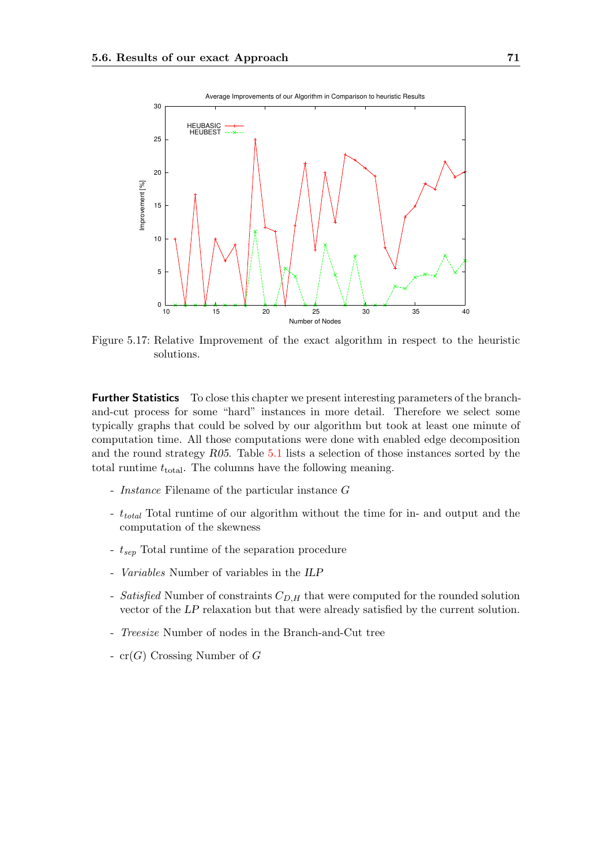

<span id="page-78-0"></span>Figure 5.17: Relative Improvement of the exact algorithm in respect to the heuristic solutions.

Further Statistics To close this chapter we present interesting parameters of the branchand-cut process for some "hard" instances in more detail. Therefore we select some typically graphs that could be solved by our algorithm but took at least one minute of computation time. All those computations were done with enabled edge decomposition and the round strategy R05. Table [5.1](#page-79-0) lists a selection of those instances sorted by the total runtime  $t_{\text{total}}$ . The columns have the following meaning.

- Instance Filename of the particular instance G
- t<sub>total</sub> Total runtime of our algorithm without the time for in- and output and the computation of the skewness
- $t_{sep}$  Total runtime of the separation procedure
- Variables Number of variables in the ILP
- Satisfied Number of constraints  $C_{D,H}$  that were computed for the rounded solution vector of the LP relaxation but that were already satisfied by the current solution.
- Treesize Number of nodes in the Branch-and-Cut tree
- $cr(G)$  Crossing Number of G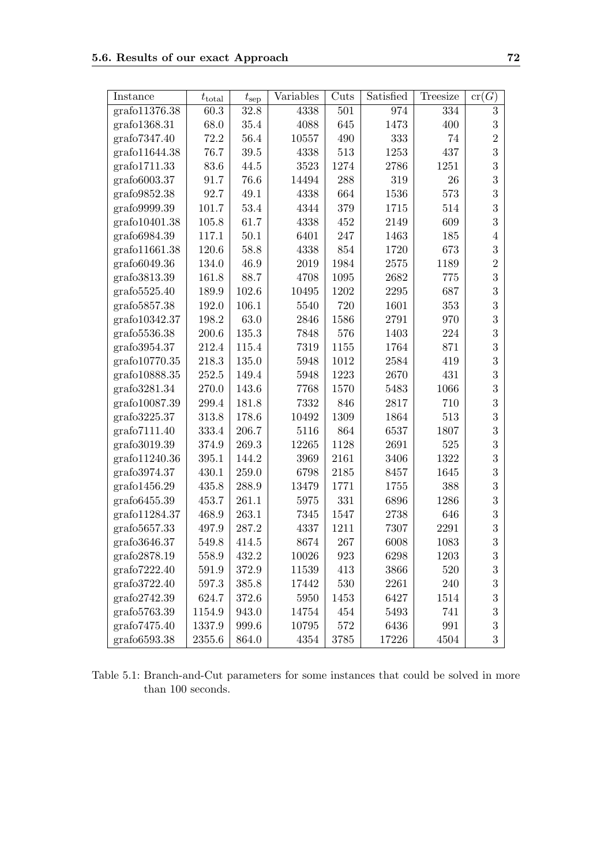| Instance      | $t_{\text{total}}$ | $t_{\rm sep}$ | Variables | Cuts | Satisfied | Treesize | cr(G)            |
|---------------|--------------------|---------------|-----------|------|-----------|----------|------------------|
| grafo11376.38 | 60.3               | 32.8          | 4338      | 501  | 974       | 334      | $\boldsymbol{3}$ |
| grafo1368.31  | 68.0               | 35.4          | 4088      | 645  | 1473      | 400      | 3                |
| grafo7347.40  | 72.2               | 56.4          | 10557     | 490  | 333       | 74       | $\overline{2}$   |
| grafo11644.38 | 76.7               | $39.5\,$      | 4338      | 513  | 1253      | 437      | 3                |
| grafo1711.33  | 83.6               | 44.5          | 3523      | 1274 | 2786      | 1251     | 3                |
| grafo6003.37  | 91.7               | 76.6          | 14494     | 288  | 319       | 26       | 3                |
| grafo9852.38  | 92.7               | 49.1          | 4338      | 664  | 1536      | 573      | 3                |
| grafo9999.39  | 101.7              | 53.4          | 4344      | 379  | 1715      | 514      | 3                |
| grafo10401.38 | 105.8              | 61.7          | 4338      | 452  | 2149      | 609      | 3                |
| grafo6984.39  | 117.1              | 50.1          | 6401      | 247  | 1463      | 185      | $\overline{4}$   |
| grafo11661.38 | 120.6              | 58.8          | 4338      | 854  | 1720      | 673      | 3                |
| grafo6049.36  | 134.0              | 46.9          | 2019      | 1984 | 2575      | 1189     | $\overline{2}$   |
| grafo3813.39  | 161.8              | 88.7          | 4708      | 1095 | 2682      | 775      | 3                |
| grafo5525.40  | 189.9              | 102.6         | 10495     | 1202 | 2295      | 687      | 3                |
| grafo5857.38  | 192.0              | 106.1         | 5540      | 720  | 1601      | 353      | 3                |
| grafo10342.37 | $198.2\,$          | 63.0          | 2846      | 1586 | 2791      | 970      | 3                |
| grafo5536.38  | 200.6              | 135.3         | 7848      | 576  | 1403      | 224      | 3                |
| grafo3954.37  | 212.4              | 115.4         | 7319      | 1155 | 1764      | 871      | 3                |
| grafo10770.35 | 218.3              | 135.0         | 5948      | 1012 | 2584      | 419      | 3                |
| grafo10888.35 | 252.5              | 149.4         | 5948      | 1223 | 2670      | 431      | 3                |
| grafo3281.34  | 270.0              | 143.6         | 7768      | 1570 | 5483      | 1066     | 3                |
| grafo10087.39 | 299.4              | 181.8         | 7332      | 846  | 2817      | 710      | 3                |
| grafo3225.37  | 313.8              | 178.6         | 10492     | 1309 | 1864      | 513      | 3                |
| grafo7111.40  | 333.4              | 206.7         | 5116      | 864  | 6537      | 1807     | 3                |
| grafo3019.39  | 374.9              | 269.3         | $12265\,$ | 1128 | 2691      | 525      | 3                |
| grafo11240.36 | 395.1              | 144.2         | 3969      | 2161 | 3406      | 1322     | 3                |
| grafo3974.37  | 430.1              | 259.0         | 6798      | 2185 | 8457      | 1645     | 3                |
| grafo1456.29  | 435.8              | 288.9         | 13479     | 1771 | 1755      | 388      | 3                |
| grafo6455.39  | 453.7              | 261.1         | 5975      | 331  | 6896      | 1286     | 3                |
| grafo11284.37 | 468.9              | 263.1         | 7345      | 1547 | 2738      | 646      | 3                |
| grafo5657.33  | 497.9              | 287.2         | 4337      | 1211 | 7307      | 2291     | 3                |
| grafo3646.37  | 549.8              | 414.5         | 8674      | 267  | 6008      | 1083     | 3                |
| grafo2878.19  | 558.9              | 432.2         | 10026     | 923  | 6298      | 1203     | 3                |
| grafo7222.40  | 591.9              | 372.9         | 11539     | 413  | 3866      | 520      | 3                |
| grafo3722.40  | 597.3              | 385.8         | 17442     | 530  | 2261      | 240      | 3                |
| grafo2742.39  | 624.7              | 372.6         | 5950      | 1453 | 6427      | 1514     | 3                |
| grafo5763.39  | 1154.9             | 943.0         | 14754     | 454  | 5493      | 741      | 3                |
| grafo7475.40  | 1337.9             | 999.6         | 10795     | 572  | 6436      | 991      | $\boldsymbol{3}$ |
| grafo6593.38  | 2355.6             | 864.0         | 4354      | 3785 | 17226     | 4504     | 3                |

<span id="page-79-0"></span>Table 5.1: Branch-and-Cut parameters for some instances that could be solved in more than 100 seconds.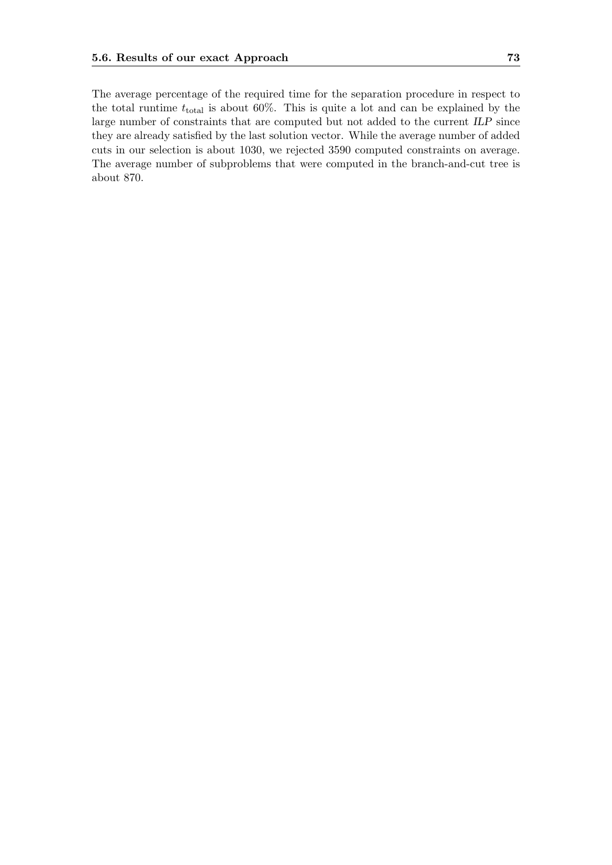The average percentage of the required time for the separation procedure in respect to the total runtime  $t_{total}$  is about 60%. This is quite a lot and can be explained by the large number of constraints that are computed but not added to the current ILP since they are already satisfied by the last solution vector. While the average number of added cuts in our selection is about 1030, we rejected 3590 computed constraints on average. The average number of subproblems that were computed in the branch-and-cut tree is about 870.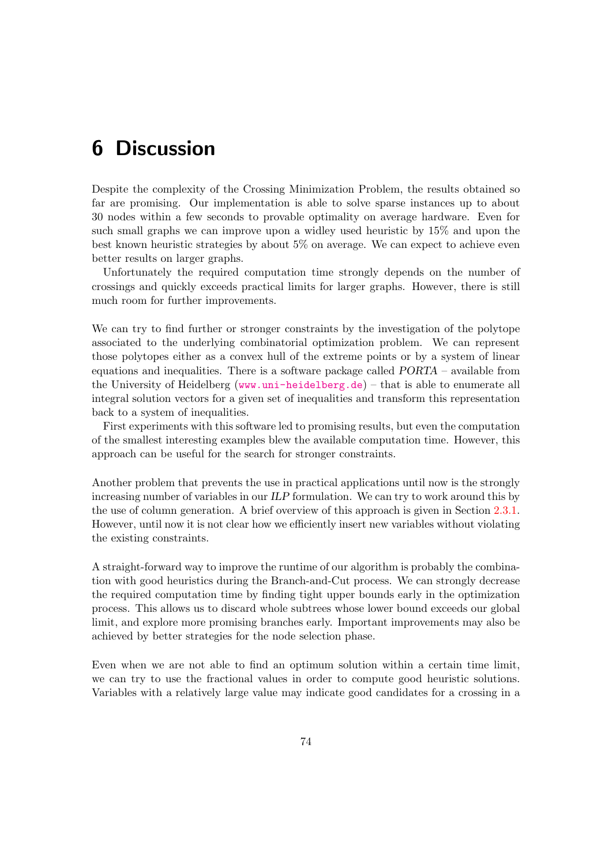## 6 Discussion

Despite the complexity of the Crossing Minimization Problem, the results obtained so far are promising. Our implementation is able to solve sparse instances up to about 30 nodes within a few seconds to provable optimality on average hardware. Even for such small graphs we can improve upon a widley used heuristic by 15% and upon the best known heuristic strategies by about 5% on average. We can expect to achieve even better results on larger graphs.

Unfortunately the required computation time strongly depends on the number of crossings and quickly exceeds practical limits for larger graphs. However, there is still much room for further improvements.

We can try to find further or stronger constraints by the investigation of the polytope associated to the underlying combinatorial optimization problem. We can represent those polytopes either as a convex hull of the extreme points or by a system of linear equations and inequalities. There is a software package called PORTA – available from the University of Heidelberg (<www.uni-heidelberg.de>) – that is able to enumerate all integral solution vectors for a given set of inequalities and transform this representation back to a system of inequalities.

First experiments with this software led to promising results, but even the computation of the smallest interesting examples blew the available computation time. However, this approach can be useful for the search for stronger constraints.

Another problem that prevents the use in practical applications until now is the strongly increasing number of variables in our ILP formulation. We can try to work around this by the use of column generation. A brief overview of this approach is given in Section [2.3.1.](#page-21-0) However, until now it is not clear how we efficiently insert new variables without violating the existing constraints.

A straight-forward way to improve the runtime of our algorithm is probably the combination with good heuristics during the Branch-and-Cut process. We can strongly decrease the required computation time by finding tight upper bounds early in the optimization process. This allows us to discard whole subtrees whose lower bound exceeds our global limit, and explore more promising branches early. Important improvements may also be achieved by better strategies for the node selection phase.

Even when we are not able to find an optimum solution within a certain time limit, we can try to use the fractional values in order to compute good heuristic solutions. Variables with a relatively large value may indicate good candidates for a crossing in a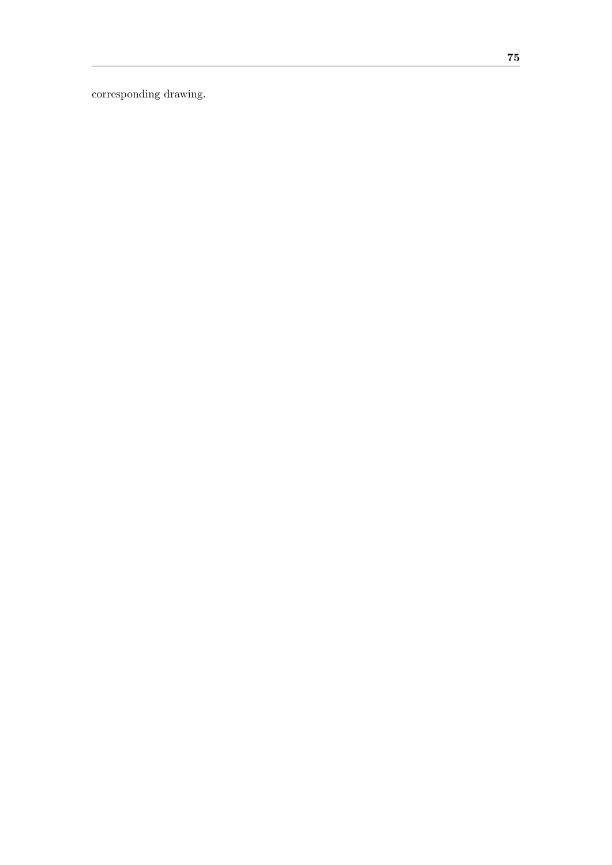corresponding drawing.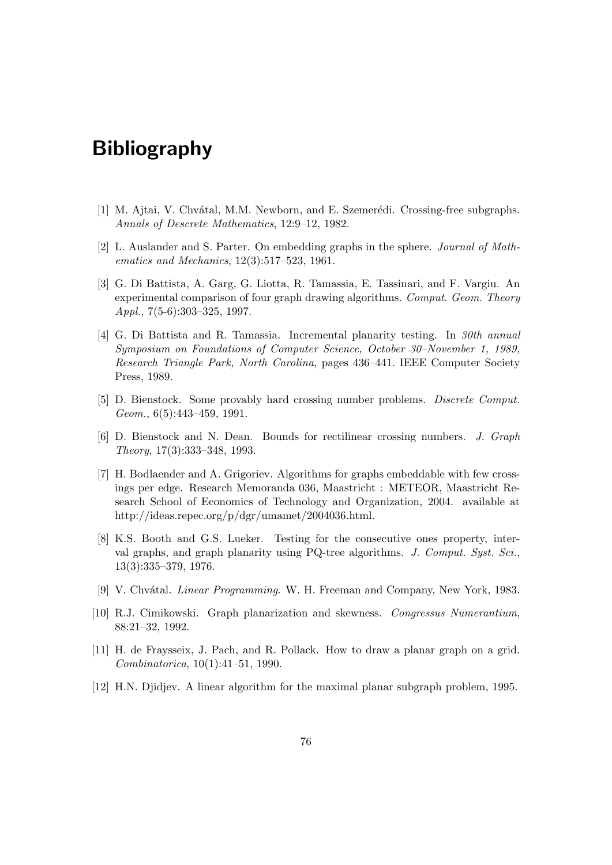## Bibliography

- [1] M. Ajtai, V. Chvátal, M.M. Newborn, and E. Szemerédi. Crossing-free subgraphs. Annals of Descrete Mathematics, 12:9–12, 1982.
- [2] L. Auslander and S. Parter. On embedding graphs in the sphere. Journal of Mathematics and Mechanics, 12(3):517–523, 1961.
- [3] G. Di Battista, A. Garg, G. Liotta, R. Tamassia, E. Tassinari, and F. Vargiu. An experimental comparison of four graph drawing algorithms. Comput. Geom. Theory Appl., 7(5-6):303–325, 1997.
- [4] G. Di Battista and R. Tamassia. Incremental planarity testing. In 30th annual Symposium on Foundations of Computer Science, October 30–November 1, 1989, Research Triangle Park, North Carolina, pages 436–441. IEEE Computer Society Press, 1989.
- [5] D. Bienstock. Some provably hard crossing number problems. Discrete Comput. Geom., 6(5):443–459, 1991.
- [6] D. Bienstock and N. Dean. Bounds for rectilinear crossing numbers. J. Graph Theory, 17(3):333–348, 1993.
- [7] H. Bodlaender and A. Grigoriev. Algorithms for graphs embeddable with few crossings per edge. Research Memoranda 036, Maastricht : METEOR, Maastricht Research School of Economics of Technology and Organization, 2004. available at http://ideas.repec.org/p/dgr/umamet/2004036.html.
- [8] K.S. Booth and G.S. Lueker. Testing for the consecutive ones property, interval graphs, and graph planarity using PQ-tree algorithms. J. Comput. Syst. Sci., 13(3):335–379, 1976.
- [9] V. Chvátal. *Linear Programming*. W. H. Freeman and Company, New York, 1983.
- [10] R.J. Cimikowski. Graph planarization and skewness. Congressus Numerantium, 88:21–32, 1992.
- [11] H. de Fraysseix, J. Pach, and R. Pollack. How to draw a planar graph on a grid. Combinatorica, 10(1):41–51, 1990.
- [12] H.N. Djidjev. A linear algorithm for the maximal planar subgraph problem, 1995.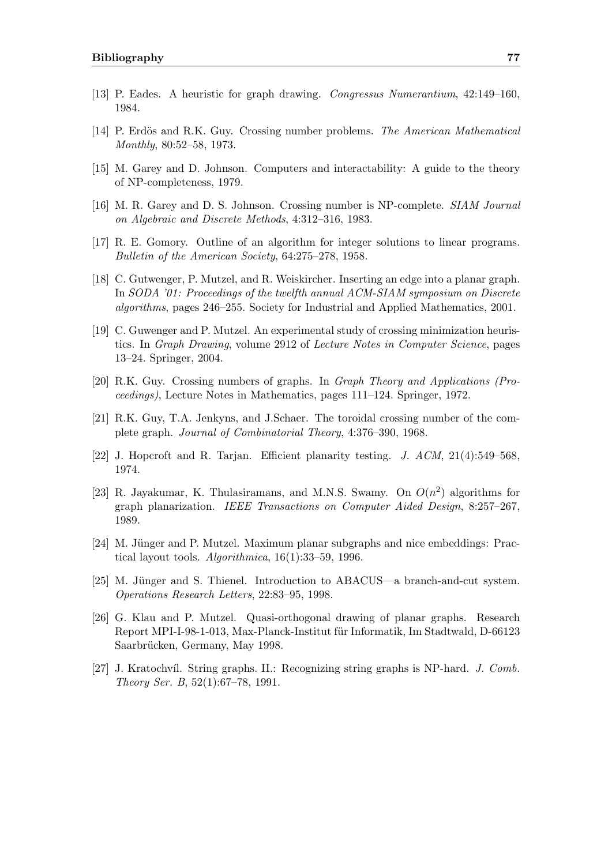- [13] P. Eades. A heuristic for graph drawing. Congressus Numerantium, 42:149–160, 1984.
- [14] P. Erdös and R.K. Guy. Crossing number problems. The American Mathematical Monthly, 80:52–58, 1973.
- [15] M. Garey and D. Johnson. Computers and interactability: A guide to the theory of NP-completeness, 1979.
- [16] M. R. Garey and D. S. Johnson. Crossing number is NP-complete. SIAM Journal on Algebraic and Discrete Methods, 4:312–316, 1983.
- [17] R. E. Gomory. Outline of an algorithm for integer solutions to linear programs. Bulletin of the American Society, 64:275–278, 1958.
- [18] C. Gutwenger, P. Mutzel, and R. Weiskircher. Inserting an edge into a planar graph. In SODA '01: Proceedings of the twelfth annual ACM-SIAM symposium on Discrete algorithms, pages 246–255. Society for Industrial and Applied Mathematics, 2001.
- <span id="page-84-0"></span>[19] C. Guwenger and P. Mutzel. An experimental study of crossing minimization heuristics. In Graph Drawing, volume 2912 of Lecture Notes in Computer Science, pages 13–24. Springer, 2004.
- [20] R.K. Guy. Crossing numbers of graphs. In Graph Theory and Applications (Proceedings), Lecture Notes in Mathematics, pages 111–124. Springer, 1972.
- [21] R.K. Guy, T.A. Jenkyns, and J.Schaer. The toroidal crossing number of the complete graph. Journal of Combinatorial Theory, 4:376–390, 1968.
- [22] J. Hopcroft and R. Tarjan. Efficient planarity testing. J. ACM, 21(4):549–568, 1974.
- <span id="page-84-1"></span>[23] R. Jayakumar, K. Thulasiramans, and M.N.S. Swamy. On  $O(n^2)$  algorithms for graph planarization. IEEE Transactions on Computer Aided Design, 8:257–267, 1989.
- [24] M. Jünger and P. Mutzel. Maximum planar subgraphs and nice embeddings: Practical layout tools. Algorithmica, 16(1):33–59, 1996.
- [25] M. Jünger and S. Thienel. Introduction to ABACUS—a branch-and-cut system. Operations Research Letters, 22:83–95, 1998.
- [26] G. Klau and P. Mutzel. Quasi-orthogonal drawing of planar graphs. Research Report MPI-I-98-1-013, Max-Planck-Institut f¨ur Informatik, Im Stadtwald, D-66123 Saarbrücken, Germany, May 1998.
- [27] J. Kratochvíl. String graphs. II.: Recognizing string graphs is NP-hard. J. Comb. Theory Ser. B, 52(1):67–78, 1991.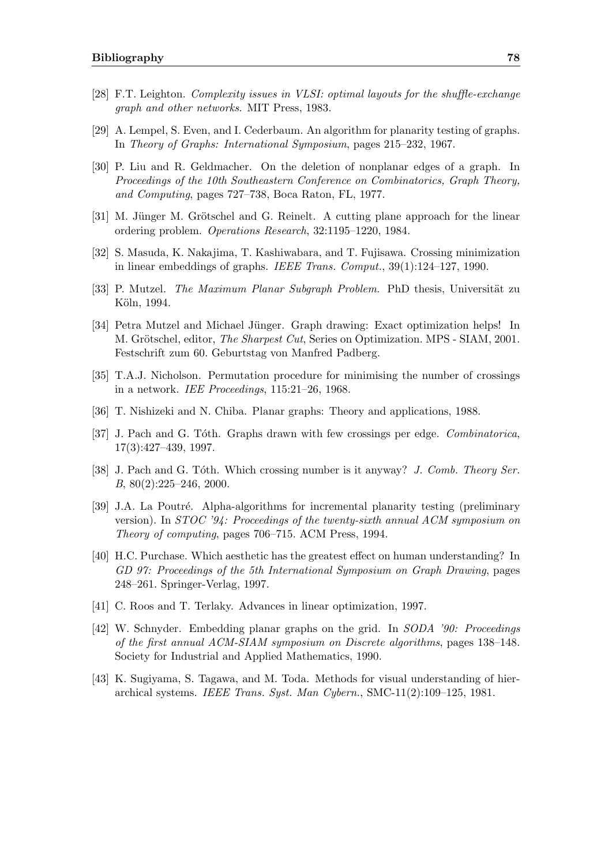- [28] F.T. Leighton. Complexity issues in VLSI: optimal layouts for the shuffle-exchange graph and other networks. MIT Press, 1983.
- [29] A. Lempel, S. Even, and I. Cederbaum. An algorithm for planarity testing of graphs. In Theory of Graphs: International Symposium, pages 215–232, 1967.
- [30] P. Liu and R. Geldmacher. On the deletion of nonplanar edges of a graph. In Proceedings of the 10th Southeastern Conference on Combinatorics, Graph Theory, and Computing, pages 727–738, Boca Raton, FL, 1977.
- [31] M. Jünger M. Grötschel and G. Reinelt. A cutting plane approach for the linear ordering problem. Operations Research, 32:1195–1220, 1984.
- [32] S. Masuda, K. Nakajima, T. Kashiwabara, and T. Fujisawa. Crossing minimization in linear embeddings of graphs. IEEE Trans. Comput., 39(1):124–127, 1990.
- [33] P. Mutzel. The Maximum Planar Subgraph Problem. PhD thesis, Universität zu Köln, 1994.
- [34] Petra Mutzel and Michael Jünger. Graph drawing: Exact optimization helps! In M. Grötschel, editor, *The Sharpest Cut*, Series on Optimization. MPS - SIAM, 2001. Festschrift zum 60. Geburtstag von Manfred Padberg.
- [35] T.A.J. Nicholson. Permutation procedure for minimising the number of crossings in a network. IEE Proceedings, 115:21–26, 1968.
- [36] T. Nishizeki and N. Chiba. Planar graphs: Theory and applications, 1988.
- [37] J. Pach and G. Tóth. Graphs drawn with few crossings per edge. *Combinatorica*, 17(3):427–439, 1997.
- [38] J. Pach and G. Tóth. Which crossing number is it anyway? J. Comb. Theory Ser. B, 80(2):225–246, 2000.
- [39] J.A. La Poutré. Alpha-algorithms for incremental planarity testing (preliminary version). In  $STOC$  '94: Proceedings of the twenty-sixth annual ACM symposium on Theory of computing, pages 706–715. ACM Press, 1994.
- [40] H.C. Purchase. Which aesthetic has the greatest effect on human understanding? In GD 97: Proceedings of the 5th International Symposium on Graph Drawing, pages 248–261. Springer-Verlag, 1997.
- [41] C. Roos and T. Terlaky. Advances in linear optimization, 1997.
- [42] W. Schnyder. Embedding planar graphs on the grid. In SODA '90: Proceedings of the first annual ACM-SIAM symposium on Discrete algorithms, pages 138–148. Society for Industrial and Applied Mathematics, 1990.
- [43] K. Sugiyama, S. Tagawa, and M. Toda. Methods for visual understanding of hierarchical systems. IEEE Trans. Syst. Man Cybern., SMC-11(2):109–125, 1981.